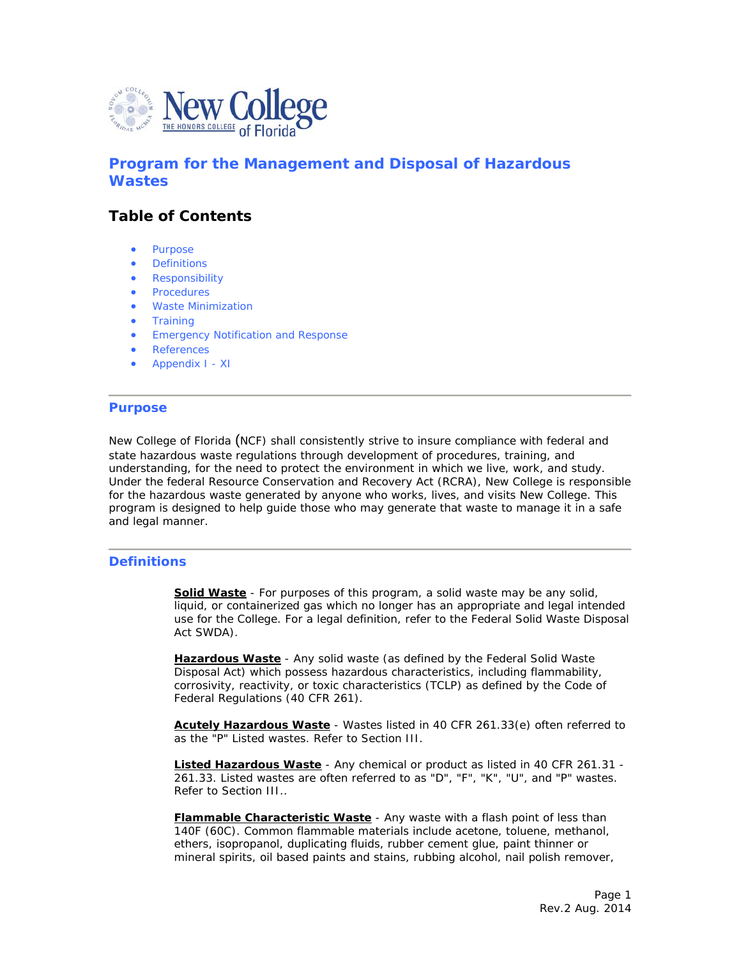

# **Program for the Management and Disposal of Hazardous Wastes**

# **Table of Contents**

- Purpose
- Definitions
- Responsibility
- Procedures
- Waste Minimization
- **Training**
- **Emergency Notification and Response**
- References
- Appendix I XI

### **Purpose**

New College of Florida (NCF) shall consistently strive to insure compliance with federal and state hazardous waste regulations through development of procedures, training, and understanding, for the need to protect the environment in which we live, work, and study. Under the federal Resource Conservation and Recovery Act (RCRA), New College is responsible for the hazardous waste generated by anyone who works, lives, and visits New College. This program is designed to help guide those who may generate that waste to manage it in a safe and legal manner.

### **Definitions**

**Solid Waste** - For purposes of this program, a solid waste may be any solid, liquid, or containerized gas which no longer has an appropriate and legal intended use for the College. For a legal definition, refer to the Federal Solid Waste Disposal Act SWDA).

**Hazardous Waste** - Any solid waste (as defined by the Federal Solid Waste Disposal Act) which possess hazardous characteristics, including flammability, corrosivity, reactivity, or toxic characteristics (TCLP) as defined by the Code of Federal Regulations (40 CFR 261).

**Acutely Hazardous Waste** - Wastes listed in 40 CFR 261.33(e) often referred to as the "P" Listed wastes. Refer to Section III.

**Listed Hazardous Waste** - Any chemical or product as listed in 40 CFR 261.31 - 261.33. Listed wastes are often referred to as "D", "F", "K", "U", and "P" wastes. Refer to Section III..

**Flammable Characteristic Waste** - Any waste with a flash point of less than 140F (60C). Common flammable materials include acetone, toluene, methanol, ethers, isopropanol, duplicating fluids, rubber cement glue, paint thinner or mineral spirits, oil based paints and stains, rubbing alcohol, nail polish remover,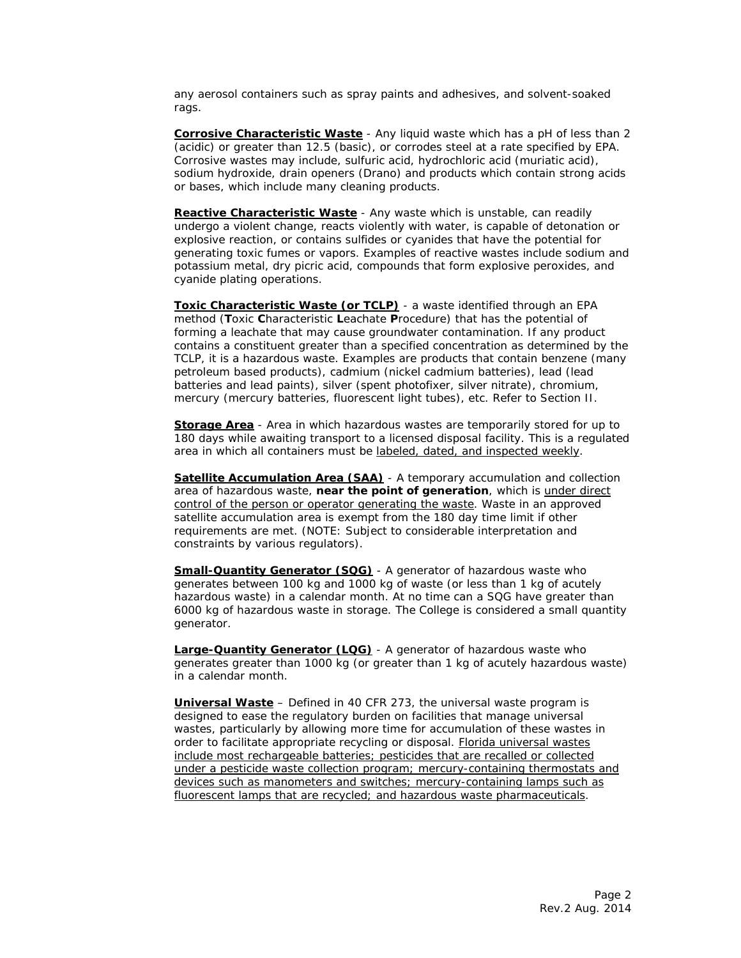any aerosol containers such as spray paints and adhesives, and solvent-soaked rags.

**Corrosive Characteristic Waste** - Any liquid waste which has a pH of less than 2 (acidic) or greater than 12.5 (basic), or corrodes steel at a rate specified by EPA. Corrosive wastes may include, sulfuric acid, hydrochloric acid (muriatic acid), sodium hydroxide, drain openers (Drano) and products which contain strong acids or bases, which include many cleaning products.

**Reactive Characteristic Waste** - Any waste which is unstable, can readily undergo a violent change, reacts violently with water, is capable of detonation or explosive reaction, or contains sulfides or cyanides that have the potential for generating toxic fumes or vapors. Examples of reactive wastes include sodium and potassium metal, dry picric acid, compounds that form explosive peroxides, and cyanide plating operations.

**Toxic Characteristic Waste (or TCLP)** - a waste identified through an EPA method (**T**oxic **C**haracteristic **L**eachate **P**rocedure) that has the potential of forming a leachate that may cause groundwater contamination. If any product contains a constituent greater than a specified concentration as determined by the TCLP, it is a hazardous waste. Examples are products that contain benzene (many petroleum based products), cadmium (nickel cadmium batteries), lead (lead batteries and lead paints), silver (spent photofixer, silver nitrate), chromium, mercury (mercury batteries, fluorescent light tubes), etc. Refer to Section II.

**Storage Area** - Area in which hazardous wastes are temporarily stored for up to 180 days while awaiting transport to a licensed disposal facility. This is a regulated area in which all containers must be *labeled, dated, and inspected weekly*.

**Satellite Accumulation Area (SAA)** - A temporary accumulation and collection area of hazardous waste, *near the point of generation*, which is *under direct control of the person or operator generating the waste*. Waste in an approved satellite accumulation area is exempt from the 180 day time limit if other requirements are met. (NOTE: Subject to considerable interpretation and constraints by various regulators).

**Small-Quantity Generator (SQG)** - A generator of hazardous waste who generates between 100 kg and 1000 kg of waste (or less than 1 kg of acutely hazardous waste) in a calendar month. At no time can a SQG have greater than 6000 kg of hazardous waste in storage. The College is considered a small quantity generator.

**Large-Quantity Generator (LQG)** - A generator of hazardous waste who generates greater than 1000 kg (or greater than 1 kg of acutely hazardous waste) in a calendar month.

**Universal Waste** – Defined in 40 CFR 273, the universal waste program is designed to ease the regulatory burden on facilities that manage universal wastes, particularly by allowing more time for accumulation of these wastes in order to facilitate appropriate recycling or disposal. *Florida universal wastes include most rechargeable batteries; pesticides that are recalled or collected under a pesticide waste collection program; mercury-containing thermostats and devices such as manometers and switches; mercury-containing lamps such as fluorescent lamps that are recycled; and hazardous waste pharmaceuticals*.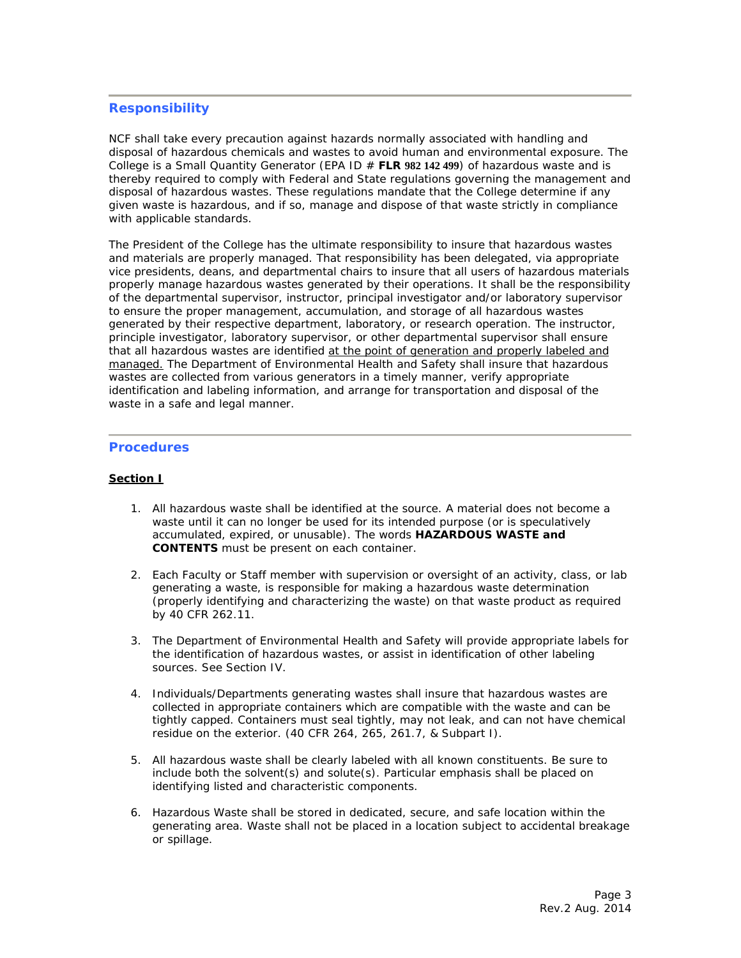### **Responsibility**

NCF shall take every precaution against hazards normally associated with handling and disposal of hazardous chemicals and wastes to avoid human and environmental exposure. The College is a *Small Quantity Generator* (EPA ID # **FLR 982 142 499**) of hazardous waste and is thereby required to comply with Federal and State regulations governing the management and disposal of hazardous wastes. These regulations mandate that the College determine if any given waste is hazardous, and if so, manage and dispose of that waste strictly in compliance with applicable standards.

The President of the College has the ultimate responsibility to insure that hazardous wastes and materials are properly managed. That responsibility has been delegated, via appropriate vice presidents, deans, and departmental chairs to insure that all users of hazardous materials properly manage hazardous wastes generated by their operations. It shall be the responsibility of the departmental supervisor, instructor, principal investigator and/or laboratory supervisor to ensure the proper management, accumulation, and storage of all hazardous wastes generated by their respective department, laboratory, or research operation. The instructor, principle investigator, laboratory supervisor, or other departmental supervisor shall ensure that all hazardous wastes are identified *at the point of generation and properly labeled and managed.* The Department of Environmental Health and Safety shall insure that hazardous wastes are collected from various generators in a timely manner, verify appropriate identification and labeling information, and arrange for transportation and disposal of the waste in a safe and legal manner.

### **Procedures**

### **Section I**

- 1. All hazardous waste shall be identified at the source. A material does not become a waste until it can no longer be used for its intended purpose (or is speculatively accumulated, expired, or unusable). The words **HAZARDOUS WASTE and CONTENTS** must be present on each container.
- 2. Each Faculty or Staff member with supervision or oversight of an activity, class, or lab generating a waste, is responsible for making a hazardous waste determination (properly identifying and characterizing the waste) on that waste product as required by 40 CFR 262.11.
- 3. The Department of Environmental Health and Safety will provide appropriate labels for the identification of hazardous wastes, or assist in identification of other labeling sources. See Section IV.
- 4. Individuals/Departments generating wastes shall insure that hazardous wastes are collected in appropriate containers which are compatible with the waste and can be tightly capped. Containers must seal tightly, may not leak, and can not have chemical residue on the exterior. (40 CFR 264, 265, 261.7, & Subpart I).
- 5. All hazardous waste shall be clearly labeled with all known constituents. Be sure to include both the solvent(s) and solute(s). Particular emphasis shall be placed on identifying listed and characteristic components.
- 6. Hazardous Waste shall be stored in dedicated, secure, and safe location within the generating area. Waste shall not be placed in a location subject to accidental breakage or spillage.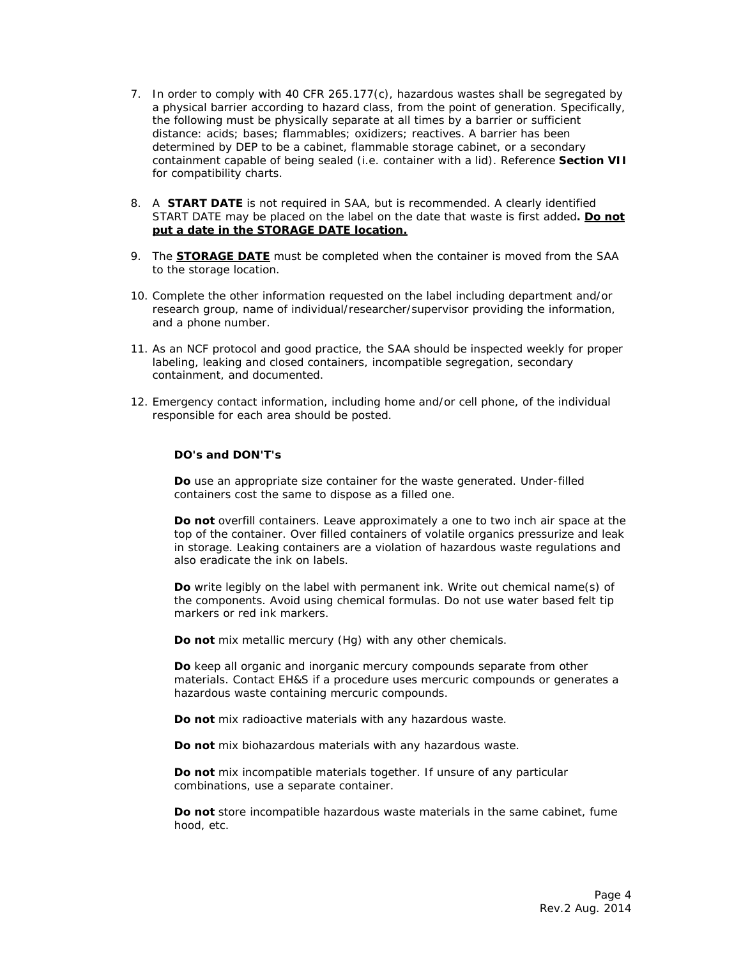- 7. In order to comply with 40 CFR 265.177(c), hazardous wastes shall be segregated by a physical barrier according to hazard class, from the point of generation. Specifically, the following must be physically separate at all times by a barrier or sufficient distance: acids; bases; flammables; oxidizers; reactives. A barrier has been determined by DEP to be a cabinet, flammable storage cabinet, or a secondary containment capable of being sealed (i.e. container with a lid). Reference *Section VII*  for compatibility charts.
- *8. A START DATE is not required in SAA, but is recommended. A clearly identified START DATE may be placed on the label on the date that waste is first added. Do not put a date in the STORAGE DATE location.*
- 9. *The STORAGE DATE must be completed when the container is moved from the SAA to the storage location*.
- 10. Complete the other information requested on the label including department and/or research group, name of individual/researcher/supervisor providing the information, and a phone number.
- 11. As an NCF protocol and good practice, the SAA should be inspected weekly for proper labeling, leaking and closed containers, incompatible segregation, secondary containment, and documented.
- 12. Emergency contact information, including home and/or cell phone, of the individual responsible for each area should be posted.

### **DO's and DON'T's**

*Do* use an appropriate size container for the waste generated. Under-filled containers cost the same to dispose as a filled one.

*Do not* overfill containers. Leave approximately a one to two inch air space at the top of the container. Over filled containers of volatile organics pressurize and leak in storage. Leaking containers are a violation of hazardous waste regulations and also eradicate the ink on labels.

*Do* write legibly on the label with permanent ink. Write out chemical name(s) of the components. Avoid using chemical formulas. Do not use water based felt tip markers or red ink markers.

*Do not* mix metallic mercury (Hg) with any other chemicals.

*Do* keep all organic and inorganic mercury compounds separate from other materials. Contact EH&S if a procedure uses mercuric compounds or generates a hazardous waste containing mercuric compounds.

*Do not* mix radioactive materials with any hazardous waste.

*Do not* mix biohazardous materials with any hazardous waste.

*Do not* mix incompatible materials together. If unsure of any particular combinations, use a separate container.

*Do not* store incompatible hazardous waste materials in the same cabinet, fume hood, etc.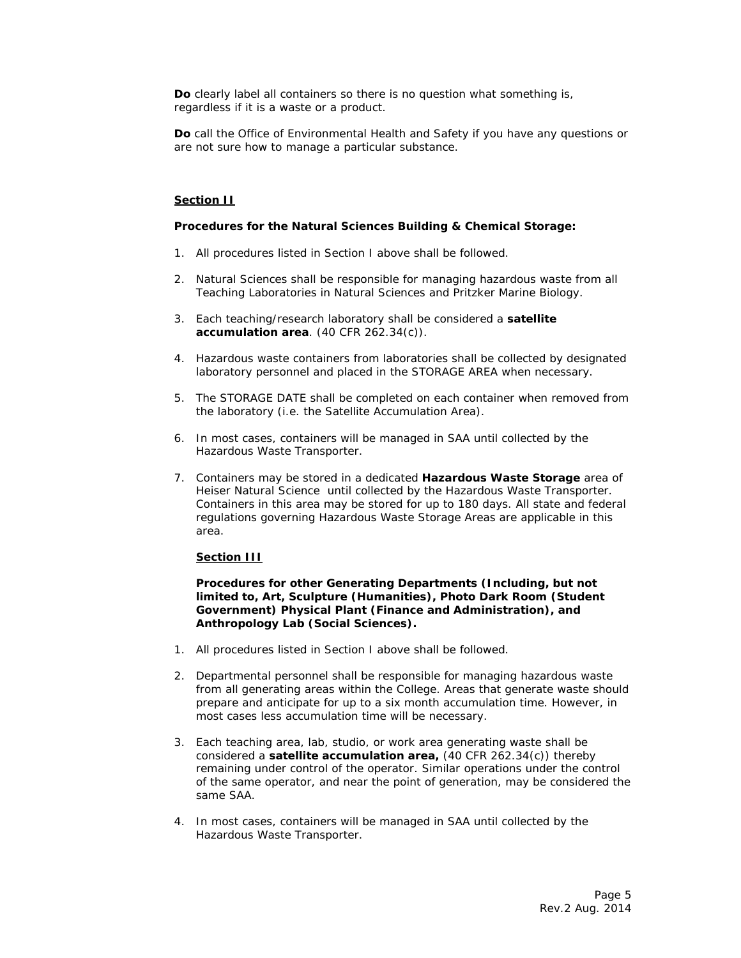*Do* clearly label all containers so there is no question what something is, regardless if it is a waste or a product.

**Do** call the Office of Environmental Health and Safety if you have any questions or are not sure how to manage a particular substance.

### **Section II**

### **Procedures for the Natural Sciences Building & Chemical Storage:**

- 1. All procedures listed in Section I above shall be followed.
- 2. Natural Sciences shall be responsible for managing hazardous waste from all Teaching Laboratories in Natural Sciences and Pritzker Marine Biology.
- 3. Each teaching/research laboratory shall be considered a **satellite accumulation area**. (40 CFR 262.34(c)).
- 4. Hazardous waste containers from laboratories shall be collected by designated laboratory personnel and placed in the STORAGE AREA when necessary.
- 5. The STORAGE DATE shall be completed on each container when removed from the laboratory (i.e. the Satellite Accumulation Area).
- 6. In most cases, containers will be managed in SAA until collected by the Hazardous Waste Transporter.
- 7. Containers may be stored in a dedicated **Hazardous Waste Storage** area of Heiser Natural Science until collected by the Hazardous Waste Transporter. Containers in this area may be stored for up to 180 days. All state and federal regulations governing Hazardous Waste Storage Areas are applicable in this area.

### **Section III**

**Procedures for other Generating Departments (Including, but not limited to, Art, Sculpture (Humanities), Photo Dark Room (Student Government) Physical Plant (Finance and Administration), and Anthropology Lab (Social Sciences).** 

- 1. All procedures listed in Section I above shall be followed.
- 2. Departmental personnel shall be responsible for managing hazardous waste from all generating areas within the College. Areas that generate waste should prepare and anticipate for up to a six month accumulation time. However, in most cases less accumulation time will be necessary.
- 3. Each teaching area, lab, studio, or work area generating waste shall be considered a **satellite accumulation area,** (40 CFR 262.34(c)) thereby remaining under control of the operator. Similar operations under the control of the same operator, and near the point of generation, may be considered the same SAA.
- 4. In most cases, containers will be managed in SAA until collected by the Hazardous Waste Transporter.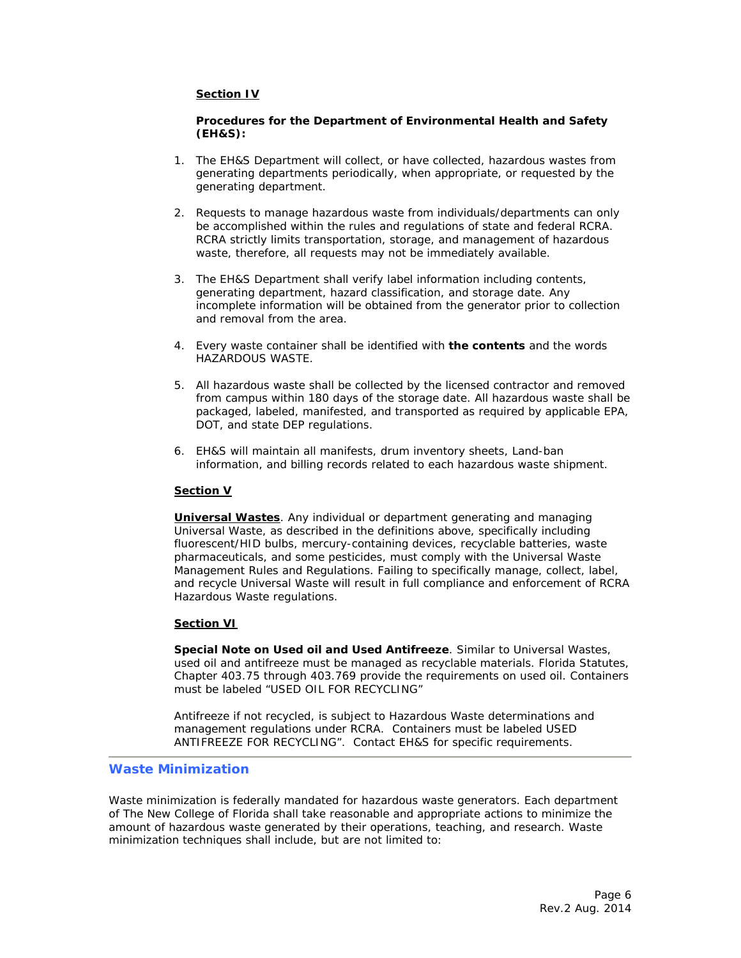### **Section IV**

### **Procedures for the Department of Environmental Health and Safety (EH&S):**

- 1. The EH&S Department will collect, or have collected, hazardous wastes from generating departments periodically, when appropriate, or requested by the generating department.
- 2. Requests to manage hazardous waste from individuals/departments can only be accomplished within the rules and regulations of state and federal RCRA. RCRA strictly limits transportation, storage, and management of hazardous waste, therefore, all requests may not be immediately available.
- 3. The EH&S Department shall verify label information including contents, generating department, hazard classification, and storage date. Any incomplete information will be obtained from the generator prior to collection and removal from the area.
- 4. Every waste container shall be identified with *the contents* and the words HAZARDOUS WASTE.
- 5. All hazardous waste shall be collected by the licensed contractor and removed from campus within 180 days of the storage date. All hazardous waste shall be packaged, labeled, manifested, and transported as required by applicable EPA, DOT, and state DEP regulations.
- 6. EH&S will maintain all manifests, drum inventory sheets, Land-ban information, and billing records related to each hazardous waste shipment.

### **Section V**

**Universal Wastes**. Any individual or department generating and managing *Universal Waste*, as described in the definitions above, specifically including fluorescent/HID bulbs, mercury-containing devices, recyclable batteries, waste pharmaceuticals, and some pesticides, must comply with the Universal Waste Management Rules and Regulations. Failing to specifically manage, collect, label, and recycle Universal Waste will result in full compliance and enforcement of RCRA Hazardous Waste regulations.

### **Section VI**

*Special Note on Used oil and Used Antifreeze*. Similar to Universal Wastes, used oil and antifreeze must be managed as recyclable materials. Florida Statutes, Chapter 403.75 through 403.769 provide the requirements on used oil. Containers must be labeled "USED OIL FOR RECYCLING"

Antifreeze if not recycled, is subject to Hazardous Waste determinations and management regulations under RCRA. Containers must be labeled USED ANTIFREEZE FOR RECYCLING". Contact EH&S for specific requirements.

### **Waste Minimization**

Waste minimization is federally mandated for hazardous waste generators. Each department of The New College of Florida shall take reasonable and appropriate actions to minimize the amount of hazardous waste generated by their operations, teaching, and research. Waste minimization techniques shall include, but are not limited to: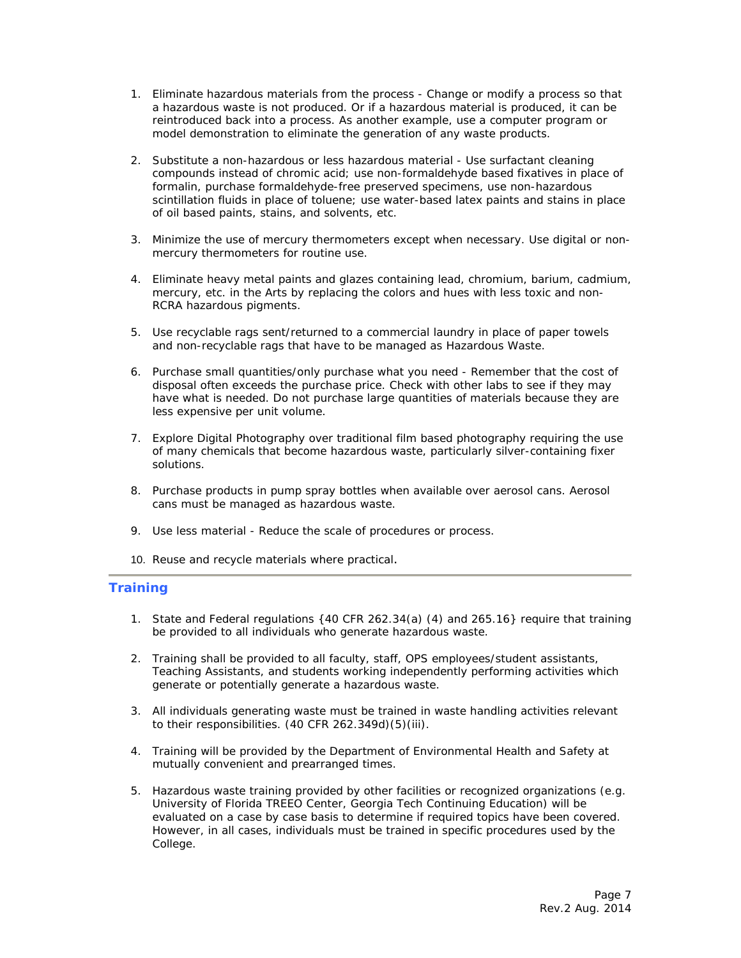- 1. Eliminate hazardous materials from the process Change or modify a process so that a hazardous waste is not produced. Or if a hazardous material is produced, it can be reintroduced back into a process. As another example, use a computer program or model demonstration to eliminate the generation of any waste products.
- 2. Substitute a non-hazardous or less hazardous material Use surfactant cleaning compounds instead of chromic acid; use non-formaldehyde based fixatives in place of formalin, purchase formaldehyde-free preserved specimens, use non-hazardous scintillation fluids in place of toluene; use water-based latex paints and stains in place of oil based paints, stains, and solvents, etc.
- 3. Minimize the use of mercury thermometers except when necessary. Use digital or nonmercury thermometers for routine use.
- 4. Eliminate heavy metal paints and glazes containing lead, chromium, barium, cadmium, mercury, etc. in the Arts by replacing the colors and hues with less toxic and non-RCRA hazardous pigments.
- 5. Use recyclable rags sent/returned to a commercial laundry in place of paper towels and non-recyclable rags that have to be managed as Hazardous Waste.
- *6.* Purchase small quantities/only purchase what you need Remember that the cost of disposal often exceeds the purchase price. Check with other labs to see if they may have what is needed. *Do not purchase large quantities of materials because they are less expensive per unit volume.*
- 7. Explore Digital Photography over traditional film based photography requiring the use of many chemicals that become hazardous waste, particularly silver-containing fixer solutions.
- 8. Purchase products in pump spray bottles when available over aerosol cans. Aerosol cans must be managed as hazardous waste.
- 9. Use less material Reduce the scale of procedures or process.
- 10. Reuse and recycle materials where practical.

### **Training**

- 1. State and Federal regulations {40 CFR 262.34(a) (4) and 265.16} require that training be provided to all individuals who generate hazardous waste.
- 2. Training shall be provided to all faculty, staff, OPS employees/student assistants, Teaching Assistants, and students working independently performing activities which generate or potentially generate a hazardous waste.
- 3. All individuals generating waste must be trained in waste handling activities relevant to their responsibilities. (40 CFR 262.349d)(5)(iii).
- 4. Training will be provided by the Department of Environmental Health and Safety at mutually convenient and prearranged times.
- 5. Hazardous waste training provided by other facilities or recognized organizations (e.g. University of Florida TREEO Center, Georgia Tech Continuing Education) will be evaluated on a case by case basis to determine if required topics have been covered. However, in all cases, individuals must be trained in specific procedures used by the College.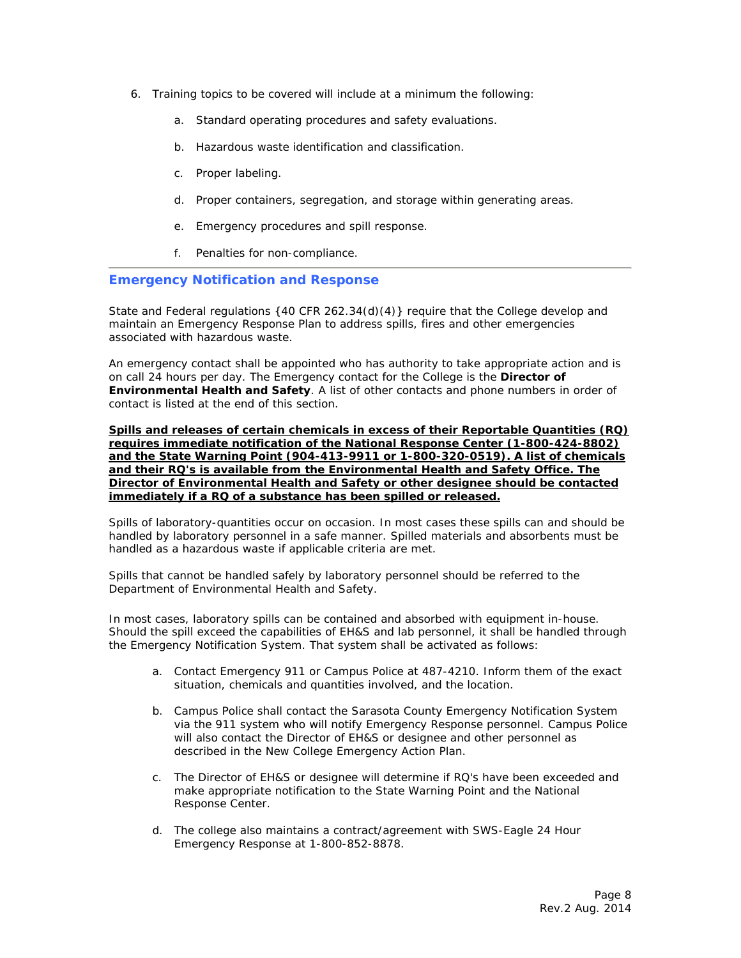- 6. Training topics to be covered will include at a minimum the following:
	- a. Standard operating procedures and safety evaluations.
	- b. Hazardous waste identification and classification.
	- c. Proper labeling.
	- d. Proper containers, segregation, and storage within generating areas.
	- e. Emergency procedures and spill response.
	- f. Penalties for non-compliance.

### **Emergency Notification and Response**

State and Federal regulations {40 CFR 262.34(d)(4)} require that the College develop and maintain an Emergency Response Plan to address spills, fires and other emergencies associated with hazardous waste.

An emergency contact shall be appointed who has authority to take appropriate action and is on call 24 hours per day. The Emergency contact for the College is the **Director of Environmental Health and Safety**. A list of other contacts and phone numbers in order of contact is listed at the end of this section.

**Spills and releases of certain chemicals in excess of their** *Reportable Quantities (RQ)*  **requires immediate notification of the National Response Center (1-800-424-8802) and the State Warning Point (904-413-9911 or 1-800-320-0519). A list of chemicals and their RQ's is available from the Environmental Health and Safety Office. The Director of Environmental Health and Safety or other designee should be contacted immediately if a RQ of a substance has been spilled or released.** 

Spills of laboratory-quantities occur on occasion. In most cases these spills can and should be handled by laboratory personnel in a safe manner. Spilled materials and absorbents must be handled as a hazardous waste if applicable criteria are met.

Spills that cannot be handled safely by laboratory personnel should be referred to the Department of Environmental Health and Safety.

In most cases, laboratory spills can be contained and absorbed with equipment in-house. Should the spill exceed the capabilities of EH&S and lab personnel, it shall be handled through the Emergency Notification System. That system shall be activated as follows:

- a. Contact Emergency 911 or Campus Police at 487-4210. Inform them of the exact situation, chemicals and quantities involved, and the location.
- b. Campus Police shall contact the Sarasota County Emergency Notification System via the 911 system who will notify Emergency Response personnel. Campus Police will also contact the Director of EH&S or designee and other personnel as described in the New College Emergency Action Plan.
- c. The Director of EH&S or designee will determine if RQ's have been exceeded and make appropriate notification to the State Warning Point and the National Response Center.
- *d.* The college also maintains a contract/agreement with SWS-Eagle 24 Hour Emergency Response at 1-800-852-8878.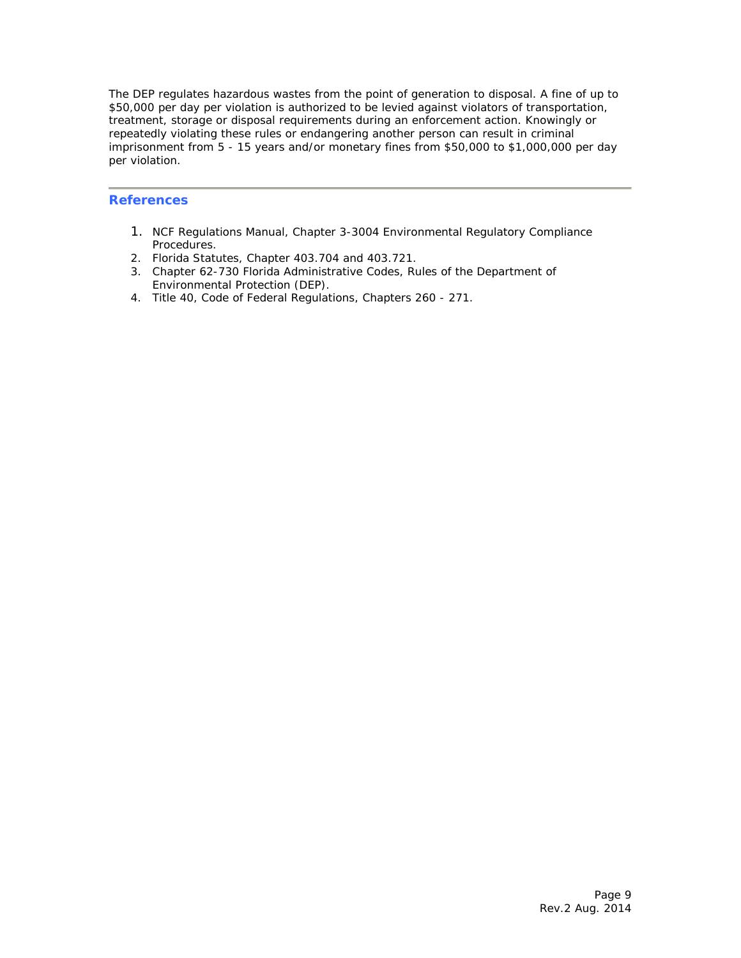The DEP regulates hazardous wastes from the point of generation to disposal. A fine of up to \$50,000 per day per violation is authorized to be levied against violators of transportation, treatment, storage or disposal requirements during an enforcement action. Knowingly or repeatedly violating these rules or endangering another person can result in criminal imprisonment from 5 - 15 years and/or monetary fines from \$50,000 to \$1,000,000 per day per violation.

### **References**

- 1. NCF Regulations Manual, Chapter 3-3004 Environmental Regulatory Compliance Procedures.
- 2. Florida Statutes, Chapter 403.704 and 403.721.
- 3. Chapter 62-730 Florida Administrative Codes, Rules of the Department of Environmental Protection (DEP).
- 4. Title 40, Code of Federal Regulations, Chapters 260 271.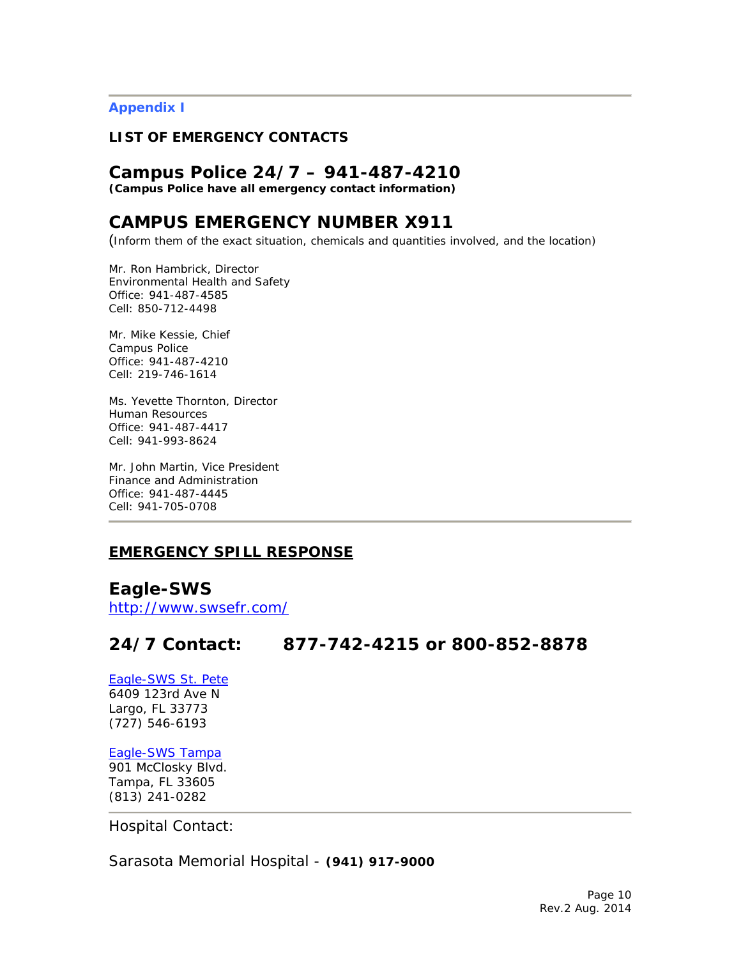### **Appendix I**

### **LIST OF EMERGENCY CONTACTS**

## **Campus Police 24/7 – 941-487-4210**

**(Campus Police have all emergency contact information)** 

# **CAMPUS EMERGENCY NUMBER X911**

(Inform them of the exact situation, chemicals and quantities involved, and the location)

Mr. Ron Hambrick, Director Environmental Health and Safety Office: 941-487-4585 Cell: 850-712-4498

Mr. Mike Kessie, Chief Campus Police Office: 941-487-4210 Cell: 219-746-1614

Ms. Yevette Thornton, Director Human Resources Office: 941-487-4417 Cell: 941-993-8624

Mr. John Martin, Vice President Finance and Administration Office: 941-487-4445 Cell: 941-705-0708

## **EMERGENCY SPILL RESPONSE**

# **Eagle-SWS**

http://www.swsefr.com/

# **24/7 Contact: 877-742-4215 or 800-852-8878**

### Eagle-SWS St. Pete

6409 123rd Ave N Largo, FL 33773 (727) 546-6193

### Eagle-SWS Tampa

901 McClosky Blvd. Tampa, FL 33605 (813) 241-0282

Hospital Contact:

Sarasota Memorial Hospital - **(941) 917-9000**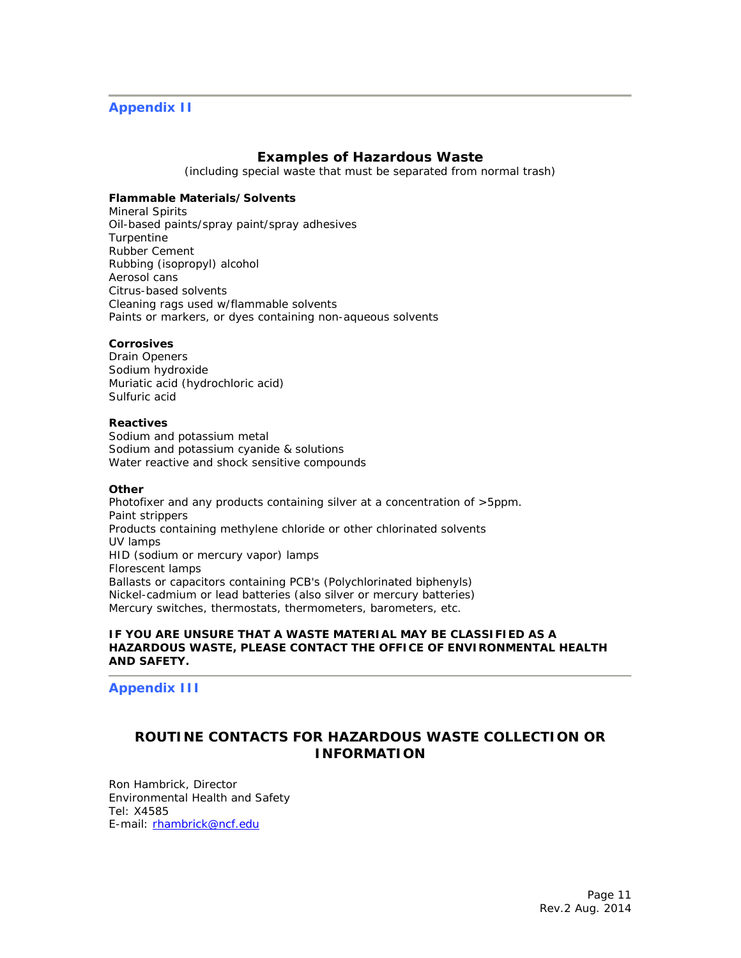### **Appendix II**

### **Examples of Hazardous Waste**

(including special waste that must be separated from normal trash)

### **Flammable Materials/Solvents**

Mineral Spirits Oil-based paints/spray paint/spray adhesives **Turpentine** Rubber Cement Rubbing (isopropyl) alcohol Aerosol cans Citrus-based solvents Cleaning rags used w/flammable solvents Paints or markers, or dyes containing non-aqueous solvents

### **Corrosives**

Drain Openers Sodium hydroxide Muriatic acid (hydrochloric acid) Sulfuric acid

### **Reactives**

Sodium and potassium metal Sodium and potassium cyanide & solutions Water reactive and shock sensitive compounds

### **Other**

Photofixer and any products containing silver at a concentration of >5ppm. Paint strippers Products containing methylene chloride or other chlorinated solvents UV lamps HID (sodium or mercury vapor) lamps Florescent lamps Ballasts or capacitors containing PCB's (Polychlorinated biphenyls) Nickel-cadmium or lead batteries (also silver or mercury batteries) Mercury switches, thermostats, thermometers, barometers, etc.

### **IF YOU ARE UNSURE THAT A WASTE MATERIAL MAY BE CLASSIFIED AS A HAZARDOUS WASTE, PLEASE CONTACT THE** *OFFICE OF ENVIRONMENTAL HEALTH AND SAFETY***.**

### **Appendix III**

### **ROUTINE CONTACTS FOR HAZARDOUS WASTE COLLECTION OR INFORMATION**

Ron Hambrick, Director Environmental Health and Safety Tel: X4585 E-mail: rhambrick@ncf.edu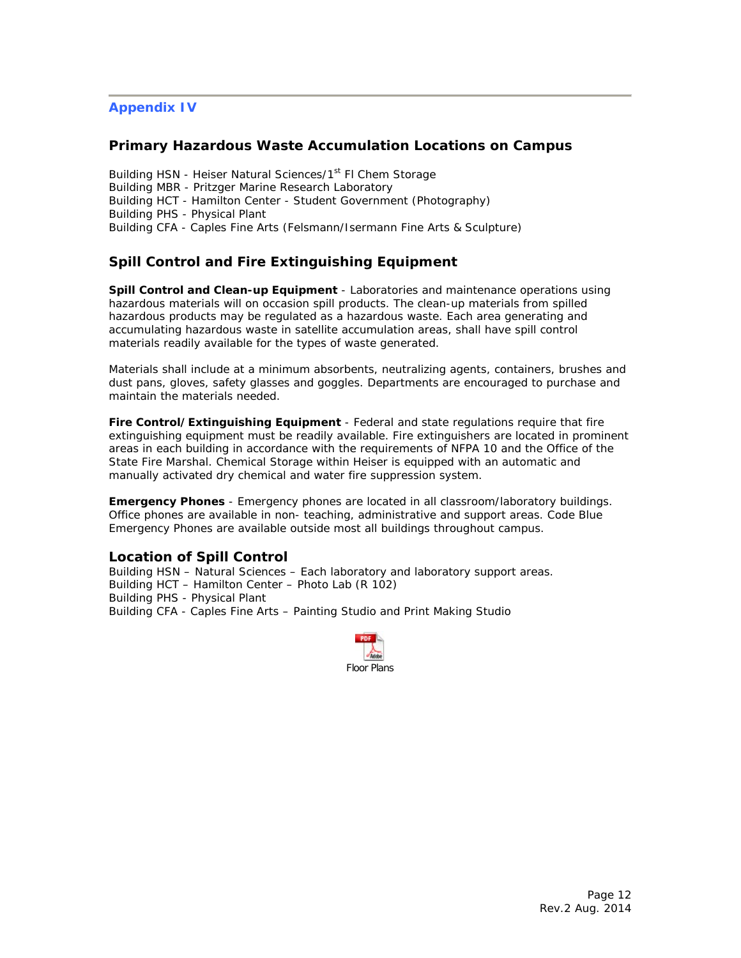### **Appendix IV**

### **Primary Hazardous Waste Accumulation Locations on Campus**

Building HSN - Heiser Natural Sciences/1<sup>st</sup> FI Chem Storage Building MBR - Pritzger Marine Research Laboratory Building HCT - Hamilton Center - Student Government (Photography) Building PHS - Physical Plant Building CFA - Caples Fine Arts (Felsmann/Isermann Fine Arts & Sculpture)

## **Spill Control and Fire Extinguishing Equipment**

*Spill Control and Clean-up Equipment* - Laboratories and maintenance operations using hazardous materials will on occasion spill products. The clean-up materials from spilled hazardous products may be regulated as a hazardous waste. Each area generating and accumulating hazardous waste in satellite accumulation areas, shall have spill control materials readily available for the types of waste generated.

Materials shall include at a minimum absorbents, neutralizing agents, containers, brushes and dust pans, gloves, safety glasses and goggles. Departments are encouraged to purchase and maintain the materials needed.

*Fire Control/Extinguishing Equipment* - Federal and state regulations require that fire extinguishing equipment must be readily available. Fire extinguishers are located in prominent areas in each building in accordance with the requirements of NFPA 10 and the Office of the State Fire Marshal. Chemical Storage within Heiser is equipped with an automatic and manually activated dry chemical and water fire suppression system.

*Emergency Phones* - Emergency phones are located in all classroom/laboratory buildings. Office phones are available in non- teaching, administrative and support areas. Code Blue Emergency Phones are available outside most all buildings throughout campus.

### **Location of Spill Control**

Building HSN – Natural Sciences – Each laboratory and laboratory support areas. Building HCT – Hamilton Center – Photo Lab (R 102) Building PHS - Physical Plant Building CFA - Caples Fine Arts – Painting Studio and Print Making Studio

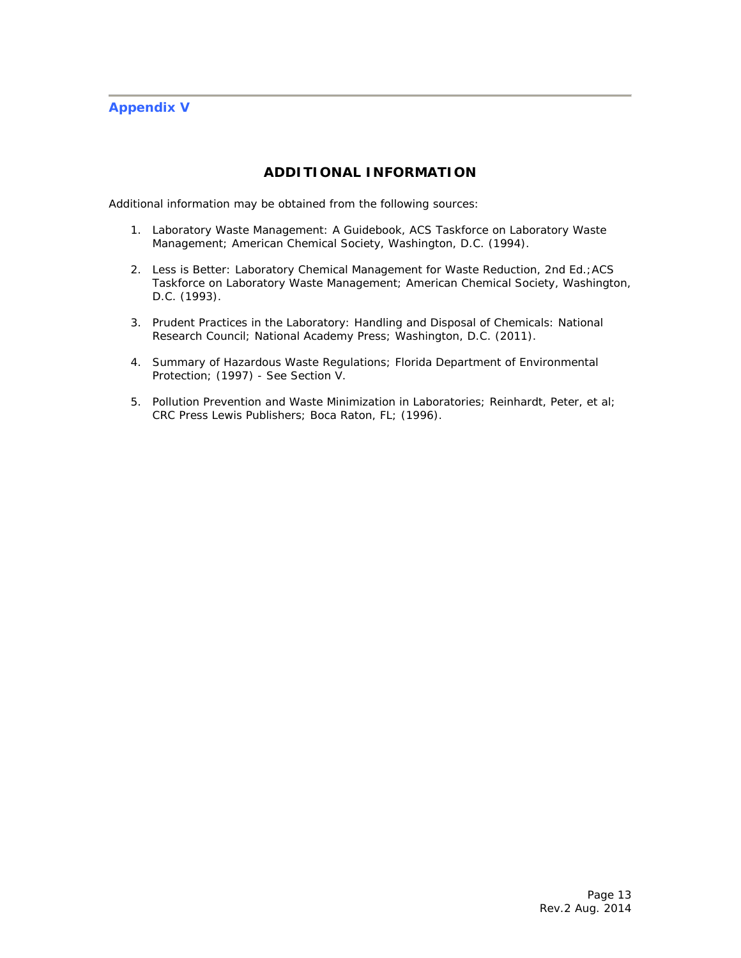### **Appendix V**

### **ADDITIONAL INFORMATION**

Additional information may be obtained from the following sources:

- 1. Laboratory Waste Management: A Guidebook, ACS Taskforce on Laboratory Waste Management; American Chemical Society, Washington, D.C. (1994).
- 2. Less is Better: Laboratory Chemical Management for Waste Reduction, 2nd Ed.; ACS Taskforce on Laboratory Waste Management; American Chemical Society, Washington, D.C. (1993).
- 3. Prudent Practices in the Laboratory: Handling and Disposal of Chemicals: National Research Council; National Academy Press; Washington, D.C. (2011).
- 4. Summary of Hazardous Waste Regulations; Florida Department of Environmental Protection; (1997) - See Section V.
- 5. Pollution Prevention and Waste Minimization in Laboratories; Reinhardt, Peter, et al; CRC Press Lewis Publishers; Boca Raton, FL; (1996).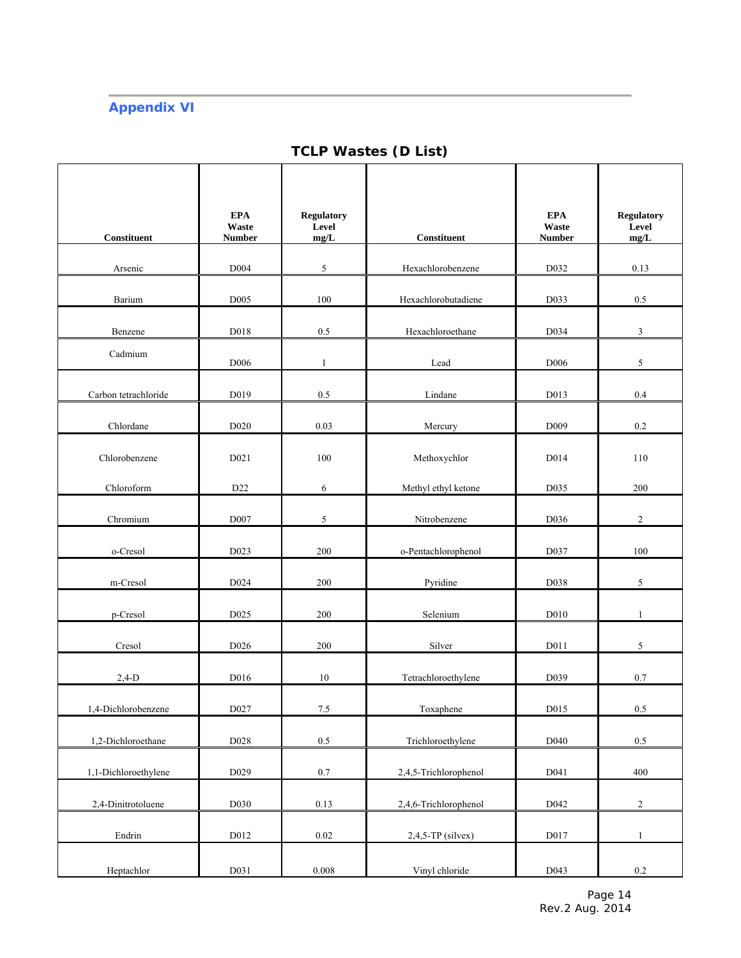# **Appendix VI**

| <b>TCLP Wastes (D List)</b> |  |
|-----------------------------|--|
|-----------------------------|--|

| Constituent          | <b>EPA</b><br>Waste<br><b>Number</b> | <b>Regulatory</b><br>Level<br>mg/L | Constituent           | <b>EPA</b><br>Waste<br><b>Number</b> | <b>Regulatory</b><br>Level<br>mg/L |
|----------------------|--------------------------------------|------------------------------------|-----------------------|--------------------------------------|------------------------------------|
|                      |                                      |                                    |                       |                                      |                                    |
| Arsenic              | D004                                 | 5                                  | Hexachlorobenzene     | D032                                 | 0.13                               |
| Barium               | D005                                 | 100                                | Hexachlorobutadiene   | D033                                 | $0.5\,$                            |
| Benzene              | D018                                 | $0.5\,$                            | Hexachloroethane      | D034                                 | $\mathfrak{Z}$                     |
| Cadmium              | D006                                 | 1                                  | Lead                  | D006                                 | 5                                  |
| Carbon tetrachloride | D019                                 | 0.5                                | Lindane               | D013                                 | 0.4                                |
| Chlordane            | D020                                 | 0.03                               | Mercury               | D <sub>009</sub>                     | $0.2\,$                            |
| Chlorobenzene        | D021                                 | 100                                | Methoxychlor          | D014                                 | 110                                |
| Chloroform           | D22                                  | 6                                  | Methyl ethyl ketone   | D035                                 | 200                                |
| Chromium             | D007                                 | 5                                  | Nitrobenzene          | D036                                 | $\overline{c}$                     |
| o-Cresol             | D023                                 | 200                                | o-Pentachlorophenol   | D037                                 | 100                                |
| m-Cresol             | D024                                 | 200                                | Pyridine              | D038                                 | 5                                  |
| p-Cresol             | D025                                 | 200                                | Selenium              | D010                                 | 1                                  |
| Cresol               | D026                                 | 200                                | Silver                | D011                                 | 5                                  |
| $2,4-D$              | D016                                 | $10\,$                             | Tetrachloroethylene   | D039                                 | $0.7\,$                            |
| 1,4-Dichlorobenzene  | ${\rm D}027$                         | 7.5                                | Toxaphene             | $D015$                               | $0.5\,$                            |
| 1,2-Dichloroethane   | ${\rm D}028$                         | $0.5\,$                            | Trichloroethylene     | D <sub>040</sub>                     | $0.5\,$                            |
| 1,1-Dichloroethylene | D029                                 | $0.7\,$                            | 2,4,5-Trichlorophenol | D041                                 | 400                                |
| 2,4-Dinitrotoluene   | D030                                 | 0.13                               | 2,4,6-Trichlorophenol | D042                                 | $\overline{2}$                     |
| Endrin               | D012                                 | $0.02\,$                           | $2,4,5$ -TP (silvex)  | D017                                 | $\mathbf{1}$                       |
| Heptachlor           | D031                                 | 0.008                              | Vinyl chloride        | D043                                 | $0.2\,$                            |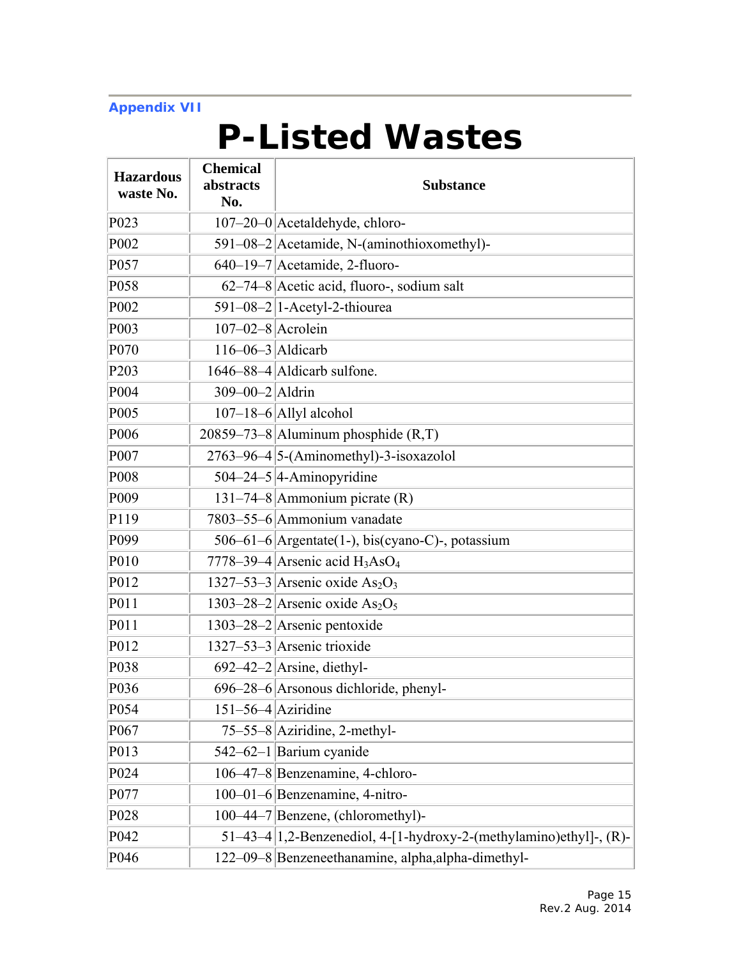# **Appendix VII**

# **P-Listed Wastes**

| <b>Hazardous</b><br>waste No. | <b>Chemical</b><br>abstracts<br>No. | <b>Substance</b>                                                   |
|-------------------------------|-------------------------------------|--------------------------------------------------------------------|
| P <sub>023</sub>              |                                     | 107-20-0 Acetaldehyde, chloro-                                     |
| P002                          |                                     | 591-08-2 Acetamide, N-(aminothioxomethyl)-                         |
| P <sub>057</sub>              |                                     | $640-19-7$ Acetamide, 2-fluoro-                                    |
| P058                          |                                     | 62–74–8 Acetic acid, fluoro-, sodium salt                          |
| P002                          |                                     | 591-08-2 1-Acetyl-2-thiourea                                       |
| P003                          | $107-02-8$ Acrolein                 |                                                                    |
| P070                          | $116 - 06 - 3$ Aldicarb             |                                                                    |
| P203                          |                                     | 1646–88–4 Aldicarb sulfone.                                        |
| P004                          | $309 - 00 - 2$  Aldrin              |                                                                    |
| P <sub>005</sub>              |                                     | 107-18-6 Allyl alcohol                                             |
| P006                          |                                     | 20859–73–8 Aluminum phosphide $(R, T)$                             |
| P007                          |                                     | 2763-96-4 5-(Aminomethyl)-3-isoxazolol                             |
| P008                          |                                     | $504 - 24 - 5$ 4-Aminopyridine                                     |
| P009                          |                                     | 131–74–8 Ammonium picrate $(R)$                                    |
| P119                          |                                     | 7803–55–6 Ammonium vanadate                                        |
| P <sub>099</sub>              |                                     | 506-61-6 Argentate(1-), bis(cyano-C)-, potassium                   |
| P010                          |                                     | 7778-39-4 Arsenic acid $H_3AsO_4$                                  |
| P012                          |                                     | 1327–53–3 Arsenic oxide $As2O3$                                    |
| P011                          |                                     | 1303–28–2 Arsenic oxide $As2O5$                                    |
| P <sub>011</sub>              |                                     | $1303 - 28 - 2$ Arsenic pentoxide                                  |
| P012                          |                                     | $1327 - 53 - 3$ Arsenic trioxide                                   |
| P038                          |                                     | 692-42-2 Arsine, diethyl-                                          |
| P036                          |                                     | $696-28-6$ Arsonous dichloride, phenyl-                            |
| P054                          | $151 - 56 - 4$ Aziridine            |                                                                    |
| P067                          |                                     | 75-55-8 Aziridine, 2-methyl-                                       |
| P013                          |                                     | 542–62–1 Barium cyanide                                            |
| P024                          |                                     | 106–47–8 Benzenamine, 4-chloro-                                    |
| P077                          |                                     | 100-01-6 Benzenamine, 4-nitro-                                     |
| P028                          |                                     | 100–44–7 Benzene, (chloromethyl)-                                  |
| P042                          |                                     | 51-43-4 1,2-Benzenediol, 4-[1-hydroxy-2-(methylamino)ethyl]-, (R)- |
| P046                          |                                     | 122-09-8 Benzeneethanamine, alpha, alpha-dimethyl-                 |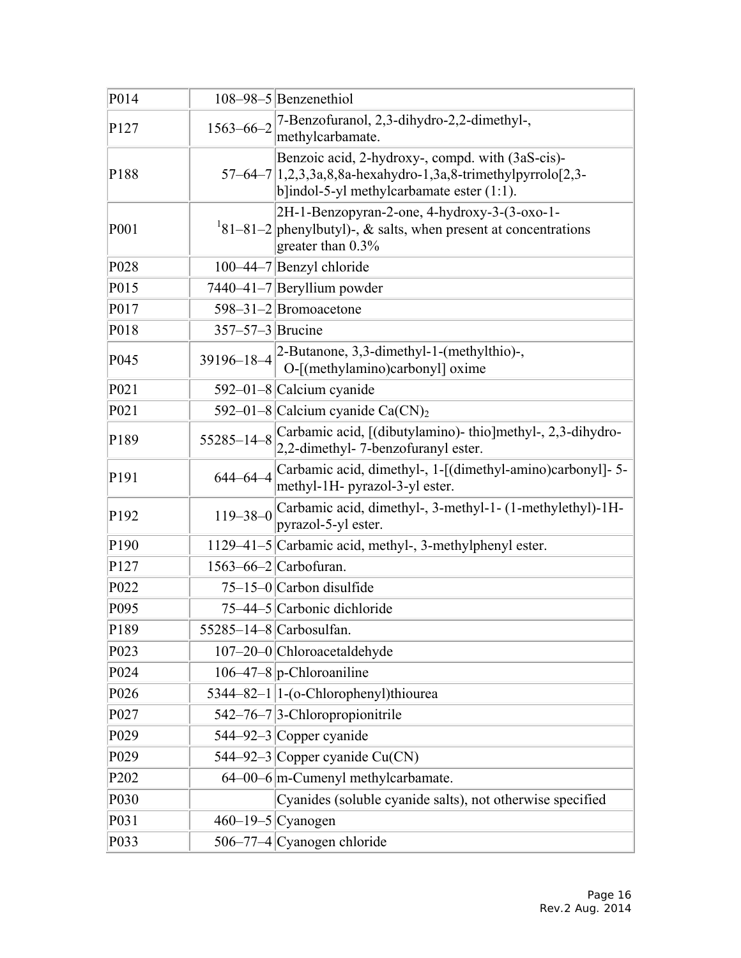| P014             |                        | 108-98-5 Benzenethiol                                                                                                                                                     |
|------------------|------------------------|---------------------------------------------------------------------------------------------------------------------------------------------------------------------------|
| P127             |                        | 1563–66–2 $\begin{array}{ c c }\n 7\text{-}Benzofuranol, 2,3-dihydro-2,2-dimethyl-,\n} \n\end{array}$<br>methylcarbamate.                                                 |
| P188             |                        | Benzoic acid, 2-hydroxy-, compd. with (3aS-cis)-<br>57–64–7 1, 2, 3, 3a, 8, 8a-hexahydro-1, 3a, 8-trimethylpyrrolo [2, 3-<br>b]indol-5-yl methylcarbamate ester $(1:1)$ . |
| P001             |                        | 2H-1-Benzopyran-2-one, 4-hydroxy-3-(3-oxo-1-<br>$^{1}$ 81–81–2 phenylbutyl)-, & salts, when present at concentrations<br>greater than $0.3\%$                             |
| P028             |                        | 100-44-7 Benzyl chloride                                                                                                                                                  |
| P015             |                        | $7440 - 41 - 7$ Beryllium powder                                                                                                                                          |
| P017             |                        | $598 - 31 - 2$ Bromoacetone                                                                                                                                               |
| P018             | $357 - 57 - 3$ Brucine |                                                                                                                                                                           |
| P045             |                        | 39196–18–4 $\begin{vmatrix} 2-Butanone, 3, 3-dimethyl-1-(methylthio)\\ O-[(methylamino)carbonyl] oxime \end{vmatrix}$                                                     |
| P021             |                        | $592-01-8$ Calcium cyanide                                                                                                                                                |
| P021             |                        | 592-01-8 Calcium cyanide Ca(CN) <sub>2</sub>                                                                                                                              |
| P189             |                        | 55285–14–8 $\begin{array}{ l }\n \text{Carbamic acid, [(dibutylamino)- thiolmethyl-, 2,3-dihydro-} \n \end{array}$<br>2,2-dimethyl- 7-benzofuranyl ester.                 |
| P191             |                        | 644–64–4 Carbamic acid, dimethyl-, 1-[(dimethyl-amino)carbonyl]-5-<br>methyl-1H- pyrazol-3-yl ester.                                                                      |
| P192             |                        | 119–38–0 Carbamic acid, dimethyl-, 3-methyl-1- (1-methylethyl)-1H-<br>pyrazol-5-yl ester.                                                                                 |
| P190             |                        | 1129-41-5 Carbamic acid, methyl-, 3-methylphenyl ester.                                                                                                                   |
| P127             |                        | $1563 - 66 - 2$ Carbofuran.                                                                                                                                               |
| P022             |                        | $75-15-0$ Carbon disulfide                                                                                                                                                |
| P095             |                        | 75–44–5 Carbonic dichloride                                                                                                                                               |
| P189             |                        | 55285-14-8 $\lfloor$ Carbosulfan.                                                                                                                                         |
| P023             |                        | 107-20-0 Chloroacetaldehyde                                                                                                                                               |
| P024             |                        | $106-47-8$ p-Chloroaniline                                                                                                                                                |
| P026             |                        | 5344-82-1 1-(o-Chlorophenyl)thiourea                                                                                                                                      |
| P027             |                        | $542 - 76 - 7$ 3-Chloropropionitrile                                                                                                                                      |
| P <sub>029</sub> |                        | 544–92–3 Copper cyanide                                                                                                                                                   |
| P029             |                        | 544–92–3 Copper cyanide Cu(CN)                                                                                                                                            |
| P202             |                        | $64-00-6$ m-Cumenyl methylcarbamate.                                                                                                                                      |
| P030             |                        | Cyanides (soluble cyanide salts), not otherwise specified                                                                                                                 |
| P031             |                        | $460-19-5$ Cyanogen                                                                                                                                                       |
| P033             |                        | 506-77-4 Cyanogen chloride                                                                                                                                                |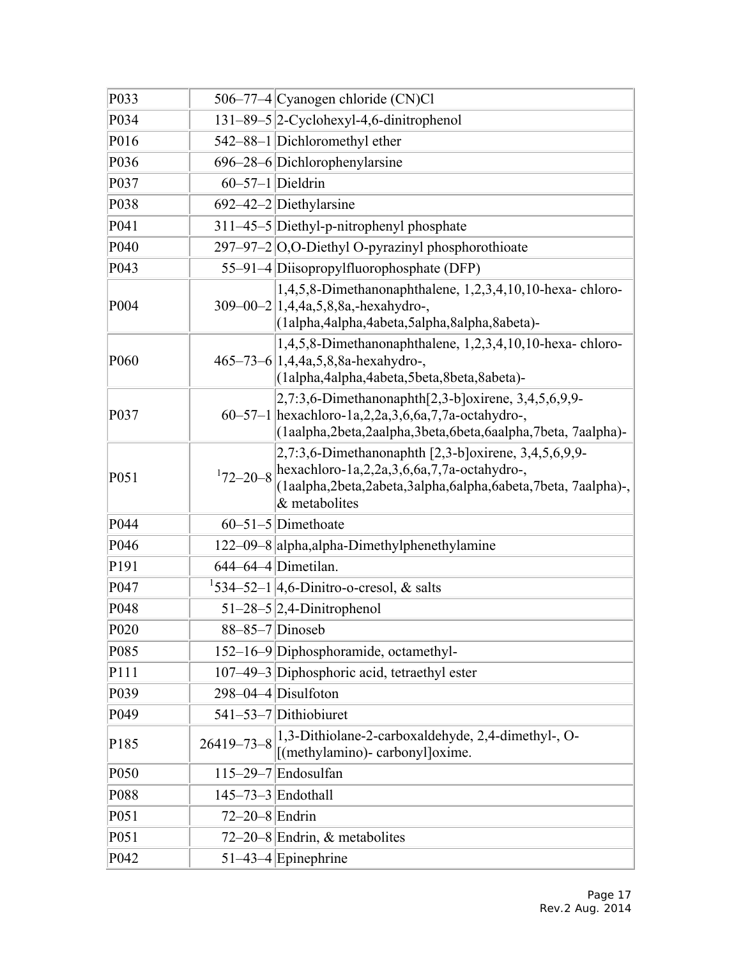| P033             |                    | 506–77–4 Cyanogen chloride (CN)Cl                                                                                                                                                                   |
|------------------|--------------------|-----------------------------------------------------------------------------------------------------------------------------------------------------------------------------------------------------|
| P034             |                    | $131-89-5$ 2-Cyclohexyl-4,6-dinitrophenol                                                                                                                                                           |
| P016             |                    | 542–88–1 Dichloromethyl ether                                                                                                                                                                       |
| P036             |                    | 696–28–6 Dichlorophenylarsine                                                                                                                                                                       |
| P037             | $60-57-1$ Dieldrin |                                                                                                                                                                                                     |
| P038             |                    | $692-42-2$ Diethylarsine                                                                                                                                                                            |
| P041             |                    | 311–45–5 Diethyl-p-nitrophenyl phosphate                                                                                                                                                            |
| P040             |                    | $297-97-2$ O,O-Diethyl O-pyrazinyl phosphorothioate                                                                                                                                                 |
| P043             |                    | 55–91–4 Diisopropylfluorophosphate (DFP)                                                                                                                                                            |
| P004             |                    | 1,4,5,8-Dimethanonaphthalene, 1,2,3,4,10,10-hexa-chloro-<br>$309 - 00 - 2 \mid 1, 4, 4a, 5, 8, 8a$ ,-hexahydro-,<br>(1alpha,4alpha,4abeta,5alpha,8alpha,8abeta)-                                    |
| P <sub>060</sub> |                    | 1,4,5,8-Dimethanonaphthalene, 1,2,3,4,10,10-hexa-chloro-<br>$465 - 73 - 6$   1, 4, 4a, 5, 8, 8a - hexa hydro-,<br>(1alpha,4alpha,4abeta,5beta,8beta,8abeta)-                                        |
| P <sub>037</sub> |                    | 2,7:3,6-Dimethanonaphth[2,3-b]oxirene, 3,4,5,6,9,9-<br>60–57–1 hexachloro-1a,2,2a,3,6,6a,7,7a-octahydro-,<br>(1aalpha,2beta,2aalpha,3beta,6beta,6aalpha,7beta,7aalpha)-                             |
| P <sub>051</sub> |                    | 2,7:3,6-Dimethanonaphth [2,3-b]oxirene, 3,4,5,6,9,9-<br>$172-20-8$ hexachloro-1a,2,2a,3,6,6a,7,7a-octahydro-,<br>$(1aalpha,ba,2beta,2abeta,3a]pha,6abpha,6abeta,7beta,7aa]pha$ )-,<br>& metabolites |
| P044             |                    | $60-51-5$ Dimethoate                                                                                                                                                                                |
| P046             |                    | 122–09–8 alpha, alpha-Dimethylphenethylamine                                                                                                                                                        |
| P <sub>191</sub> |                    | $644 - 64 - 4$ Dimetilan.                                                                                                                                                                           |
| P047             |                    | $1534-52-1$ 4,6-Dinitro-o-cresol, & salts                                                                                                                                                           |
| P048             |                    | $51-28-5$  2,4-Dinitrophenol                                                                                                                                                                        |
| P020             | $88-85-7$ Dinoseb  |                                                                                                                                                                                                     |
| P <sub>085</sub> |                    | 152-16-9 Diphosphoramide, octamethyl-                                                                                                                                                               |
| P111             |                    | 107–49–3 Diphosphoric acid, tetraethyl ester                                                                                                                                                        |
| P039             |                    | $298 - 04 - 4$ Disulfoton                                                                                                                                                                           |
| P049             |                    | 541-53-7 Dithiobiuret                                                                                                                                                                               |
| P185             |                    | 26419-73-8 1,3-Dithiolane-2-carboxaldehyde, 2,4-dimethyl-, O-<br>[(methylamino)- carbonyl]oxime.                                                                                                    |
| P050             |                    | $115-29-7$ Endosulfan                                                                                                                                                                               |
| P088             | 145-73-3 Endothall |                                                                                                                                                                                                     |
| P051             | 72-20-8 Endrin     |                                                                                                                                                                                                     |
| P051             |                    | 72–20–8 Endrin, $\&$ metabolites                                                                                                                                                                    |
| P042             |                    | $51-43-4$ Epinephrine                                                                                                                                                                               |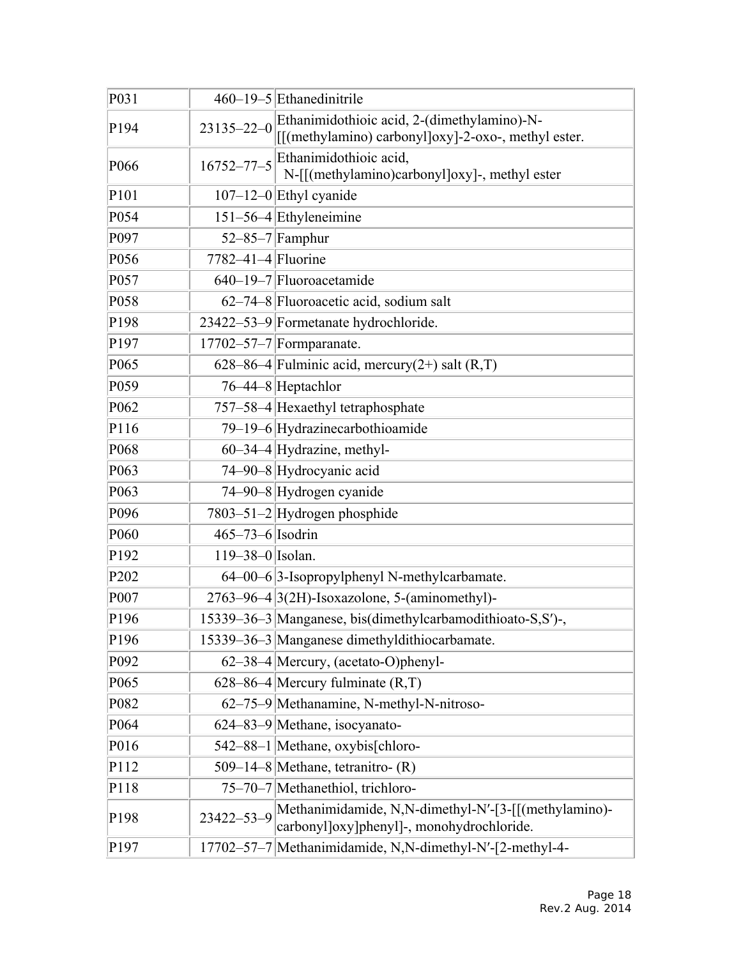| P031 |                          | 460–19–5 Ethanedinitrile                                                                                        |
|------|--------------------------|-----------------------------------------------------------------------------------------------------------------|
| P194 |                          | $23135-22-0$ Ethanimidothioic acid, 2-(dimethylamino)-N-<br>[[(methylamino) carbonyl]oxy]-2-oxo-, methyl ester. |
| P066 |                          | 16752-77-5 Ethanimidothioic acid,<br>N-[[(methylamino)carbonyl]oxy]-, methyl ester                              |
| P101 |                          | 107-12-0 Ethyl cyanide                                                                                          |
| P054 |                          | $151 - 56 - 4$ Ethyleneimine                                                                                    |
| P097 |                          | 52-85-7 Famphur                                                                                                 |
| P056 | $7782 - 41 - 4$ Fluorine |                                                                                                                 |
| P057 |                          | 640–19–7 Fluoroacetamide                                                                                        |
| P058 |                          | 62-74-8 Fluoroacetic acid, sodium salt                                                                          |
| P198 |                          | 23422-53-9 Formetanate hydrochloride.                                                                           |
| P197 |                          | $17702 - 57 - 7$ Formparanate.                                                                                  |
| P065 |                          | 628–86–4 Fulminic acid, mercury(2+) salt $(R,T)$                                                                |
| P059 |                          | $76-44-8$ Heptachlor                                                                                            |
| P062 |                          | 757-58-4 Hexaethyl tetraphosphate                                                                               |
| P116 |                          | 79-19-6 Hydrazinecarbothioamide                                                                                 |
| P068 |                          | 60–34–4 Hydrazine, methyl-                                                                                      |
| P063 |                          | 74–90–8 Hydrocyanic acid                                                                                        |
| P063 |                          | 74–90–8 Hydrogen cyanide                                                                                        |
| P096 |                          | $7803 - 51 - 2$ Hydrogen phosphide                                                                              |
| P060 | $465 - 73 - 6$ Isodrin   |                                                                                                                 |
| P192 | $119 - 38 - 0$ Isolan.   |                                                                                                                 |
| P202 |                          | $64-00-6$ 3-Isopropylphenyl N-methylcarbamate.                                                                  |
| P007 |                          | 2763-96-4 3(2H)-Isoxazolone, 5-(aminomethyl)-                                                                   |
| P196 |                          | 15339–36–3 Manganese, bis(dimethylcarbamodithioato-S,S')-,                                                      |
| P196 |                          | 15339–36–3 Manganese dimethyldithiocarbamate.                                                                   |
| P092 |                          | 62-38-4 Mercury, (acetato-O)phenyl-                                                                             |
| P065 |                          | 628–86–4 Mercury fulminate $(R, T)$                                                                             |
| P082 |                          | 62-75-9 Methanamine, N-methyl-N-nitroso-                                                                        |
| P064 |                          | 624–83–9 Methane, isocyanato-                                                                                   |
| P016 |                          | 542-88-1 Methane, oxybis[chloro-                                                                                |
| P112 |                          | 509–14–8 Methane, tetranitro- (R)                                                                               |
| P118 |                          | 75-70-7 Methanethiol, trichloro-                                                                                |
| P198 |                          | $23422-53-9$ Methanimidamide, N,N-dimethyl-N'-[3-[[(methylamino)-<br>carbonyl]oxy]phenyl]-, monohydrochloride.  |
| P197 |                          | 17702-57-7 Methanimidamide, N,N-dimethyl-N'-[2-methyl-4-                                                        |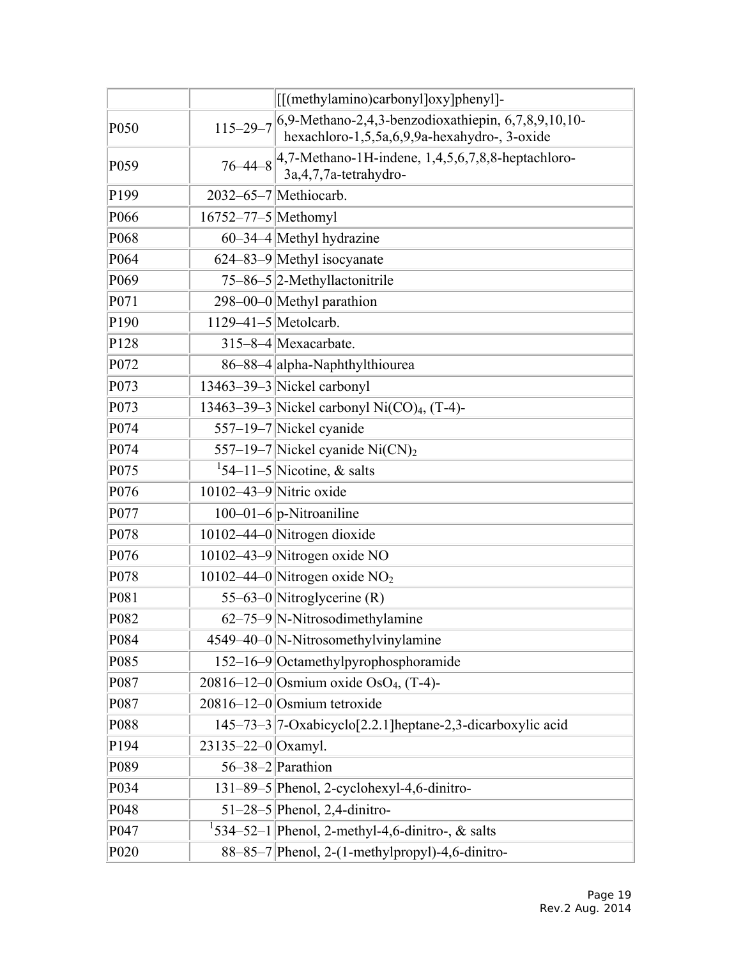|                  |                           | [[(methylamino)carbonyl]oxy]phenyl]-                                                                                            |
|------------------|---------------------------|---------------------------------------------------------------------------------------------------------------------------------|
| P <sub>050</sub> |                           | 115-29-7 6,9-Methano-2,4,3-benzodioxathiepin, 6,7,8,9,10,10-<br>hexachloro-1,5,5a,6,9,9a-hexahydro-, 3-oxide                    |
| P <sub>059</sub> |                           | 76–44–8 $\begin{vmatrix} 4 & 7 \ 3 & 4 \end{vmatrix}$ ,7-Methano-1H-indene, 1,4,5,6,7,8,8-heptachloro-<br>3a,4,7,7a-tetrahydro- |
| P <sub>199</sub> |                           | 2032-65-7 Methiocarb.                                                                                                           |
| P066             | $16752 - 77 - 5$ Methomyl |                                                                                                                                 |
| P068             |                           | $60-34-4$ Methyl hydrazine                                                                                                      |
| P064             |                           | $624 - 83 - 9$ Methyl isocyanate                                                                                                |
| P <sub>069</sub> |                           | 75-86-5 2-Methyllactonitrile                                                                                                    |
| P <sub>071</sub> |                           | 298-00-0 Methyl parathion                                                                                                       |
| P <sub>190</sub> | $1129-41-5$ Metolcarb.    |                                                                                                                                 |
| P128             |                           | 315-8-4 Mexacarbate.                                                                                                            |
| P <sub>072</sub> |                           | 86-88-4 alpha-Naphthylthiourea                                                                                                  |
| P <sub>073</sub> |                           | 13463-39-3 Nickel carbonyl                                                                                                      |
| P073             |                           | 13463–39–3 Nickel carbonyl Ni(CO) <sub>4</sub> , (T-4)-                                                                         |
| P <sub>074</sub> |                           | 557-19-7 Nickel cyanide                                                                                                         |
| P <sub>074</sub> |                           | 557–19–7 Nickel cyanide $Ni(CN)_2$                                                                                              |
| P075             |                           | $154-11-5$ Nicotine, & salts                                                                                                    |
| P076             | 10102-43-9 Nitric oxide   |                                                                                                                                 |
| P077             |                           | $100-01-6$ p-Nitroaniline                                                                                                       |
| P078             |                           | 10102-44-0 Nitrogen dioxide                                                                                                     |
| P076             |                           | 10102-43-9 Nitrogen oxide NO                                                                                                    |
| P078             |                           | 10102-44-0 Nitrogen oxide $NO2$                                                                                                 |
| P <sub>081</sub> |                           | 55–63–0 Nitroglycerine $(R)$                                                                                                    |
| P082             |                           | $62-75-9$ N-Nitrosodimethylamine                                                                                                |
| P084             |                           | 4549-40-0 N-Nitrosomethylvinylamine                                                                                             |
| P085             |                           | 152-16-9 Octamethylpyrophosphoramide                                                                                            |
| P087             |                           | 20816–12–0 Osmium oxide OsO <sub>4</sub> , (T-4)-                                                                               |
| P087             |                           | $20816 - 12 - 0$ Osmium tetroxide                                                                                               |
| P088             |                           | 145-73-3 7-Oxabicyclo <sup>[2.2.1</sup> ] heptane-2,3-dicarboxylic acid                                                         |
| P194             | 23135-22-0 Oxamyl.        |                                                                                                                                 |
| P089             |                           | 56-38-2 Parathion                                                                                                               |
| P034             |                           | 131-89-5 Phenol, 2-cyclohexyl-4,6-dinitro-                                                                                      |
| P048             |                           | 51-28-5 Phenol, 2,4-dinitro-                                                                                                    |
| P047             |                           | <sup>1</sup> 534–52–1 Phenol, 2-methyl-4,6-dinitro-, $\&$ salts                                                                 |
| P020             |                           | 88-85-7 Phenol, 2-(1-methylpropyl)-4,6-dinitro-                                                                                 |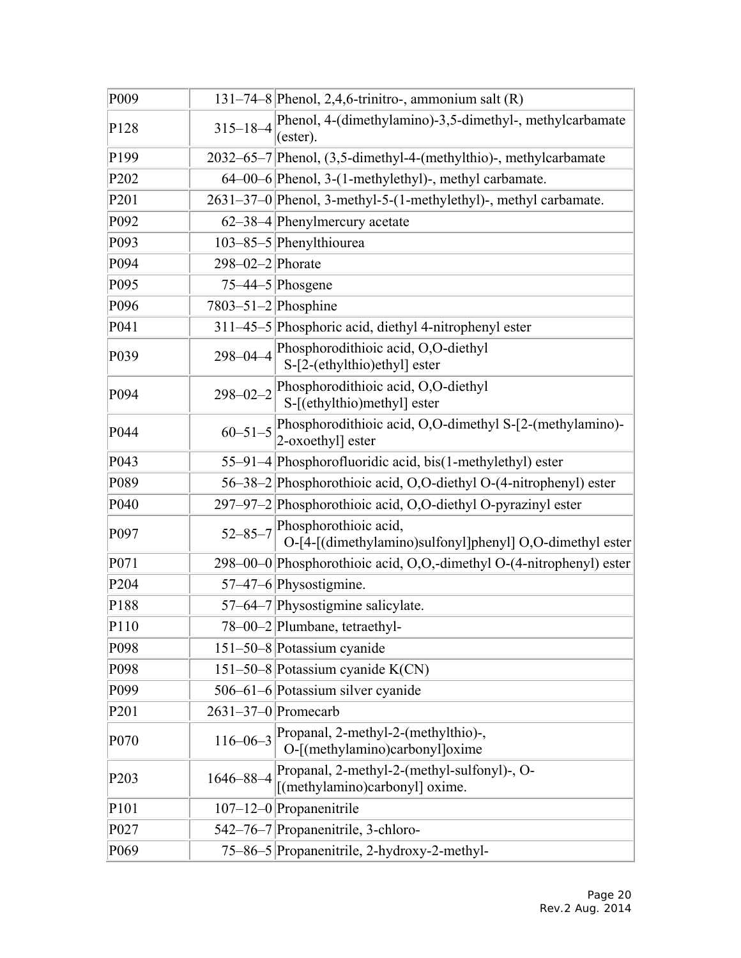| P009              |                           | 131-74-8 Phenol, 2,4,6-trinitro-, ammonium salt $(R)$                                     |
|-------------------|---------------------------|-------------------------------------------------------------------------------------------|
| P128              |                           | 315–18–4 Phenol, 4-(dimethylamino)-3,5-dimethyl-, methylcarbamate<br>(ester).             |
| P199              |                           | 2032–65–7 Phenol, (3,5-dimethyl-4-(methylthio)-, methylcarbamate                          |
| P202              |                           | 64–00–6 Phenol, 3-(1-methylethyl)-, methyl carbamate.                                     |
| P201              |                           | 2631-37-0 Phenol, 3-methyl-5-(1-methylethyl)-, methyl carbamate.                          |
| P092              |                           | 62-38-4 Phenylmercury acetate                                                             |
| P093              |                           | 103-85-5 Phenylthiourea                                                                   |
| P094              | $298 - 02 - 2$ Phorate    |                                                                                           |
| P095              |                           | $75-44-5$ Phosgene                                                                        |
| P096              | $7803 - 51 - 2$ Phosphine |                                                                                           |
| P041              |                           | 311–45–5 Phosphoric acid, diethyl 4-nitrophenyl ester                                     |
| P039              |                           | 298–04–4 Phosphorodithioic acid, O,O-diethyl<br>S-[2-(ethylthio)ethyl] ester              |
| P094              |                           | 298–02–2 Phosphorodithioic acid, O,O-diethyl<br>S-[(ethylthio)methyl] ester               |
| P044              |                           | 60–51–5 Phosphorodithioic acid, O,O-dimethyl S-[2-(methylamino)-<br>2-oxoethyl] ester     |
| P043              |                           | 55–91–4 Phosphorofluoridic acid, bis(1-methylethyl) ester                                 |
| P089              |                           | 56–38–2 Phosphorothioic acid, O,O-diethyl O-(4-nitrophenyl) ester                         |
| P040              |                           | 297–97–2 Phosphorothioic acid, O,O-diethyl O-pyrazinyl ester                              |
| P097              |                           | 52-85-7 Phosphorothioic acid,<br>O-[4-[(dimethylamino)sulfonyl]phenyl] O,O-dimethyl ester |
| P071              |                           | 298-00-0 Phosphorothioic acid, O,O,-dimethyl O-(4-nitrophenyl) ester                      |
| P204              |                           | 57-47-6 Physostigmine.                                                                    |
| P188              |                           | 57-64-7 Physostigmine salicylate.                                                         |
| P110              |                           | 78-00-2 Plumbane, tetraethyl-                                                             |
| P098              |                           | 151-50-8 Potassium cyanide                                                                |
| P098              |                           | 151–50–8 Potassium cyanide K(CN)                                                          |
| P099              |                           | 506–61–6 Potassium silver cyanide                                                         |
| P201              | $2631 - 37 - 0$ Promecarb |                                                                                           |
| P070              |                           | 116–06–3 Propanal, 2-methyl-2-(methylthio)-,<br>O-[(methylamino)carbonyl]oxime            |
| P <sub>20</sub> 3 |                           | 1646–88–4 Propanal, 2-methyl-2-(methyl-sulfonyl)-, O-<br>[(methylamino)carbonyl] oxime.   |
| P101              |                           | $107 - 12 - 0$ Propanenitrile                                                             |
| P027              |                           | 542–76–7 Propanenitrile, 3-chloro-                                                        |
| P069              |                           | 75–86–5 Propanenitrile, 2-hydroxy-2-methyl-                                               |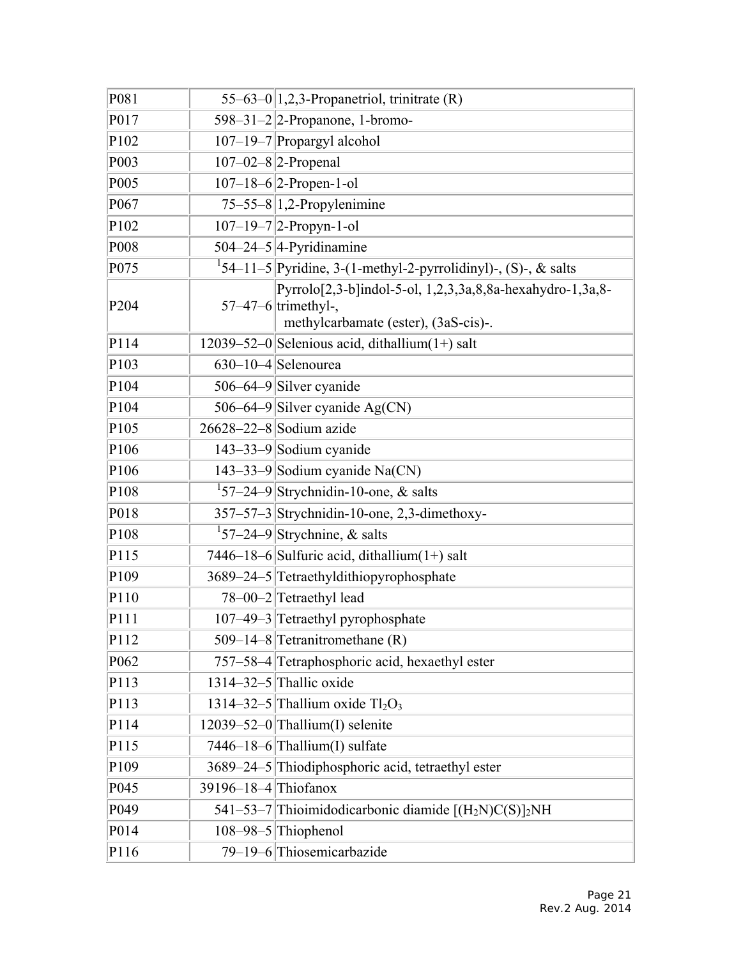| P081             |                      | 55–63–0 $\vert 1,2,3$ -Propanetriol, trinitrate (R)                                                                        |
|------------------|----------------------|----------------------------------------------------------------------------------------------------------------------------|
| P017             |                      | 598-31-2 2-Propanone, 1-bromo-                                                                                             |
| P <sub>102</sub> |                      | $107-19-7$ Propargyl alcohol                                                                                               |
| P <sub>003</sub> |                      | $107 - 02 - 8$  2-Propenal                                                                                                 |
| P <sub>005</sub> |                      | $107 - 18 - 6$ 2-Propen-1-ol                                                                                               |
| P <sub>067</sub> |                      | $75-55-8$  1,2-Propylenimine                                                                                               |
| P102             |                      | $107-19-7$ 2-Propyn-1-ol                                                                                                   |
| P008             |                      | $504 - 24 - 5$ 4-Pyridinamine                                                                                              |
| P075             |                      | <sup>1</sup> 54–11–5 Pyridine, 3-(1-methyl-2-pyrrolidinyl)-, (S)-, & salts                                                 |
| P <sub>204</sub> |                      | Pyrrolo[2,3-b]indol-5-ol, 1,2,3,3a,8,8a-hexahydro-1,3a,8-<br>$57-47-6$ trimethyl-,<br>methylcarbamate (ester), (3aS-cis)-. |
| P114             |                      | 12039-52-0 Selenious acid, dithallium $(1+)$ salt                                                                          |
| P <sub>103</sub> |                      | $630-10-4$ Selenourea                                                                                                      |
| P104             |                      | 506–64–9 Silver cyanide                                                                                                    |
| P104             |                      | 506–64–9 Silver cyanide Ag(CN)                                                                                             |
| P105             |                      | $26628 - 22 - 8$ Sodium azide                                                                                              |
| P106             |                      | $143 - 33 - 9$ Sodium cyanide                                                                                              |
| P <sub>106</sub> |                      | 143–33–9 Sodium cyanide Na(CN)                                                                                             |
| P108             |                      | $157-24-9$ Strychnidin-10-one, & salts                                                                                     |
| P018             |                      | 357-57-3 Strychnidin-10-one, 2,3-dimethoxy-                                                                                |
| P <sub>108</sub> |                      | $157-24-9$ Strychnine, & salts                                                                                             |
| P115             |                      | 7446–18–6 Sulfuric acid, dithallium $(1+)$ salt                                                                            |
| P <sub>109</sub> |                      | 3689-24-5 Tetraethyldithiopyrophosphate                                                                                    |
| P110             |                      | 78-00-2 Tetraethyl lead                                                                                                    |
| P111             |                      | 107–49–3 Tetraethyl pyrophosphate                                                                                          |
| P112             |                      | 509–14–8 Tetranitromethane $(R)$                                                                                           |
| P <sub>062</sub> |                      | 757–58–4 Tetraphosphoric acid, hexaethyl ester                                                                             |
| P113             |                      | 1314-32-5 Thallic oxide                                                                                                    |
| P113             |                      | 1314–32–5 Thallium oxide $Tl_2O_3$                                                                                         |
| P114             |                      | 12039-52-0 Thallium(I) selenite                                                                                            |
| P115             |                      | 7446–18–6 Thallium(I) sulfate                                                                                              |
| P <sub>109</sub> |                      | 3689-24-5 Thiodiphosphoric acid, tetraethyl ester                                                                          |
| P045             | 39196-18-4 Thiofanox |                                                                                                                            |
| P049             |                      | 541–53–7 Thioimidodicarbonic diamide $[(H_2N)C(S)]_2NH$                                                                    |
| P014             |                      | 108-98-5 Thiophenol                                                                                                        |
| P116             |                      | 79-19-6 Thiosemicarbazide                                                                                                  |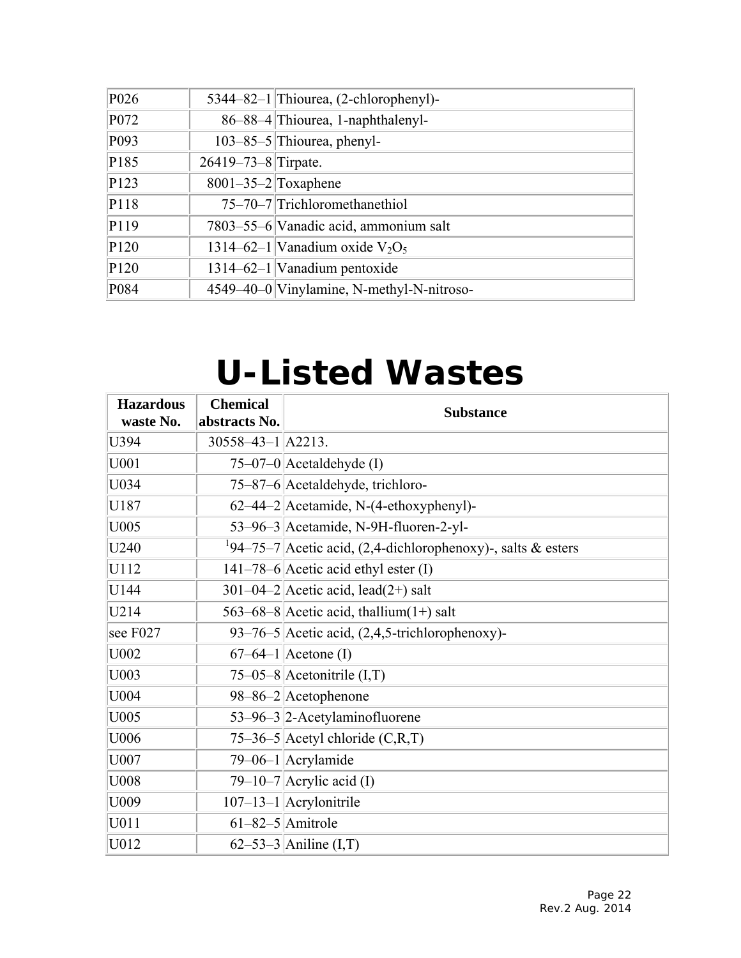| P <sub>026</sub> |                           | 5344–82–1 Thiourea, (2-chlorophenyl)-     |
|------------------|---------------------------|-------------------------------------------|
| $P_{072}$        |                           | 86–88–4 Thiourea, 1-naphthalenyl-         |
| P <sub>093</sub> |                           | $103 - 85 - 5$ Thiourea, phenyl-          |
| P <sub>185</sub> | 26419-73-8 Tirpate.       |                                           |
| P123             | $8001 - 35 - 2$ Toxaphene |                                           |
| P118             |                           | 75-70-7 Trichloromethanethiol             |
| PI19             |                           | 7803-55-6 Vanadic acid, ammonium salt     |
| P120             |                           | 1314–62–1 Vanadium oxide $V_2O_5$         |
| P120             |                           | $1314 - 62 - 1$ Vanadium pentoxide        |
| P084             |                           | 4549–40–0 Vinylamine, N-methyl-N-nitroso- |

# **U-Listed Wastes**

| <b>Hazardous</b><br>waste No. | <b>Chemical</b><br>abstracts No. | <b>Substance</b>                                                         |
|-------------------------------|----------------------------------|--------------------------------------------------------------------------|
| U394                          | $30558 - 43 - 1$ $\vert$ A2213.  |                                                                          |
| U001                          |                                  | $75-07-0$ Acetaldehyde (I)                                               |
| U034                          |                                  | 75-87-6 Acetaldehyde, trichloro-                                         |
| U187                          |                                  | 62–44–2 Acetamide, N-(4-ethoxyphenyl)-                                   |
| U005                          |                                  | 53–96–3 Acetamide, N-9H-fluoren-2-yl-                                    |
| U240                          |                                  | <sup>1</sup> 94–75–7 Acetic acid, (2,4-dichlorophenoxy)-, salts & esters |
| U112                          |                                  | 141-78-6 Acetic acid ethyl ester (I)                                     |
| U144                          |                                  | 301–04–2 Acetic acid, lead $(2+)$ salt                                   |
| U214                          |                                  | 563–68–8 Acetic acid, thallium $(1+)$ salt                               |
| see F027                      |                                  | 93–76–5 Acetic acid, (2,4,5-trichlorophenoxy)-                           |
| U002                          |                                  | 67–64–1 Acetone (I)                                                      |
| U003                          |                                  | 75–05–8 Acetonitrile $(I,T)$                                             |
| U004                          |                                  | 98-86-2 Acetophenone                                                     |
| U005                          |                                  | 53–96–3 2-Acetylaminofluorene                                            |
| U006                          |                                  | 75–36–5 Acetyl chloride $(C, R, T)$                                      |
| U007                          |                                  | 79–06–1 $ Acrylamide$                                                    |
| U008                          |                                  | 79–10–7   Acrylic acid (I)                                               |
| U009                          |                                  | $107-13-1$ Acrylonitrile                                                 |
| U011                          |                                  | 61-82-5 Amitrole                                                         |
| U012                          |                                  | 62–53–3 Aniline $(I, T)$                                                 |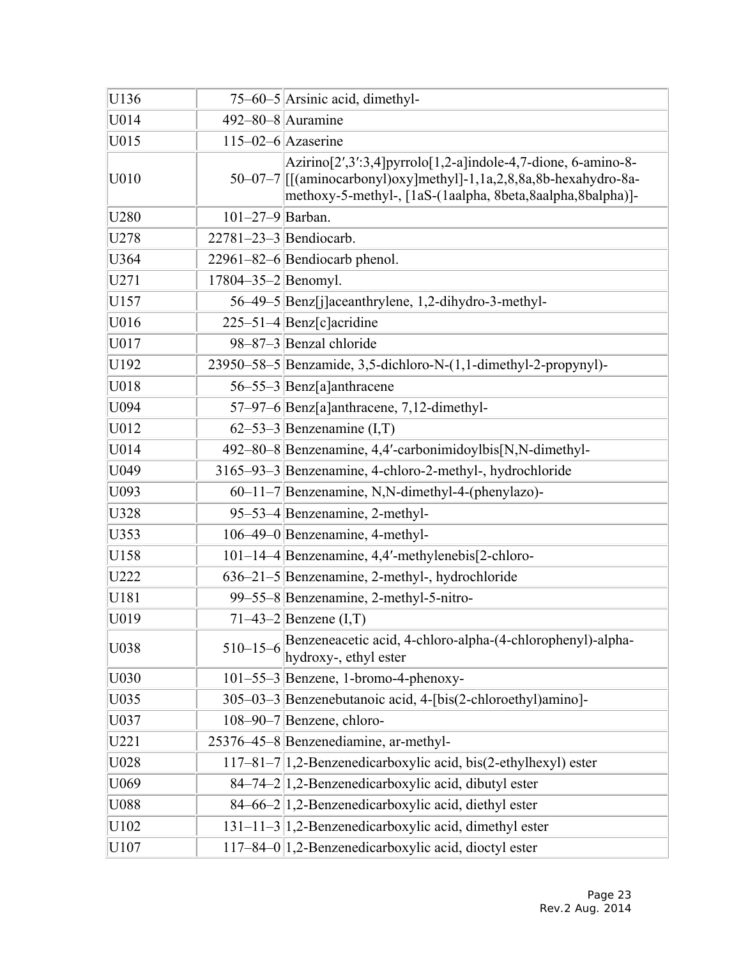| U136 |                              | 75–60–5 Arsinic acid, dimethyl-                                                                                                                                                                   |
|------|------------------------------|---------------------------------------------------------------------------------------------------------------------------------------------------------------------------------------------------|
| U014 |                              | $492 - 80 - 8$ Auramine                                                                                                                                                                           |
| U015 |                              | $115-02-6$ Azaserine                                                                                                                                                                              |
| U010 |                              | Azirino[2',3':3,4]pyrrolo[1,2-a]indole-4,7-dione, 6-amino-8-<br>50-07-7 [[(aminocarbonyl)oxy]methyl]-1,1a,2,8,8a,8b-hexahydro-8a-<br>methoxy-5-methyl-, [1aS-(1aalpha, 8beta, 8aalpha, 8balpha)]- |
| U280 | $101 - 27 - 9$ Barban.       |                                                                                                                                                                                                   |
| U278 | $22781 - 23 - 3$ Bendiocarb. |                                                                                                                                                                                                   |
| U364 |                              | 22961-82-6 Bendiocarb phenol.                                                                                                                                                                     |
| U271 | $17804 - 35 - 2$ Benomyl.    |                                                                                                                                                                                                   |
| U157 |                              | 56–49–5 Benz [j] aceanthrylene, 1,2-dihydro-3-methyl-                                                                                                                                             |
| U016 |                              | $225 - 51 - 4$ Benz[c] acridine                                                                                                                                                                   |
| U017 |                              | 98-87-3 Benzal chloride                                                                                                                                                                           |
| U192 |                              | 23950-58-5 Benzamide, 3,5-dichloro-N-(1,1-dimethyl-2-propynyl)-                                                                                                                                   |
| U018 |                              | 56–55–3 Benz[a]anthracene                                                                                                                                                                         |
| U094 |                              | 57-97-6 Benz[a]anthracene, 7,12-dimethyl-                                                                                                                                                         |
| U012 |                              | 62–53–3 Benzenamine $(I,T)$                                                                                                                                                                       |
| U014 |                              | 492–80–8 Benzenamine, 4,4'-carbonimidoylbis [N, N-dimethyl-                                                                                                                                       |
| U049 |                              | 3165–93–3 Benzenamine, 4-chloro-2-methyl-, hydrochloride                                                                                                                                          |
| U093 |                              | 60–11–7 Benzenamine, N,N-dimethyl-4-(phenylazo)-                                                                                                                                                  |
| U328 |                              | 95-53-4 Benzenamine, 2-methyl-                                                                                                                                                                    |
| U353 |                              | 106-49-0 Benzenamine, 4-methyl-                                                                                                                                                                   |
| U158 |                              | 101-14-4 Benzenamine, 4,4'-methylenebis[2-chloro-                                                                                                                                                 |
| U222 |                              | 636–21–5 Benzenamine, 2-methyl-, hydrochloride                                                                                                                                                    |
| U181 |                              | 99–55–8 Benzenamine, 2-methyl-5-nitro-                                                                                                                                                            |
| U019 |                              | 71–43–2 Benzene $(I,T)$                                                                                                                                                                           |
| U038 | $510 - 15 - 6$               | Benzeneacetic acid, 4-chloro-alpha-(4-chlorophenyl)-alpha-<br>hydroxy-, ethyl ester                                                                                                               |
| U030 |                              | 101-55-3 Benzene, 1-bromo-4-phenoxy-                                                                                                                                                              |
| U035 |                              | 305-03-3 Benzenebutanoic acid, 4-[bis(2-chloroethyl)amino]-                                                                                                                                       |
| U037 |                              | 108-90-7 Benzene, chloro-                                                                                                                                                                         |
| U221 |                              | 25376-45-8 Benzenediamine, ar-methyl-                                                                                                                                                             |
| U028 |                              | $117-81-7$ ].2-Benzenedicarboxylic acid, bis(2-ethylhexyl) ester                                                                                                                                  |
| U069 |                              | 84–74–2 1,2-Benzenedicarboxylic acid, dibutyl ester                                                                                                                                               |
| U088 |                              | 84–66–2 1,2-Benzenedicarboxylic acid, diethyl ester                                                                                                                                               |
| U102 |                              | 131-11-3 1,2-Benzenedicarboxylic acid, dimethyl ester                                                                                                                                             |
| U107 |                              | 117-84-0 1,2-Benzenedicarboxylic acid, dioctyl ester                                                                                                                                              |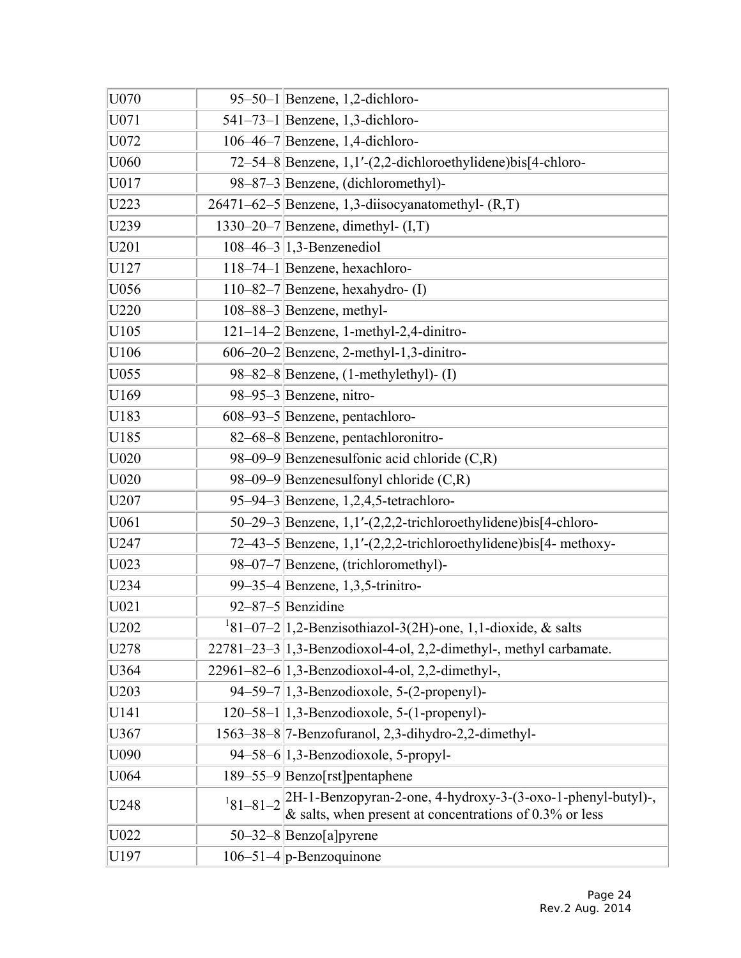| U070 |                | 95-50-1 Benzene, 1,2-dichloro-                                                                                         |
|------|----------------|------------------------------------------------------------------------------------------------------------------------|
| U071 |                | 541-73-1 Benzene, 1,3-dichloro-                                                                                        |
| U072 |                | $106-46-7$ Benzene, 1,4-dichloro-                                                                                      |
| U060 |                | 72–54–8 Benzene, 1,1'-(2,2-dichloroethylidene)bis[4-chloro-                                                            |
| U017 |                | 98–87–3 Benzene, (dichloromethyl)-                                                                                     |
| U223 |                | 26471–62–5 Benzene, 1,3-diisocyanatomethyl- $(R, T)$                                                                   |
| U239 |                | 1330–20–7 Benzene, dimethyl- $(I,T)$                                                                                   |
| U201 |                | $108 - 46 - 3 \vert 1, 3$ -Benzenediol                                                                                 |
| U127 |                | 118-74-1 Benzene, hexachloro-                                                                                          |
| U056 |                | 110–82–7 Benzene, hexahydro- $(I)$                                                                                     |
| U220 |                | $108 - 88 - 3$ Benzene, methyl-                                                                                        |
| U105 |                | 121-14-2 Benzene, 1-methyl-2,4-dinitro-                                                                                |
| U106 |                | $606-20-2$ Benzene, 2-methyl-1,3-dinitro-                                                                              |
| U055 |                | 98-82-8 Benzene, (1-methylethyl)- (I)                                                                                  |
| U169 |                | 98-95-3 Benzene, nitro-                                                                                                |
| U183 |                | 608–93–5 Benzene, pentachloro-                                                                                         |
| U185 |                | 82–68–8 Benzene, pentachloronitro-                                                                                     |
| U020 |                | 98–09–9 Benzenesulfonic acid chloride $(C,R)$                                                                          |
| U020 |                | 98–09–9 Benzenesulfonyl chloride $(C,R)$                                                                               |
| U207 |                | 95–94–3 Benzene, $1,2,4,5$ -tetrachloro-                                                                               |
| U061 |                | 50–29–3 Benzene, 1,1'-(2,2,2-trichloroethylidene)bis[4-chloro-                                                         |
| U247 |                | 72–43–5 Benzene, 1,1'-(2,2,2-trichloroethylidene)bis[4- methoxy-                                                       |
| U023 |                | 98-07-7 Benzene, (trichloromethyl)-                                                                                    |
| U234 |                | 99-35-4 Benzene, 1,3,5-trinitro-                                                                                       |
| U021 |                | 92-87-5 Benzidine                                                                                                      |
| U202 |                | $181-07-2$ 1,2-Benzisothiazol-3(2H)-one, 1,1-dioxide, & salts                                                          |
| U278 |                | 22781-23-3 1,3-Benzodioxol-4-ol, 2,2-dimethyl-, methyl carbamate.                                                      |
| U364 |                | 22961-82-6 1,3-Benzodioxol-4-ol, 2,2-dimethyl-,                                                                        |
| U203 |                | $94-59-7$ ], 3-Benzodioxole, 5-(2-propenyl)-                                                                           |
| U141 |                | $120-58-1$ 1,3-Benzodioxole, 5-(1-propenyl)-                                                                           |
| U367 |                | 1563-38-8 7-Benzofuranol, 2,3-dihydro-2,2-dimethyl-                                                                    |
| U090 |                | 94-58-6 1,3-Benzodioxole, 5-propyl-                                                                                    |
| U064 |                | 189–55–9 Benzo [rst] pentaphene                                                                                        |
| U248 | $181 - 81 - 2$ | 2H-1-Benzopyran-2-one, 4-hydroxy-3-(3-oxo-1-phenyl-butyl)-,<br>& salts, when present at concentrations of 0.3% or less |
| U022 |                | $50 - 32 - 8$ Benzo [a] pyrene                                                                                         |
| U197 |                | $106 - 51 - 4$ p-Benzoquinone                                                                                          |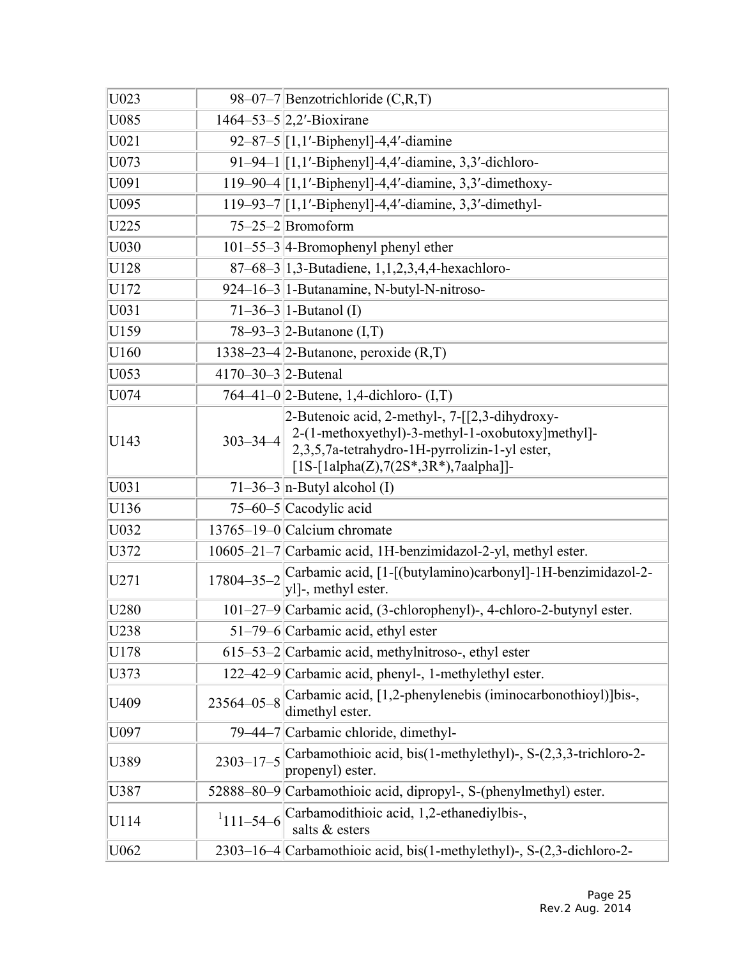| U023 |                           | 98–07–7 Benzotrichloride $(C, R, T)$                                                                                                                        |
|------|---------------------------|-------------------------------------------------------------------------------------------------------------------------------------------------------------|
| U085 |                           | $1464 - 53 - 5 \vert 2,2$ '-Bioxirane                                                                                                                       |
| U021 |                           | 92-87-5 [1,1'-Biphenyl]-4,4'-diamine                                                                                                                        |
| U073 |                           | 91-94-1 [1,1'-Biphenyl]-4,4'-diamine, 3,3'-dichloro-                                                                                                        |
| U091 |                           | 119–90–4 $[1,1'-Bipheny1]-4,4'-diamine, 3,3'-dimethoxy-$                                                                                                    |
| U095 |                           | 119-93-7 [1,1'-Biphenyl]-4,4'-diamine, 3,3'-dimethyl-                                                                                                       |
| U225 |                           | $75 - 25 - 2$ Bromoform                                                                                                                                     |
| U030 |                           | $101-55-3$ 4-Bromophenyl phenyl ether                                                                                                                       |
| U128 |                           | 87-68-3 1,3-Butadiene, 1,1,2,3,4,4-hexachloro-                                                                                                              |
| U172 |                           | 924-16-3 1-Butanamine, N-butyl-N-nitroso-                                                                                                                   |
| U031 |                           | 71-36-3 1-Butanol (I)                                                                                                                                       |
| U159 |                           | 78–93–3 2-Butanone $(I, T)$                                                                                                                                 |
| U160 |                           | 1338–23–4 $ 2$ -Butanone, peroxide $(R, T)$                                                                                                                 |
| U053 | $4170 - 30 - 3$ 2-Butenal |                                                                                                                                                             |
| U074 |                           | 764–41–0 $ 2$ -Butene, 1,4-dichloro- $(I, T)$                                                                                                               |
| U143 |                           | 2-Butenoic acid, 2-methyl-, 7-[[2,3-dihydroxy-<br>2,3,5,7a-tetrahydro-1H-pyrrolizin-1-yl ester,<br>$[1S-[1alpha(Z),7(2S*,3R*),7aalpha]]$ -                  |
| U031 |                           | 71–36–3  n-Butyl alcohol (I)                                                                                                                                |
| U136 |                           | $75-60-5$ Cacodylic acid                                                                                                                                    |
| U032 |                           | $13765 - 19 - 0$ Calcium chromate                                                                                                                           |
| U372 |                           | 10605-21-7 Carbamic acid, 1H-benzimidazol-2-yl, methyl ester.                                                                                               |
| U271 |                           | 17804–35–2 $\Big \text{Carbamic acid}, \Big \overline{1-[ (butylamino) \text{carbonyl}]} - 1 \text{H-benzimidazol-2-} \Big \text{y1} \Big $ , methyl ester. |
| U280 |                           | 101-27-9 Carbamic acid, (3-chlorophenyl)-, 4-chloro-2-butynyl ester.                                                                                        |
| U238 |                           | 51-79-6 Carbamic acid, ethyl ester                                                                                                                          |
| U178 |                           | 615–53–2 Carbamic acid, methylnitroso-, ethyl ester                                                                                                         |
| U373 |                           | 122–42–9 Carbamic acid, phenyl-, 1-methylethyl ester.                                                                                                       |
| U409 | $23564 - 05 - 8$          | Carbamic acid, [1,2-phenylenebis (iminocarbonothioyl)]bis-,<br>dimethyl ester.                                                                              |
| U097 |                           | 79-44-7 Carbamic chloride, dimethyl-                                                                                                                        |
| U389 | $2303 - 17 - 5$           | Carbamothioic acid, bis(1-methylethyl)-, S-(2,3,3-trichloro-2-<br>propenyl) ester.                                                                          |
| U387 |                           | 52888–80–9 Carbamothioic acid, dipropyl-, S-(phenylmethyl) ester.                                                                                           |
| U114 | $111-54-6$                | Carbamodithioic acid, 1,2-ethanediylbis-,<br>salts & esters                                                                                                 |
| U062 |                           | 2303-16-4 Carbamothioic acid, bis(1-methylethyl)-, S-(2,3-dichloro-2-                                                                                       |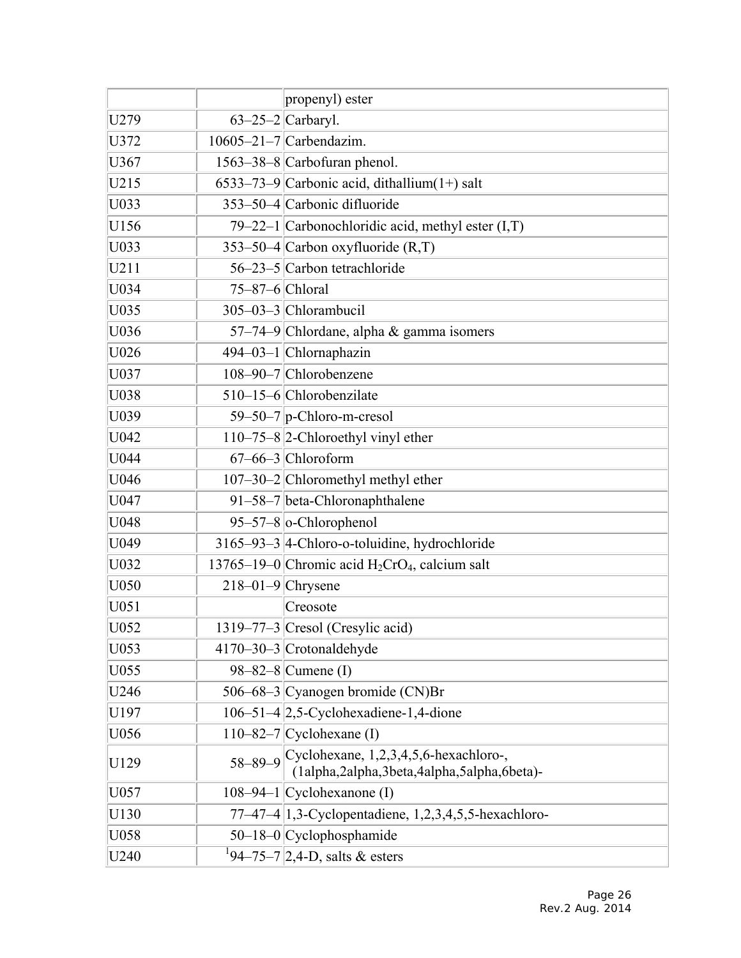|         |                     | propenyl) ester                                                                             |
|---------|---------------------|---------------------------------------------------------------------------------------------|
| U279    |                     | $63-25-2$ Carbaryl.                                                                         |
| U372    |                     | $10605 - 21 - 7$ Carbendazim.                                                               |
| U367    |                     | 1563-38-8 Carbofuran phenol.                                                                |
| U215    |                     | 6533–73–9 Carbonic acid, dithallium(1+) salt                                                |
| U033    |                     | 353–50–4 Carbonic difluoride                                                                |
| U156    |                     | 79–22–1 Carbonochloridic acid, methyl ester $(I, T)$                                        |
| U033    |                     | 353–50–4 Carbon oxyfluoride $(R, T)$                                                        |
| U211    |                     | 56–23–5 Carbon tetrachloride                                                                |
| U034    | $75-87-6$ Chloral   |                                                                                             |
| U035    |                     | $305-03-3$ Chlorambucil                                                                     |
| U036    |                     | 57-74-9 Chlordane, alpha & gamma isomers                                                    |
| U026    |                     | $494 - 03 - 1$ Chlornaphazin                                                                |
| U037    |                     | 108-90-7 Chlorobenzene                                                                      |
| U038    |                     | 510-15-6 Chlorobenzilate                                                                    |
| U039    |                     | $59-50-7$ p-Chloro-m-cresol                                                                 |
| U042    |                     | 110–75–8 2-Chloroethyl vinyl ether                                                          |
| U044    |                     | $67 - 66 - 3$ Chloroform                                                                    |
| U046    |                     | 107-30-2 Chloromethyl methyl ether                                                          |
| U047    |                     | 91-58-7 beta-Chloronaphthalene                                                              |
| U048    |                     | 95-57-8 o-Chlorophenol                                                                      |
| U049    |                     | 3165-93-3 4-Chloro-o-toluidine, hydrochloride                                               |
| U032    |                     | 13765-19-0 Chromic acid H <sub>2</sub> CrO <sub>4</sub> , calcium salt                      |
| U050    | $218-01-9$ Chrysene |                                                                                             |
| U051    |                     | Creosote                                                                                    |
| U052    |                     | $1319-77-3$ Cresol (Cresylic acid)                                                          |
| U053    |                     | 4170-30-3 Crotonaldehyde                                                                    |
| U055    |                     | 98-82-8 Cumene (I)                                                                          |
| U246    |                     | 506–68–3 Cyanogen bromide (CN)Br                                                            |
| U197    |                     | $106-51-4$ 2,5-Cyclohexadiene-1,4-dione                                                     |
| U056    |                     | 110–82–7 Cyclohexane (I)                                                                    |
| U129    |                     | 58–89–9 Cyclohexane, 1,2,3,4,5,6-hexachloro-,<br>(1alpha,2alpha,3beta,4alpha,5alpha,6beta)- |
| $U$ 057 |                     | 108–94–1 $ $ Cyclohexanone (I)                                                              |
| U130    |                     | 77–47–4 1,3-Cyclopentadiene, 1,2,3,4,5,5-hexachloro-                                        |
| U058    |                     | $50-18-0$ Cyclophosphamide                                                                  |
| U240    |                     | $194 - 75 - 7$ 2,4-D, salts & esters                                                        |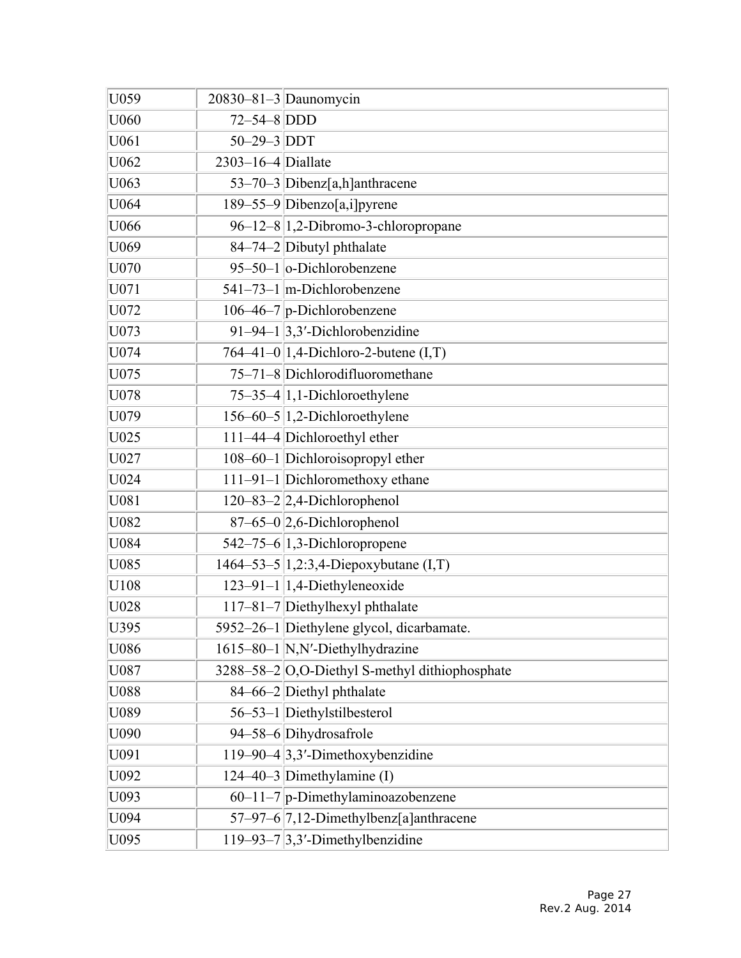| U059 |                      | $20830 - 81 - 3$ Daunomycin                         |
|------|----------------------|-----------------------------------------------------|
| U060 | $72 - 54 - 8$ DDD    |                                                     |
| U061 | $50 - 29 - 3$ DDT    |                                                     |
| U062 | $2303-16-4$ Diallate |                                                     |
| U063 |                      | 53-70-3 Dibenz[a,h]anthracene                       |
| U064 |                      | 189-55-9 Dibenzo[a,i]pyrene                         |
| U066 |                      | 96-12-8 1,2-Dibromo-3-chloropropane                 |
| U069 |                      | 84-74-2 Dibutyl phthalate                           |
| U070 |                      | $95-50-1$ o-Dichlorobenzene                         |
| U071 |                      | $541-73-1$ m-Dichlorobenzene                        |
| U072 |                      | 106-46-7 p-Dichlorobenzene                          |
| U073 |                      | 91-94-1 $\left 3,3\right\rangle$ -Dichlorobenzidine |
| U074 |                      | 764–41–0 1,4-Dichloro-2-butene $(I, T)$             |
| U075 |                      | 75-71-8 Dichlorodifluoromethane                     |
| U078 |                      | $75-35-4$  1,1-Dichloroethylene                     |
| U079 |                      | $156 - 60 - 5$  1,2-Dichloroethylene                |
| U025 |                      | 111-44-4 Dichloroethyl ether                        |
| U027 |                      | 108-60-1 Dichloroisopropyl ether                    |
| U024 |                      | 111-91-1 Dichloromethoxy ethane                     |
| U081 |                      | $120 - 83 - 2$ 2,4-Dichlorophenol                   |
| U082 |                      | $87-65-0$ 2,6-Dichlorophenol                        |
| U084 |                      | 542-75-6 1,3-Dichloropropene                        |
| U085 |                      | 1464–53–5 1,2:3,4-Diepoxybutane (I,T)               |
| U108 |                      | $123-91-1$ 1,4-Diethyleneoxide                      |
| U028 |                      | $117-81-7$ Diethylhexyl phthalate                   |
| U395 |                      | 5952-26-1 Diethylene glycol, dicarbamate.           |
| U086 |                      | 1615-80-1 N,N'-Diethylhydrazine                     |
| U087 |                      | 3288-58-2 O,O-Diethyl S-methyl dithiophosphate      |
| U088 |                      | 84–66–2 Diethyl phthalate                           |
| U089 |                      | 56–53–1 Diethylstilbesterol                         |
| U090 |                      | 94-58-6 Dihydrosafrole                              |
| U091 |                      | $119-90-4$ 3,3'-Dimethoxybenzidine                  |
| U092 |                      | 124–40–3 Dimethylamine (I)                          |
| U093 |                      | $60-11-7$ p-Dimethylaminoazobenzene                 |
| U094 |                      | 57-97-6 7,12-Dimethylbenz[a]anthracene              |
| U095 |                      | $119-93-7$ 3,3'-Dimethylbenzidine                   |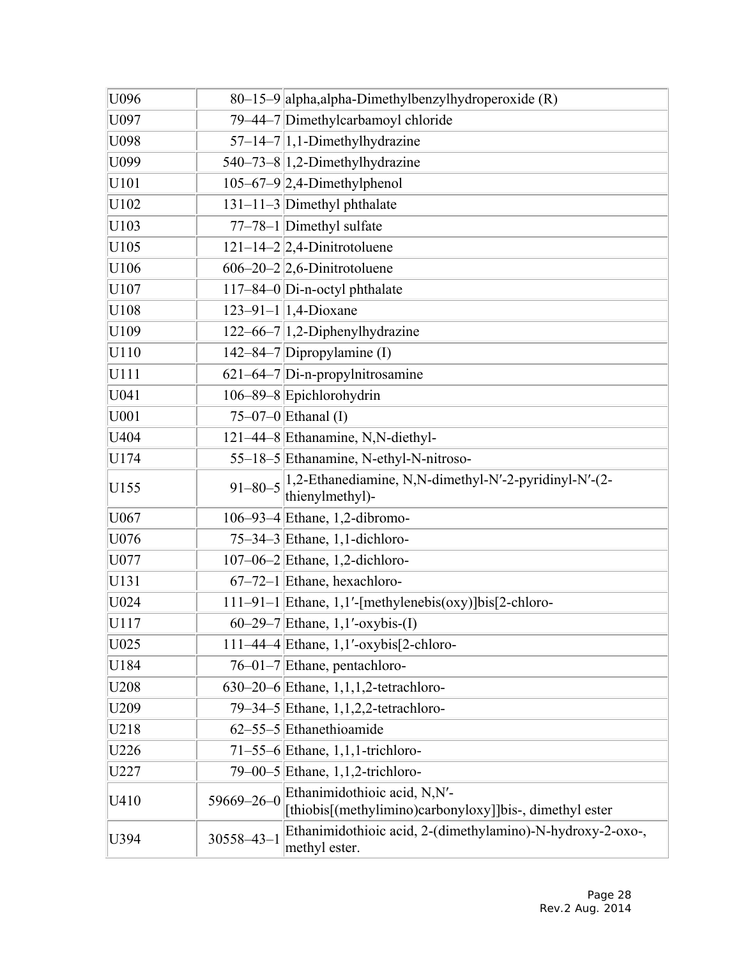| U096 |                  | 80-15-9 alpha, alpha-Dimethylbenzylhydroperoxide (R)                                    |
|------|------------------|-----------------------------------------------------------------------------------------|
| U097 |                  | 79-44-7 Dimethylcarbamoyl chloride                                                      |
| U098 |                  | $57-14-7$  1,1-Dimethylhydrazine                                                        |
| U099 |                  | 540-73-8 1,2-Dimethylhydrazine                                                          |
| U101 |                  | $105-67-9$ 2,4-Dimethylphenol                                                           |
| U102 |                  | $131-11-3$ Dimethyl phthalate                                                           |
| U103 |                  | 77–78–1 Dimethyl sulfate                                                                |
| U105 |                  | $121-14-2$ 2,4-Dinitrotoluene                                                           |
| U106 |                  | $606 - 20 - 2$ 2,6-Dinitrotoluene                                                       |
| U107 |                  | 117-84-0 Di-n-octyl phthalate                                                           |
| U108 |                  | $123 - 91 - 1$   1,4-Dioxane                                                            |
| U109 |                  | $122 - 66 - 7$ 1,2-Diphenylhydrazine                                                    |
| U110 |                  | 142–84–7 Dipropylamine (I)                                                              |
| U111 |                  | 621-64-7 Di-n-propylnitrosamine                                                         |
| U041 |                  | 106-89-8 Epichlorohydrin                                                                |
| U001 |                  | 75-07-0 $\vert$ Ethanal (I)                                                             |
| U404 |                  | 121-44-8 Ethanamine, N,N-diethyl-                                                       |
| U174 |                  | 55-18-5 Ethanamine, N-ethyl-N-nitroso-                                                  |
| U155 |                  | 91-80-5 1,2-Ethanediamine, N,N-dimethyl-N'-2-pyridinyl-N'- $(2-$<br>thienylmethyl)-     |
| U067 |                  | 106-93-4 Ethane, 1,2-dibromo-                                                           |
| U076 |                  | 75-34-3 Ethane, 1,1-dichloro-                                                           |
| U077 |                  | $107-06-2$ Ethane, 1,2-dichloro-                                                        |
| U131 |                  | $67-72-1$ Ethane, hexachloro-                                                           |
| U024 |                  | 111-91-1 Ethane, 1,1'-[methylenebis(oxy)]bis[2-chloro-                                  |
| U117 |                  | 60–29–7 Ethane, $1,1'$ -oxybis-(I)                                                      |
| U025 |                  | $111-44-4$ Ethane, 1,1'-oxybis <sup>[2-chloro-111</sup> ]                               |
| U184 |                  | 76–01–7 Ethane, pentachloro-                                                            |
| U208 |                  | 630–20–6 Ethane, 1,1,1,2-tetrachloro-                                                   |
| U209 |                  | 79–34–5 Ethane, 1,1,2,2-tetrachloro-                                                    |
| U218 |                  | 62–55–5 Ethanethioamide                                                                 |
| U226 |                  | $71-55-6$ Ethane, 1,1,1-trichloro-                                                      |
| U227 |                  | 79–00–5 Ethane, $1,1,2$ -trichloro-                                                     |
| U410 | $59669 - 26 - 0$ | Ethanimidothioic acid, N,N'-<br>[thiobis[(methylimino)carbonyloxy]]bis-, dimethyl ester |
| U394 | $30558 - 43 - 1$ | Ethanimidothioic acid, 2-(dimethylamino)-N-hydroxy-2-oxo-,<br>methyl ester.             |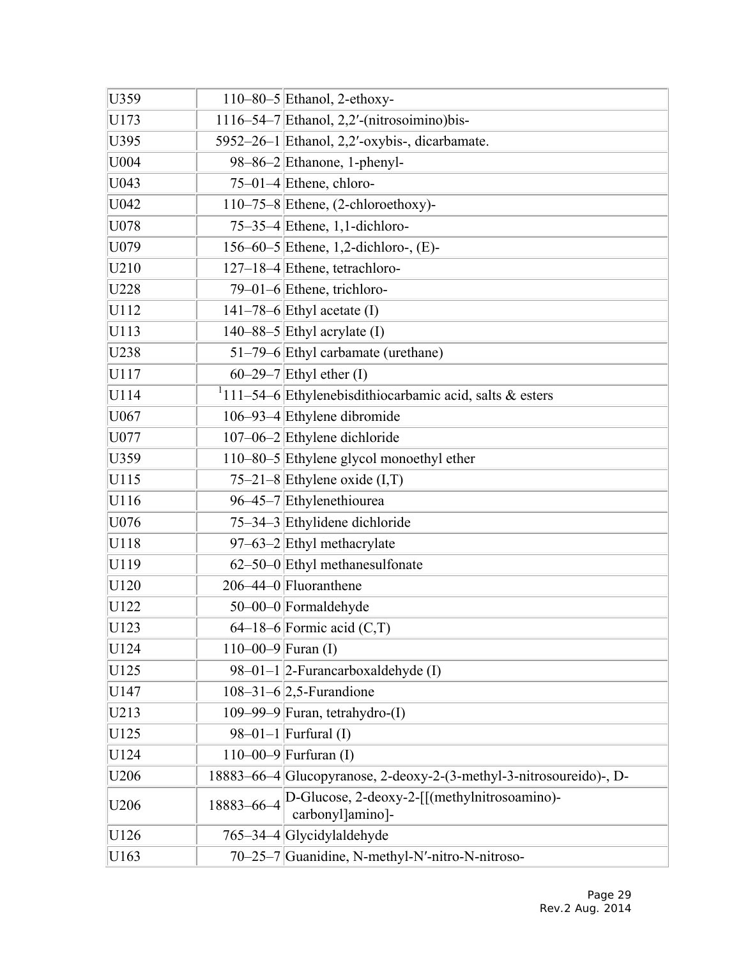| U359 |                    | $110-80-5$ Ethanol, 2-ethoxy-                                       |
|------|--------------------|---------------------------------------------------------------------|
| U173 |                    | 1116-54-7 Ethanol, 2,2'-(nitrosoimino)bis-                          |
| U395 |                    | 5952-26-1 Ethanol, 2,2'-oxybis-, dicarbamate.                       |
| U004 |                    | 98-86-2 Ethanone, 1-phenyl-                                         |
| U043 |                    | $75-01-4$ Ethene, chloro-                                           |
| U042 |                    | $110-75-8$ Ethene, (2-chloroethoxy)-                                |
| U078 |                    | $75-35-4$ Ethene, 1,1-dichloro-                                     |
| U079 |                    | 156–60–5 Ethene, 1,2-dichloro-, $(E)$ -                             |
| U210 |                    | $127-18-4$ Ethene, tetrachloro-                                     |
| U228 |                    | 79–01–6 Ethene, trichloro-                                          |
| U112 |                    | 141-78-6 Ethyl acetate $(I)$                                        |
| U113 |                    | 140–88–5 Ethyl acrylate $(I)$                                       |
| U238 |                    | 51-79-6 Ethyl carbamate (urethane)                                  |
| U117 |                    | $60-29-7$ Ethyl ether (I)                                           |
| U114 |                    | $111-54-6$ Ethylenebisdithiocarbamic acid, salts & esters           |
| U067 |                    | 106–93–4 Ethylene dibromide                                         |
| U077 |                    | 107-06-2 Ethylene dichloride                                        |
| U359 |                    | 110–80–5 Ethylene glycol monoethyl ether                            |
| U115 |                    | 75–21–8 Ethylene oxide $(I, T)$                                     |
| U116 |                    | 96-45-7 Ethylenethiourea                                            |
| U076 |                    | $75-34-3$ Ethylidene dichloride                                     |
| U118 |                    | $97-63-2$ Ethyl methacrylate                                        |
| U119 |                    | $62 - 50 - 0$ Ethyl methanesulfonate                                |
| U120 |                    | 206-44-0 Fluoranthene                                               |
| U122 |                    | 50-00-0 Formaldehyde                                                |
| U123 |                    | 64–18–6 Formic acid $(C,T)$                                         |
| U124 | 110-00-9 Furan (I) |                                                                     |
| U125 |                    | 98-01-1 2-Furancarboxaldehyde (I)                                   |
| U147 |                    | $108 - 31 - 6$ 2,5-Furandione                                       |
| U213 |                    | 109–99–9 Furan, tetrahydro- $(I)$                                   |
| U125 |                    | 98-01-1 Furfural $(I)$                                              |
| U124 |                    | 110–00–9 Furfuran (I)                                               |
| U206 |                    | 18883–66–4 Glucopyranose, 2-deoxy-2-(3-methyl-3-nitrosoureido)-, D- |
| U206 | 18883-66-4         | D-Glucose, 2-deoxy-2-[[(methylnitrosoamino)-<br>carbonyl]amino]-    |
| U126 |                    | 765–34–4 Glycidylaldehyde                                           |
| U163 |                    | 70-25-7 Guanidine, N-methyl-N'-nitro-N-nitroso-                     |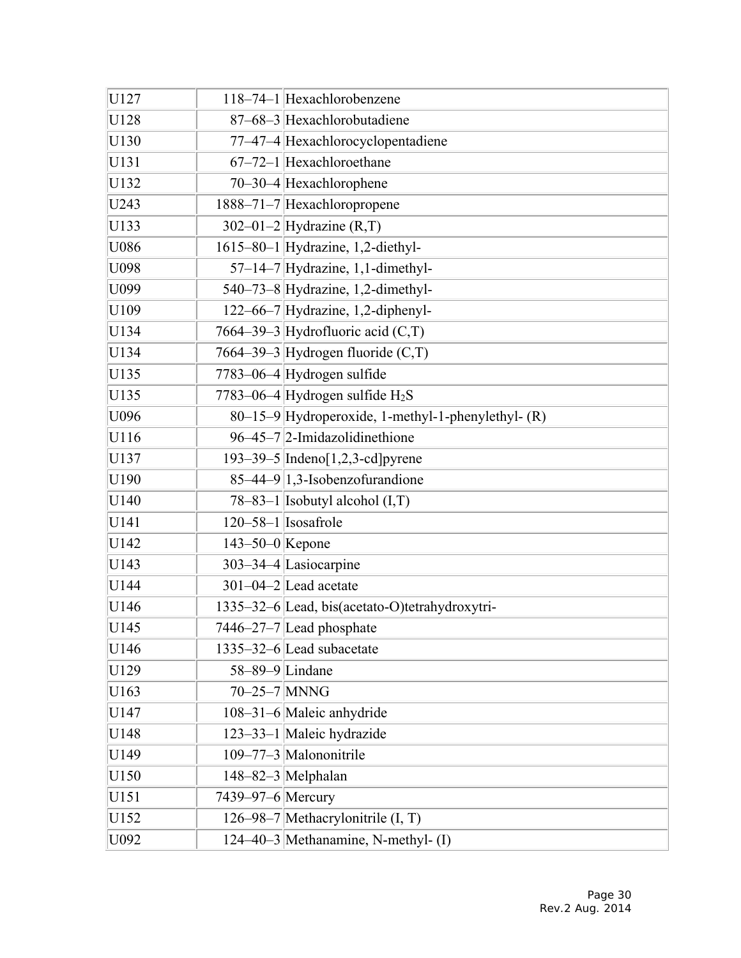| U127 |                       | 118-74-1 Hexachlorobenzene                         |
|------|-----------------------|----------------------------------------------------|
| U128 |                       | 87–68–3 Hexachlorobutadiene                        |
| U130 |                       | 77-47-4 Hexachlorocyclopentadiene                  |
| U131 |                       | 67-72-1 Hexachloroethane                           |
| U132 |                       | 70–30–4 Hexachlorophene                            |
| U243 |                       | 1888-71-7 Hexachloropropene                        |
| U133 |                       | 302-01-2 Hydrazine $(R, T)$                        |
| U086 |                       | 1615-80-1 Hydrazine, 1,2-diethyl-                  |
| U098 |                       | 57-14-7 Hydrazine, 1,1-dimethyl-                   |
| U099 |                       | 540-73-8 Hydrazine, 1,2-dimethyl-                  |
| U109 |                       | 122-66-7 Hydrazine, 1,2-diphenyl-                  |
| U134 |                       | 7664–39–3 Hydrofluoric acid $(C,T)$                |
| U134 |                       | 7664–39–3 Hydrogen fluoride $(C,T)$                |
| U135 |                       | 7783-06-4 Hydrogen sulfide                         |
| U135 |                       | 7783–06–4 Hydrogen sulfide $H_2S$                  |
| U096 |                       | 80–15–9 Hydroperoxide, 1-methyl-1-phenylethyl- (R) |
| U116 |                       | 96-45-7 2-Imidazolidinethione                      |
| U137 |                       | 193-39-5   Indeno[1,2,3-cd] pyrene                 |
| U190 |                       | $85-44-9$ 1,3-Isobenzofurandione                   |
| U140 |                       | 78-83-1 Isobutyl alcohol $(I, T)$                  |
| U141 | 120–58–1 Isosafrole   |                                                    |
| U142 | $143 - 50 - 0$ Kepone |                                                    |
| U143 |                       | 303-34-4 Lasiocarpine                              |
| U144 |                       | $301-04-2$ Lead acetate                            |
| U146 |                       | 1335-32-6 Lead, bis(acetato-O)tetrahydroxytri-     |
| U145 |                       | 7446-27-7 Lead phosphate                           |
| U146 |                       | 1335–32–6 Lead subacetate                          |
| U129 | 58-89-9 Lindane       |                                                    |
| U163 | 70-25-7 MNNG          |                                                    |
| U147 |                       | 108-31-6 Maleic anhydride                          |
| U148 |                       | 123-33-1 Maleic hydrazide                          |
| U149 |                       | 109-77-3 Malononitrile                             |
| U150 |                       | $148 - 82 - 3$ Melphalan                           |
| U151 | 7439-97-6 Mercury     |                                                    |
| U152 |                       | $\overline{126-98-7}$ Methacrylonitrile (I, T)     |
| U092 |                       | 124–40–3 Methanamine, N-methyl- $(I)$              |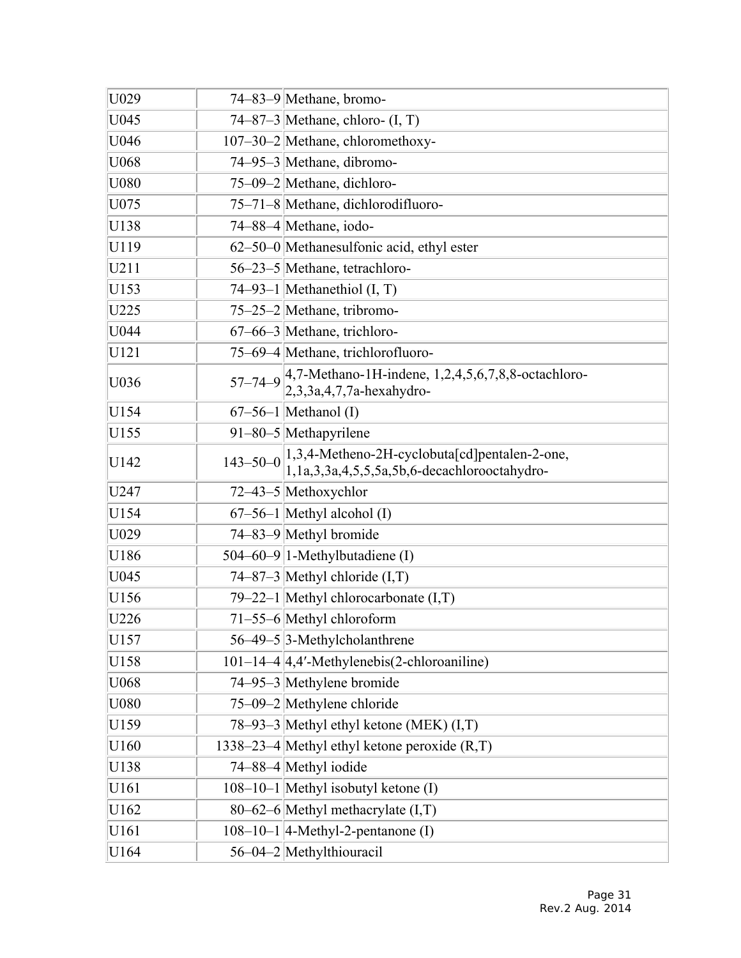| U029 | 74–83–9 Methane, bromo-                                                                                                                     |
|------|---------------------------------------------------------------------------------------------------------------------------------------------|
| U045 | 74–87–3 Methane, chloro- $(I, T)$                                                                                                           |
| U046 | 107-30-2 Methane, chloromethoxy-                                                                                                            |
| U068 | 74-95-3 Methane, dibromo-                                                                                                                   |
| U080 | 75-09-2 Methane, dichloro-                                                                                                                  |
| U075 | 75-71-8 Methane, dichlorodifluoro-                                                                                                          |
| U138 | 74–88–4 Methane, iodo-                                                                                                                      |
| U119 | 62–50–0 Methanesulfonic acid, ethyl ester                                                                                                   |
| U211 | 56–23–5 Methane, tetrachloro-                                                                                                               |
| U153 | 74–93–1   Methanethiol $(I, T)$                                                                                                             |
| U225 | 75–25–2 Methane, tribromo-                                                                                                                  |
| U044 | $67-66-3$ Methane, trichloro-                                                                                                               |
| U121 | 75-69-4 Methane, trichlorofluoro-                                                                                                           |
| U036 | 57-74-9 $\begin{array}{l} 4,7\text{-Methano-1H-indene, } 1,2,4,5,6,7,8,8\text{-octachloro-} \\ 2,3,3a,4,7,7a\text{-hexahydro-} \end{array}$ |
| U154 | $67-56-1$ Methanol (I)                                                                                                                      |
| U155 | 91-80-5 Methapyrilene                                                                                                                       |
| U142 | $143-50-0$ 1,3,4-Metheno-2H-cyclobuta[cd]pentalen-2-one,<br>1,1a,3,3a,4,5,5,5a,5b,6-decachlorooctahydro-                                    |
| U247 | 72-43-5 Methoxychlor                                                                                                                        |
| U154 | 67-56-1 Methyl alcohol (I)                                                                                                                  |
| U029 | 74–83–9 Methyl bromide                                                                                                                      |
| U186 | 504–60–9 1-Methylbutadiene $(I)$                                                                                                            |
| U045 | 74–87–3 Methyl chloride $(I, T)$                                                                                                            |
| U156 | 79–22–1 Methyl chlorocarbonate $(I, T)$                                                                                                     |
| U226 | 71–55–6 Methyl chloroform                                                                                                                   |
| U157 | 56–49–5 <sup>3</sup> -Methylcholanthrene                                                                                                    |
| U158 | 101-14-4 4,4'-Methylenebis(2-chloroaniline)                                                                                                 |
| U068 | 74–95–3 Methylene bromide                                                                                                                   |
| U080 | 75-09-2 Methylene chloride                                                                                                                  |
| U159 | 78–93–3 Methyl ethyl ketone (MEK) $(I,T)$                                                                                                   |
| U160 | 1338–23–4 Methyl ethyl ketone peroxide $(R, T)$                                                                                             |
| U138 | 74–88–4 Methyl iodide                                                                                                                       |
| U161 | 108-10-1 Methyl isobutyl ketone (I)                                                                                                         |
| U162 | 80–62–6 Methyl methacrylate $(I, T)$                                                                                                        |
| U161 | $108-10-1$ 4-Methyl-2-pentanone (I)                                                                                                         |
| U164 | 56-04-2 Methylthiouracil                                                                                                                    |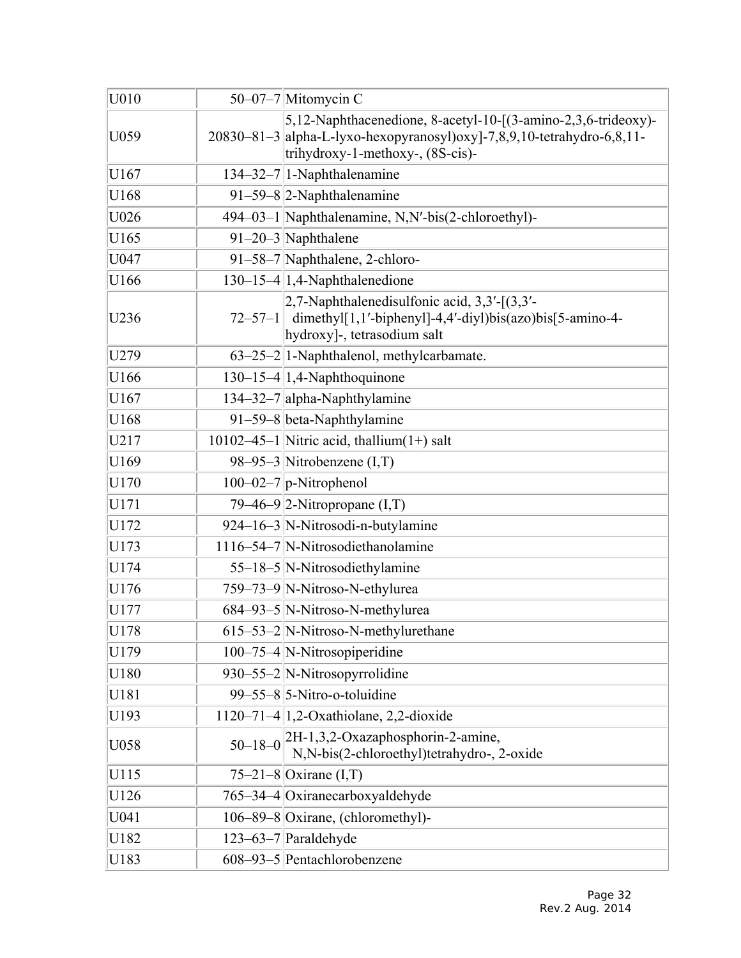| U010 | 50–07–7 Mitomycin C                                                                                                                                                         |
|------|-----------------------------------------------------------------------------------------------------------------------------------------------------------------------------|
| U059 | 5,12-Naphthacenedione, 8-acetyl-10-[(3-amino-2,3,6-trideoxy)-<br>20830-81-3 alpha-L-lyxo-hexopyranosyl)oxy]-7,8,9,10-tetrahydro-6,8,11-<br>trihydroxy-1-methoxy-, (8S-cis)- |
| U167 | 134-32-7  1-Naphthalenamine                                                                                                                                                 |
| U168 | $91-59-8$ 2-Naphthalenamine                                                                                                                                                 |
| U026 | 494-03-1 Naphthalenamine, N,N'-bis(2-chloroethyl)-                                                                                                                          |
| U165 | $91-20-3$ Naphthalene                                                                                                                                                       |
| U047 | 91-58-7 Naphthalene, 2-chloro-                                                                                                                                              |
| U166 | $130-15-4$ 1,4-Naphthalenedione                                                                                                                                             |
| U236 | 2,7-Naphthalenedisulfonic acid, $3,3'$ - $(3,3'$ -<br>72–57–1 dimethyl[1,1'-biphenyl]-4,4'-diyl)bis(azo)bis[5-amino-4-<br>hydroxy]-, tetrasodium salt                       |
| U279 | $63-25-2$  1-Naphthalenol, methylcarbamate.                                                                                                                                 |
| U166 | $130-15-4$ 1,4-Naphthoquinone                                                                                                                                               |
| U167 | $134 - 32 - 7$ alpha-Naphthylamine                                                                                                                                          |
| U168 | 91-59-8 beta-Naphthylamine                                                                                                                                                  |
| U217 | 10102-45-1 Nitric acid, thallium $(1+)$ salt                                                                                                                                |
| U169 | 98–95–3 Nitrobenzene $(I, T)$                                                                                                                                               |
| U170 | $100-02-7$ p-Nitrophenol                                                                                                                                                    |
| U171 | 79–46–9 2-Nitropropane $(I, T)$                                                                                                                                             |
| U172 | 924-16-3 N-Nitrosodi-n-butylamine                                                                                                                                           |
| U173 | 1116-54-7 N-Nitrosodiethanolamine                                                                                                                                           |
| U174 | 55-18-5 N-Nitrosodiethylamine                                                                                                                                               |
| U176 | 759–73–9 N-Nitroso-N-ethylurea                                                                                                                                              |
| U177 | 684-93-5 N-Nitroso-N-methylurea                                                                                                                                             |
| U178 | 615-53-2 N-Nitroso-N-methylurethane                                                                                                                                         |
| U179 | 100-75-4 N-Nitrosopiperidine                                                                                                                                                |
| U180 | 930–55–2 N-Nitrosopyrrolidine                                                                                                                                               |
| U181 | $99 - 55 - 8$ 5-Nitro-o-toluidine                                                                                                                                           |
| U193 | $1120 - 71 - 4$ 1,2-Oxathiolane, 2,2-dioxide                                                                                                                                |
| U058 | 50–18–0 $2H-1,3,2$ -Oxazaphosphorin-2-amine,<br>N,N-bis(2-chloroethyl)tetrahydro-, 2-oxide                                                                                  |
| U115 | 75-21-8 Oxirane $(I, T)$                                                                                                                                                    |
| U126 | 765-34-4 Oxiranecarboxyaldehyde                                                                                                                                             |
| U041 | 106-89-8 Oxirane, (chloromethyl)-                                                                                                                                           |
| U182 | $123-63-7$ Paraldehyde                                                                                                                                                      |
| U183 | 608-93-5 Pentachlorobenzene                                                                                                                                                 |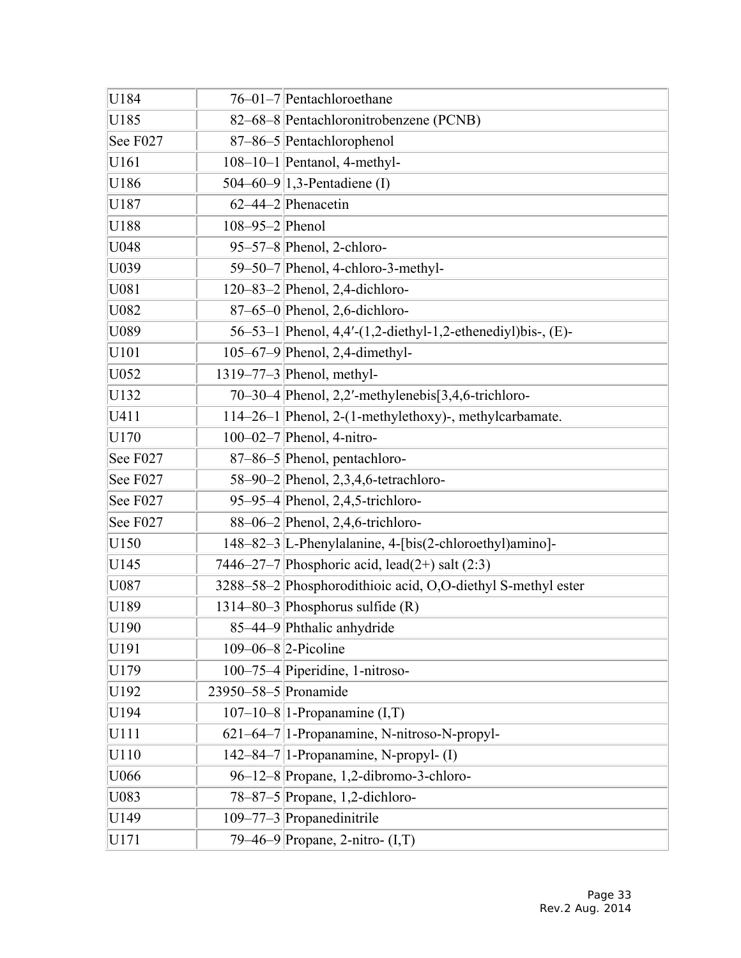| U184     |                      | 76–01–7 Pentachloroethane                                    |
|----------|----------------------|--------------------------------------------------------------|
| U185     |                      | 82–68–8 Pentachloronitrobenzene (PCNB)                       |
| See F027 |                      | 87-86-5 Pentachlorophenol                                    |
| U161     |                      | $108-10-1$ Pentanol, 4-methyl-                               |
| U186     |                      | 504–60–9 1,3-Pentadiene (I)                                  |
| U187     |                      | $62-44-2$ Phenacetin                                         |
| U188     | 108-95-2 Phenol      |                                                              |
| U048     |                      | $95-57-8$ Phenol, 2-chloro-                                  |
| U039     |                      | 59–50–7 Phenol, 4-chloro-3-methyl-                           |
| U081     |                      | 120-83-2 Phenol, 2,4-dichloro-                               |
| U082     |                      | 87-65-0 Phenol, 2,6-dichloro-                                |
| U089     |                      | 56–53–1 Phenol, 4,4'-(1,2-diethyl-1,2-ethenediyl)bis-, (E)-  |
| U101     |                      | $105-67-9$ Phenol, 2,4-dimethyl-                             |
| U052     |                      | $1319 - 77 - 3$ Phenol, methyl-                              |
| U132     |                      | 70-30-4 Phenol, 2,2'-methylenebis[3,4,6-trichloro-           |
| U411     |                      | 114-26-1 Phenol, 2-(1-methylethoxy)-, methylcarbamate.       |
| U170     |                      | $100-02-7$ Phenol, 4-nitro-                                  |
| See F027 |                      | 87–86–5 Phenol, pentachloro-                                 |
| See F027 |                      | 58–90–2 Phenol, $2,3,4,6$ -tetrachloro-                      |
| See F027 |                      | 95–95–4 Phenol, 2,4,5-trichloro-                             |
| See F027 |                      | 88-06-2 Phenol, 2,4,6-trichloro-                             |
| U150     |                      | 148-82-3 L-Phenylalanine, 4-[bis(2-chloroethyl)amino]-       |
| U145     |                      | 7446–27–7 Phosphoric acid, lead(2+) salt (2:3)               |
| U087     |                      | 3288–58–2 Phosphorodithioic acid, O,O-diethyl S-methyl ester |
| U189     |                      | 1314–80–3 Phosphorus sulfide $(R)$                           |
| U190     |                      | 85–44–9 Phthalic anhydride                                   |
| U191     |                      | $109 - 06 - 8$ 2-Picoline                                    |
| U179     |                      | 100–75–4 Piperidine, 1-nitroso-                              |
| U192     | 23950-58-5 Pronamide |                                                              |
| U194     |                      | 107-10-8 1-Propanamine $(I, T)$                              |
| U111     |                      | 621-64-7  1-Propanamine, N-nitroso-N-propyl-                 |
| U110     |                      | $142 - 84 - 7$   1-Propanamine, N-propyl- (I)                |
| U066     |                      | 96-12-8 Propane, 1,2-dibromo-3-chloro-                       |
| U083     |                      | 78-87-5 Propane, $1,2$ -dichloro-                            |
| U149     |                      | 109-77-3 Propanedinitrile                                    |
| U171     |                      | 79–46–9 Propane, 2-nitro- $(I,T)$                            |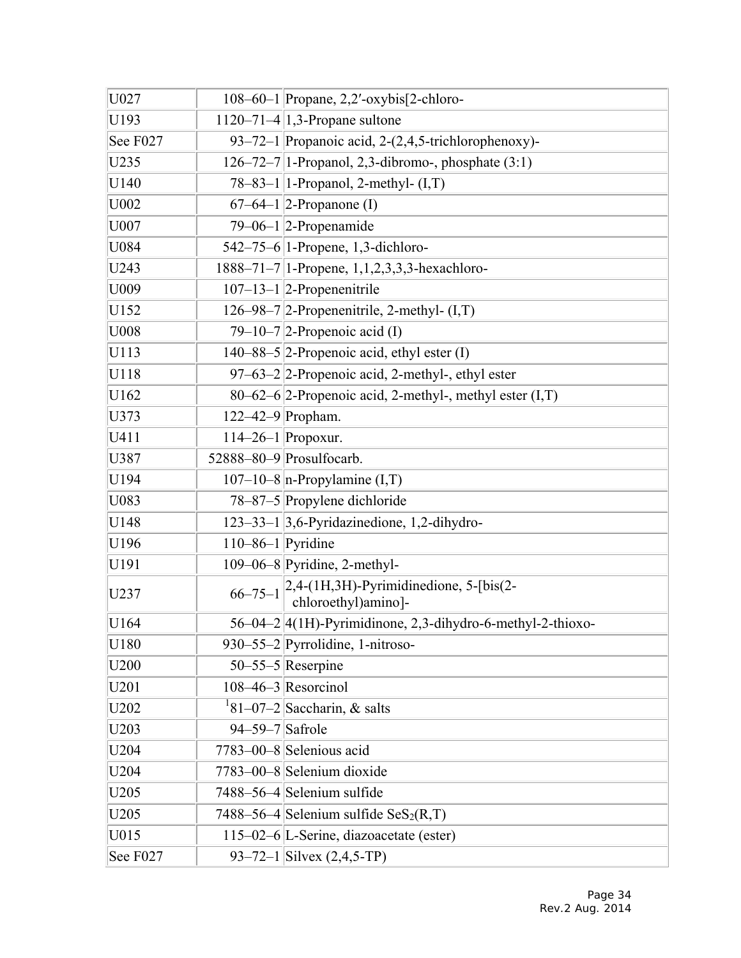| U027               |                       | 108-60-1 Propane, 2,2'-oxybis[2-chloro-                       |
|--------------------|-----------------------|---------------------------------------------------------------|
| U193               |                       | 1120–71–4 $ 1,3$ -Propane sultone                             |
| $\text{See } F027$ |                       | 93-72-1 Propanoic acid, 2-(2,4,5-trichlorophenoxy)-           |
| U235               |                       | $126-72-7$   1-Propanol, 2,3-dibromo-, phosphate (3:1)        |
| U140               |                       | 78–83–1  1-Propanol, 2-methyl- $(I,T)$                        |
| U002               |                       | 67–64–1 2-Propanone (I)                                       |
| U007               |                       | 79-06-1 $\ $ 2-Propenamide                                    |
| U084               |                       | $542 - 75 - 6$   1-Propene, 1,3-dichloro-                     |
| U243               |                       | 1888-71-7 1-Propene, 1,1,2,3,3,3-hexachloro-                  |
| U009               |                       | $107-13-1$  2-Propenenitrile                                  |
| U152               |                       | 126–98–7 $ $ 2-Propenenitrile, 2-methyl- $(I,T)$              |
| U008               |                       | 79–10–7 $ 2$ -Propenoic acid (I)                              |
| U113               |                       | 140–88–5 $ 2$ -Propenoic acid, ethyl ester (I)                |
| U118               |                       | $97-63-2$ 2-Propenoic acid, 2-methyl-, ethyl ester            |
| U162               |                       | 80-62-6 2-Propenoic acid, 2-methyl-, methyl ester (I,T)       |
| U373               | 122-42-9 Propham.     |                                                               |
| U411               | 114-26-1 Propoxur.    |                                                               |
| U387               |                       | $52888 - 80 - 9$ Prosulfocarb.                                |
| U194               |                       | 107–10–8 $ n$ -Propylamine (I,T)                              |
| U083               |                       | 78-87-5 Propylene dichloride                                  |
| U148               |                       | 123-33-1 3,6-Pyridazinedione, 1,2-dihydro-                    |
| U196               | $110-86-1$ Pyridine   |                                                               |
| U191               |                       | 109-06-8 Pyridine, 2-methyl-                                  |
| U237               | $66 - 75 - 1$         | 2,4-(1H,3H)-Pyrimidinedione, 5-[bis(2-<br>chloroethyl)amino]- |
| U164               |                       | 56-04-2 4(1H)-Pyrimidinone, 2,3-dihydro-6-methyl-2-thioxo-    |
| U180               |                       | 930–55–2 Pyrrolidine, 1-nitroso-                              |
| U200               |                       | $50 - 55 - 5$ Reserpine                                       |
| U201               |                       | $108-46-3$ Resorcinol                                         |
| U202               |                       | $\frac{1}{81-07-2}$ Saccharin, & salts                        |
| U203               | $94 - 59 - 7$ Safrole |                                                               |
| U204               |                       | 7783-00-8 Selenious acid                                      |
| U204               |                       | 7783-00-8 Selenium dioxide                                    |
| U205               |                       | 7488–56–4 Selenium sulfide                                    |
| U205               |                       | 7488–56–4 Selenium sulfide $Ses2(R,T)$                        |
| U015               |                       | 115–02–6 L-Serine, diazoacetate (ester)                       |
| See F027           |                       | 93–72–1 Silvex $(2,4,5$ -TP)                                  |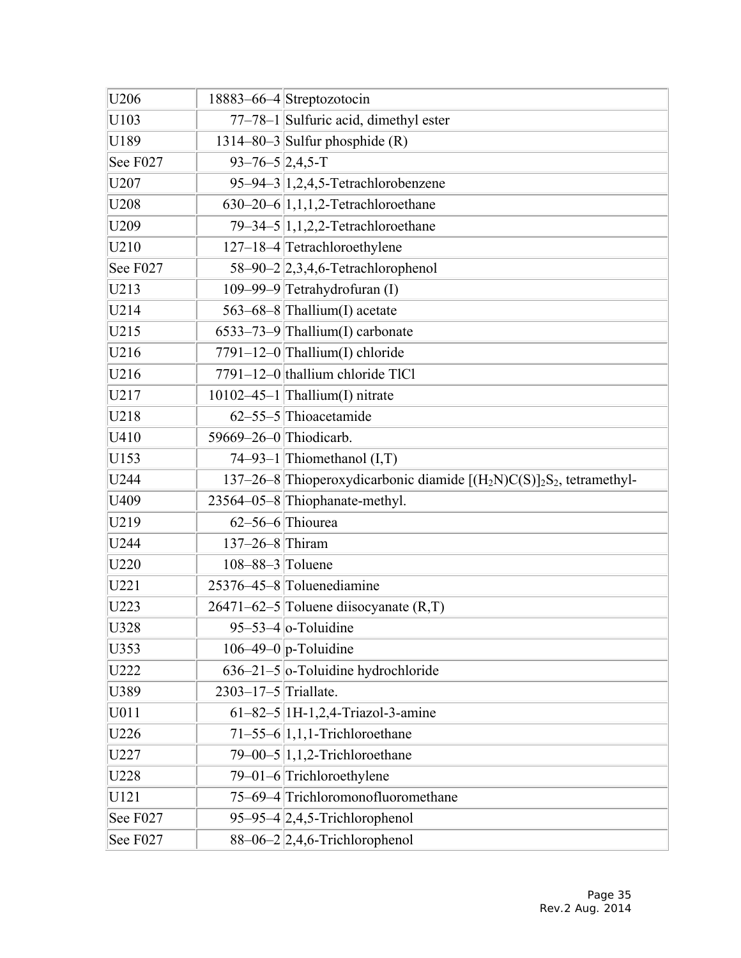| U206     |                                | 18883-66-4 Streptozotocin                                                |
|----------|--------------------------------|--------------------------------------------------------------------------|
| U103     |                                | $77-78-1$ Sulfuric acid, dimethyl ester                                  |
| U189     |                                | 1314–80–3 Sulfur phosphide $(R)$                                         |
| See F027 | $93 - 76 - 5 \mid 2, 4, 5 - T$ |                                                                          |
| U207     |                                | 95-94-3 $ 1,2,4,5$ -Tetrachlorobenzene                                   |
| U208     |                                | 630-20-6 1, 1, 1, 2-Tetrachloroethane                                    |
| U209     |                                | 79–34–5 $\vert$ 1,1,2,2-Tetrachloroethane                                |
| U210     |                                | 127-18-4 Tetrachloroethylene                                             |
| See F027 |                                | 58–90–2 $\left 2,3,4,6\right\rangle$ -Tetrachlorophenol                  |
| U213     |                                | 109–99–9 Tetrahydrofuran (I)                                             |
| U214     |                                | 563–68–8 Thallium(I) acetate                                             |
| U215     |                                | $6533-73-9$ Thallium(I) carbonate                                        |
| U216     |                                | $7791-12-0$ Thallium(I) chloride                                         |
| U216     |                                | $7791-12-0$ thallium chloride TlCl                                       |
| U217     |                                | $10102 - 45 - 1$ Thallium(I) nitrate                                     |
| U218     |                                | $62 - 55 - 5$ Thioacetamide                                              |
| U410     | 59669-26-0 Thiodicarb.         |                                                                          |
| U153     |                                | 74–93–1 Thiomethanol $(I, T)$                                            |
| U244     |                                | 137–26–8 Thioperoxydicarbonic diamide $[(H_2N)C(S)]_2S_2$ , tetramethyl- |
| U409     |                                | 23564-05-8 Thiophanate-methyl.                                           |
| U219     |                                | 62-56-6 Thiourea                                                         |
| U244     | $137 - 26 - 8$ Thiram          |                                                                          |
| U220     | $108 - 88 - 3$ Toluene         |                                                                          |
| U221     |                                | 25376-45-8 Toluenediamine                                                |
| U223     |                                | 26471-62-5 Toluene diisocyanate (R,T)                                    |
| U328     |                                | $95-53-4$ o-Toluidine                                                    |
| U353     |                                | $106-49-0$ p-Toluidine                                                   |
| U222     |                                | $636-21-5$ o-Toluidine hydrochloride                                     |
| U389     | $2303-17-5$ Triallate.         |                                                                          |
| U011     |                                | 61-82-5   1H-1,2,4-Triazol-3-amine                                       |
| U226     |                                | 71-55-6 $ 1,1,1$ -Trichloroethane                                        |
| U227     |                                | 79–00–5 $ 1,1,2$ -Trichloroethane                                        |
| U228     |                                | 79-01-6 Trichloroethylene                                                |
| U121     |                                | 75-69-4 Trichloromonofluoromethane                                       |
| See F027 |                                | $95-95-4$ 2,4,5-Trichlorophenol                                          |
| See F027 |                                | $88-06-2$ 2,4,6-Trichlorophenol                                          |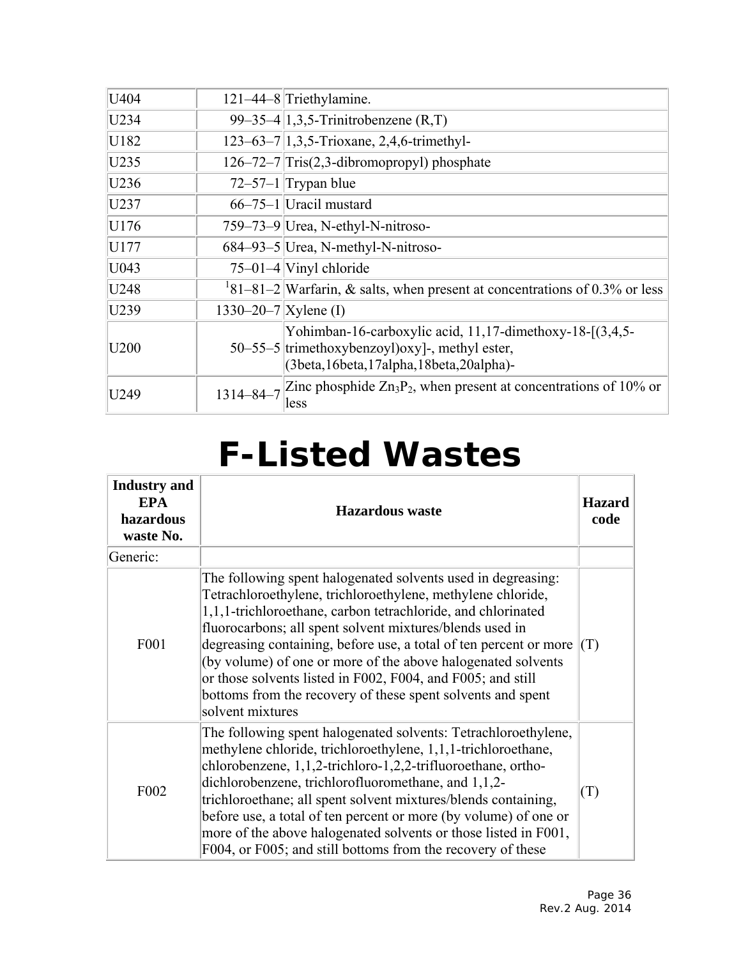| U404             |                        | 121–44–8 Triethylamine.                                                                                                                                    |
|------------------|------------------------|------------------------------------------------------------------------------------------------------------------------------------------------------------|
| U234             |                        | 99–35–4 1,3,5-Trinitrobenzene $(R, T)$                                                                                                                     |
| U182             |                        | $123 - 63 - 7$ 1, 3, 5-Trioxane, 2, 4, 6-trimethyl-                                                                                                        |
| U235             |                        | 126–72–7 Tris(2,3-dibromopropyl) phosphate                                                                                                                 |
| U236             |                        | $72 - 57 - 1$ Trypan blue                                                                                                                                  |
| U237             |                        | 66–75–1 Uracil mustard                                                                                                                                     |
| U176             |                        | 759-73-9 Urea, N-ethyl-N-nitroso-                                                                                                                          |
| U177             |                        | 684–93–5 Urea, N-methyl-N-nitroso-                                                                                                                         |
| U043             |                        | $75-01-4$ Vinyl chloride                                                                                                                                   |
| U248             |                        | $181-81-2$ Warfarin, & salts, when present at concentrations of 0.3% or less                                                                               |
| U239             | 1330–20–7   Xylene (I) |                                                                                                                                                            |
| U <sub>200</sub> |                        | Yohimban-16-carboxylic acid, 11,17-dimethoxy-18-[(3,4,5-<br>50–55–5 trimethoxybenzoyl) oxy ]-, methyl ester,<br>(3beta, 16beta, 17alpha, 18beta, 20alpha)- |
| U249             | $1314 - 84 - 7$        | Zinc phosphide $Zn_3P_2$ , when present at concentrations of 10% or<br>less                                                                                |

# **F-Listed Wastes**

| <b>Industry and</b><br><b>EPA</b><br>hazardous<br>waste No. | <b>Hazardous</b> waste                                                                                                                                                                                                                                                                                                                                                                                                                                                                                                                         | <b>Hazard</b><br>code |
|-------------------------------------------------------------|------------------------------------------------------------------------------------------------------------------------------------------------------------------------------------------------------------------------------------------------------------------------------------------------------------------------------------------------------------------------------------------------------------------------------------------------------------------------------------------------------------------------------------------------|-----------------------|
| Generic:                                                    |                                                                                                                                                                                                                                                                                                                                                                                                                                                                                                                                                |                       |
| F <sub>001</sub>                                            | The following spent halogenated solvents used in degreasing:<br>Tetrachloroethylene, trichloroethylene, methylene chloride,<br>1,1,1-trichloroethane, carbon tetrachloride, and chlorinated<br>fluorocarbons; all spent solvent mixtures/blends used in<br>degreasing containing, before use, a total of ten percent or more<br>(by volume) of one or more of the above halogenated solvents<br>or those solvents listed in F002, F004, and F005; and still<br>bottoms from the recovery of these spent solvents and spent<br>solvent mixtures | (T)                   |
| F <sub>002</sub>                                            | The following spent halogenated solvents: Tetrachloroethylene,<br>methylene chloride, trichloroethylene, 1,1,1-trichloroethane,<br>chlorobenzene, 1,1,2-trichloro-1,2,2-trifluoroethane, ortho-<br>dichlorobenzene, trichlorofluoromethane, and 1,1,2-<br>trichloroethane; all spent solvent mixtures/blends containing,<br>before use, a total of ten percent or more (by volume) of one or<br>more of the above halogenated solvents or those listed in F001,<br>F004, or F005; and still bottoms from the recovery of these                 | (T)                   |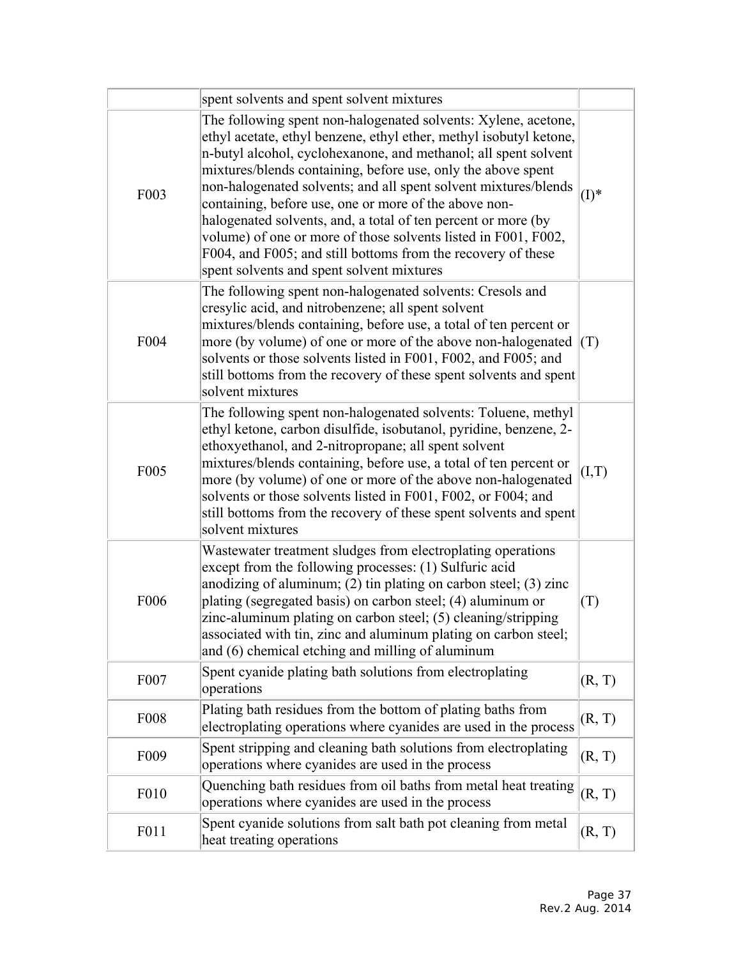|                  | spent solvents and spent solvent mixtures                                                                                                                                                                                                                                                                                                                                                                                                                                                                                                                                                                                                           |         |
|------------------|-----------------------------------------------------------------------------------------------------------------------------------------------------------------------------------------------------------------------------------------------------------------------------------------------------------------------------------------------------------------------------------------------------------------------------------------------------------------------------------------------------------------------------------------------------------------------------------------------------------------------------------------------------|---------|
| F003             | The following spent non-halogenated solvents: Xylene, acetone,<br>ethyl acetate, ethyl benzene, ethyl ether, methyl isobutyl ketone,<br>n-butyl alcohol, cyclohexanone, and methanol; all spent solvent<br>mixtures/blends containing, before use, only the above spent<br>non-halogenated solvents; and all spent solvent mixtures/blends<br>containing, before use, one or more of the above non-<br>halogenated solvents, and, a total of ten percent or more (by<br>volume) of one or more of those solvents listed in F001, F002,<br>F004, and F005; and still bottoms from the recovery of these<br>spent solvents and spent solvent mixtures | $(I)^*$ |
| F004             | The following spent non-halogenated solvents: Cresols and<br>cresylic acid, and nitrobenzene; all spent solvent<br>mixtures/blends containing, before use, a total of ten percent or<br>more (by volume) of one or more of the above non-halogenated<br>solvents or those solvents listed in F001, F002, and F005; and<br>still bottoms from the recovery of these spent solvents and spent<br>solvent mixtures                                                                                                                                                                                                                                     | (T)     |
| F005             | The following spent non-halogenated solvents: Toluene, methyl<br>ethyl ketone, carbon disulfide, isobutanol, pyridine, benzene, 2-<br>ethoxyethanol, and 2-nitropropane; all spent solvent<br>mixtures/blends containing, before use, a total of ten percent or<br>more (by volume) of one or more of the above non-halogenated<br>solvents or those solvents listed in F001, F002, or F004; and<br>still bottoms from the recovery of these spent solvents and spent<br>solvent mixtures                                                                                                                                                           | (I,T)   |
| F006             | Wastewater treatment sludges from electroplating operations<br>except from the following processes: (1) Sulfuric acid<br>anodizing of aluminum; $(2)$ tin plating on carbon steel; $(3)$ zinc<br>plating (segregated basis) on carbon steel; (4) aluminum or<br>zinc-aluminum plating on carbon steel; (5) cleaning/stripping<br>associated with tin, zinc and aluminum plating on carbon steel;<br>and (6) chemical etching and milling of aluminum                                                                                                                                                                                                | (T)     |
| F007             | Spent cyanide plating bath solutions from electroplating<br>operations                                                                                                                                                                                                                                                                                                                                                                                                                                                                                                                                                                              | (R, T)  |
| F <sub>008</sub> | Plating bath residues from the bottom of plating baths from<br>electroplating operations where cyanides are used in the process                                                                                                                                                                                                                                                                                                                                                                                                                                                                                                                     | (R, T)  |
| F <sub>009</sub> | Spent stripping and cleaning bath solutions from electroplating<br>operations where cyanides are used in the process                                                                                                                                                                                                                                                                                                                                                                                                                                                                                                                                | (R, T)  |
| F010             | Quenching bath residues from oil baths from metal heat treating<br>operations where cyanides are used in the process                                                                                                                                                                                                                                                                                                                                                                                                                                                                                                                                | (R, T)  |
| F011             | Spent cyanide solutions from salt bath pot cleaning from metal<br>heat treating operations                                                                                                                                                                                                                                                                                                                                                                                                                                                                                                                                                          | (R, T)  |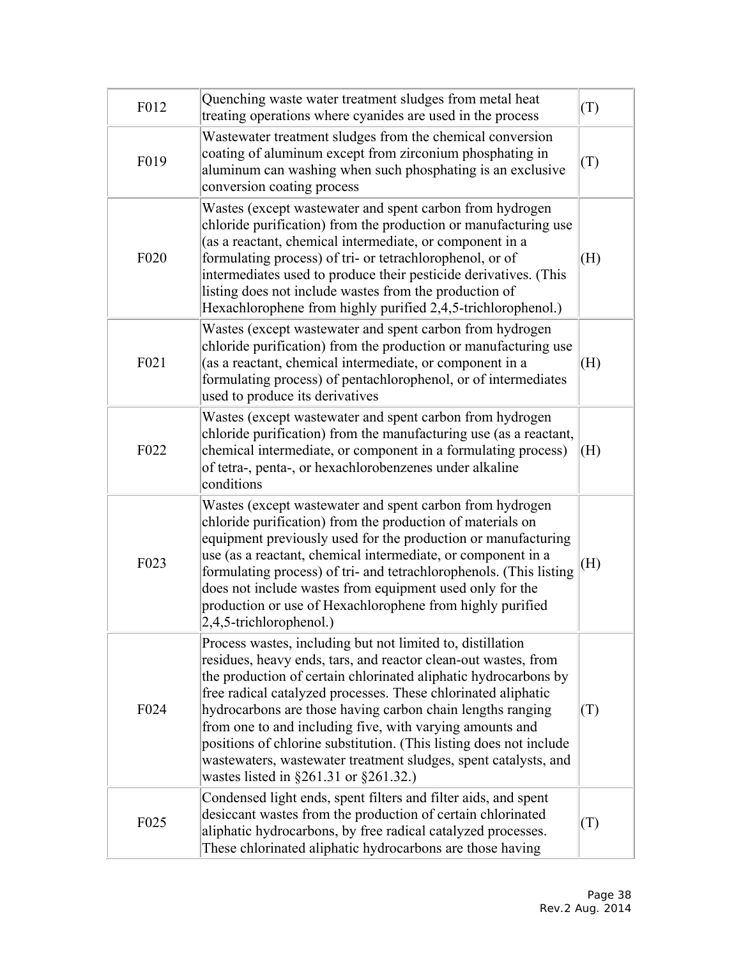| F012             | Quenching waste water treatment sludges from metal heat<br>treating operations where cyanides are used in the process                                                                                                                                                                                                                                                                                                                                                                                                                                                                | (T) |
|------------------|--------------------------------------------------------------------------------------------------------------------------------------------------------------------------------------------------------------------------------------------------------------------------------------------------------------------------------------------------------------------------------------------------------------------------------------------------------------------------------------------------------------------------------------------------------------------------------------|-----|
| F019             | Wastewater treatment sludges from the chemical conversion<br>coating of aluminum except from zirconium phosphating in<br>aluminum can washing when such phosphating is an exclusive<br>conversion coating process                                                                                                                                                                                                                                                                                                                                                                    | (T) |
| F <sub>020</sub> | Wastes (except wastewater and spent carbon from hydrogen<br>chloride purification) from the production or manufacturing use<br>(as a reactant, chemical intermediate, or component in a<br>formulating process) of tri- or tetrachlorophenol, or of<br>intermediates used to produce their pesticide derivatives. (This<br>listing does not include wastes from the production of<br>Hexachlorophene from highly purified 2,4,5-trichlorophenol.)                                                                                                                                    | (H) |
| F <sub>021</sub> | Wastes (except wastewater and spent carbon from hydrogen<br>chloride purification) from the production or manufacturing use<br>(as a reactant, chemical intermediate, or component in a<br>formulating process) of pentachlorophenol, or of intermediates<br>used to produce its derivatives                                                                                                                                                                                                                                                                                         | (H) |
| F022             | Wastes (except wastewater and spent carbon from hydrogen<br>chloride purification) from the manufacturing use (as a reactant,<br>chemical intermediate, or component in a formulating process)<br>of tetra-, penta-, or hexachlorobenzenes under alkaline<br>conditions                                                                                                                                                                                                                                                                                                              | (H) |
| F023             | Wastes (except wastewater and spent carbon from hydrogen<br>chloride purification) from the production of materials on<br>equipment previously used for the production or manufacturing<br>use (as a reactant, chemical intermediate, or component in a<br>formulating process) of tri- and tetrachlorophenols. (This listing<br>does not include wastes from equipment used only for the<br>production or use of Hexachlorophene from highly purified<br>2,4,5-trichlorophenol.)                                                                                                    | (H) |
| F <sub>024</sub> | Process wastes, including but not limited to, distillation<br>residues, heavy ends, tars, and reactor clean-out wastes, from<br>the production of certain chlorinated aliphatic hydrocarbons by<br>free radical catalyzed processes. These chlorinated aliphatic<br>hydrocarbons are those having carbon chain lengths ranging<br>from one to and including five, with varying amounts and<br>positions of chlorine substitution. (This listing does not include<br>wastewaters, wastewater treatment sludges, spent catalysts, and<br>wastes listed in $\S 261.31$ or $\S 261.32$ . | (T) |
| F <sub>025</sub> | Condensed light ends, spent filters and filter aids, and spent<br>desiccant wastes from the production of certain chlorinated<br>aliphatic hydrocarbons, by free radical catalyzed processes.<br>These chlorinated aliphatic hydrocarbons are those having                                                                                                                                                                                                                                                                                                                           | (T) |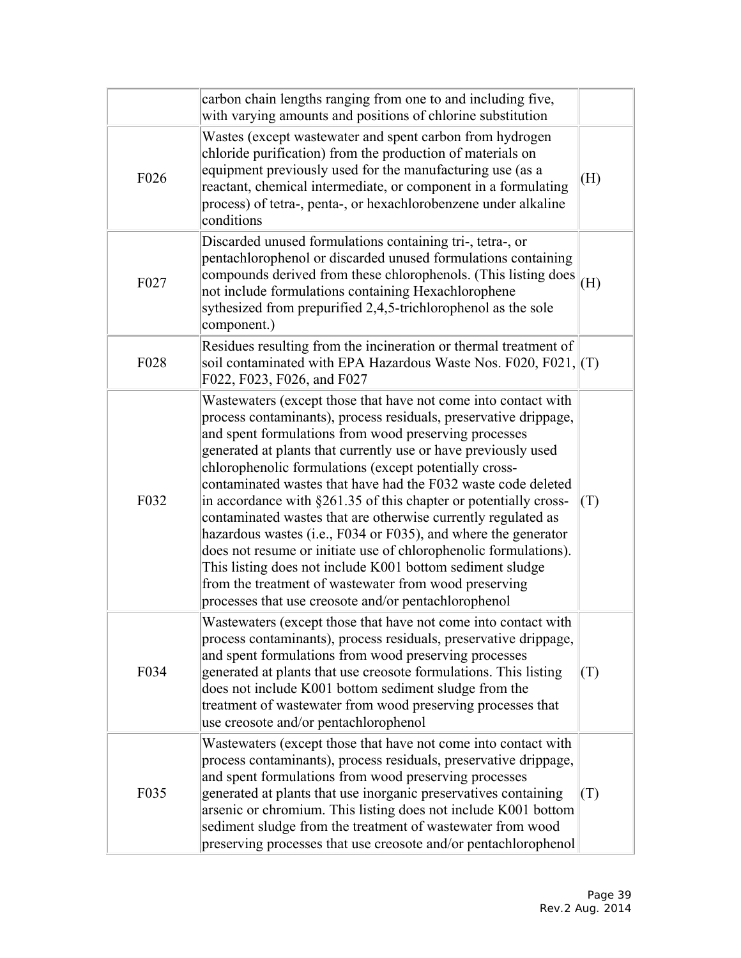|                  | carbon chain lengths ranging from one to and including five,<br>with varying amounts and positions of chlorine substitution                                                                                                                                                                                                                                                                                                                                                                                                                                                                                                                                                                                                                                                                                                                       |     |
|------------------|---------------------------------------------------------------------------------------------------------------------------------------------------------------------------------------------------------------------------------------------------------------------------------------------------------------------------------------------------------------------------------------------------------------------------------------------------------------------------------------------------------------------------------------------------------------------------------------------------------------------------------------------------------------------------------------------------------------------------------------------------------------------------------------------------------------------------------------------------|-----|
| F <sub>026</sub> | Wastes (except wastewater and spent carbon from hydrogen<br>chloride purification) from the production of materials on<br>equipment previously used for the manufacturing use (as a<br>reactant, chemical intermediate, or component in a formulating<br>process) of tetra-, penta-, or hexachlorobenzene under alkaline<br>conditions                                                                                                                                                                                                                                                                                                                                                                                                                                                                                                            | (H) |
| F <sub>027</sub> | Discarded unused formulations containing tri-, tetra-, or<br>pentachlorophenol or discarded unused formulations containing<br>compounds derived from these chlorophenols. (This listing does<br>not include formulations containing Hexachlorophene<br>sythesized from prepurified 2,4,5-trichlorophenol as the sole<br>component.)                                                                                                                                                                                                                                                                                                                                                                                                                                                                                                               | (H) |
| F028             | Residues resulting from the incineration or thermal treatment of<br>soil contaminated with EPA Hazardous Waste Nos. $F020$ , $F021$ , $(T)$<br>F022, F023, F026, and F027                                                                                                                                                                                                                                                                                                                                                                                                                                                                                                                                                                                                                                                                         |     |
| F032             | Wastewaters (except those that have not come into contact with<br>process contaminants), process residuals, preservative drippage,<br>and spent formulations from wood preserving processes<br>generated at plants that currently use or have previously used<br>chlorophenolic formulations (except potentially cross-<br>contaminated wastes that have had the F032 waste code deleted<br>in accordance with §261.35 of this chapter or potentially cross-<br>contaminated wastes that are otherwise currently regulated as<br>hazardous wastes (i.e., F034 or F035), and where the generator<br>does not resume or initiate use of chlorophenolic formulations).<br>This listing does not include K001 bottom sediment sludge<br>from the treatment of wastewater from wood preserving<br>processes that use creosote and/or pentachlorophenol | (T) |
| F034             | Wastewaters (except those that have not come into contact with<br>process contaminants), process residuals, preservative drippage,<br>and spent formulations from wood preserving processes<br>generated at plants that use creosote formulations. This listing<br>does not include K001 bottom sediment sludge from the<br>treatment of wastewater from wood preserving processes that<br>use creosote and/or pentachlorophenol                                                                                                                                                                                                                                                                                                                                                                                                                  | (T) |
| F035             | Wastewaters (except those that have not come into contact with<br>process contaminants), process residuals, preservative drippage,<br>and spent formulations from wood preserving processes<br>generated at plants that use inorganic preservatives containing<br>arsenic or chromium. This listing does not include K001 bottom<br>sediment sludge from the treatment of wastewater from wood<br>preserving processes that use creosote and/or pentachlorophenol                                                                                                                                                                                                                                                                                                                                                                                 | (T) |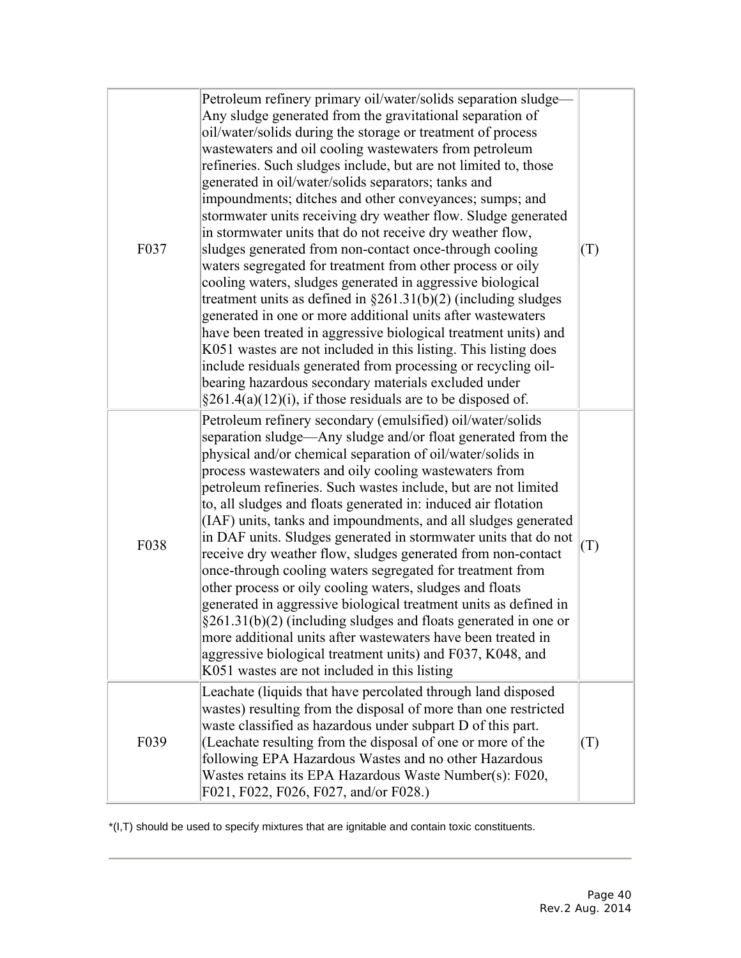| F037              | Petroleum refinery primary oil/water/solids separation sludge-<br>Any sludge generated from the gravitational separation of<br>oil/water/solids during the storage or treatment of process<br>wastewaters and oil cooling wastewaters from petroleum<br>refineries. Such sludges include, but are not limited to, those<br>generated in oil/water/solids separators; tanks and<br>impoundments; ditches and other conveyances; sumps; and<br>stormwater units receiving dry weather flow. Sludge generated<br>in stormwater units that do not receive dry weather flow,<br>sludges generated from non-contact once-through cooling<br>waters segregated for treatment from other process or oily<br>cooling waters, sludges generated in aggressive biological<br>treatment units as defined in $\S261.31(b)(2)$ (including sludges<br>generated in one or more additional units after wastewaters<br>have been treated in aggressive biological treatment units) and<br>K051 wastes are not included in this listing. This listing does<br>include residuals generated from processing or recycling oil-<br>bearing hazardous secondary materials excluded under<br>$\S261.4(a)(12)(i)$ , if those residuals are to be disposed of. | (T) |
|-------------------|--------------------------------------------------------------------------------------------------------------------------------------------------------------------------------------------------------------------------------------------------------------------------------------------------------------------------------------------------------------------------------------------------------------------------------------------------------------------------------------------------------------------------------------------------------------------------------------------------------------------------------------------------------------------------------------------------------------------------------------------------------------------------------------------------------------------------------------------------------------------------------------------------------------------------------------------------------------------------------------------------------------------------------------------------------------------------------------------------------------------------------------------------------------------------------------------------------------------------------------|-----|
| F038              | Petroleum refinery secondary (emulsified) oil/water/solids<br>separation sludge—Any sludge and/or float generated from the<br>physical and/or chemical separation of oil/water/solids in<br>process wastewaters and oily cooling wastewaters from<br>petroleum refineries. Such wastes include, but are not limited<br>to, all sludges and floats generated in: induced air flotation<br>(IAF) units, tanks and impoundments, and all sludges generated<br>in DAF units. Sludges generated in stormwater units that do not<br>receive dry weather flow, sludges generated from non-contact<br>once-through cooling waters segregated for treatment from<br>other process or oily cooling waters, sludges and floats<br>generated in aggressive biological treatment units as defined in<br>$\S261.31(b)(2)$ (including sludges and floats generated in one or<br>more additional units after wastewaters have been treated in<br>aggressive biological treatment units) and F037, K048, and<br>K051 wastes are not included in this listing                                                                                                                                                                                          | (T) |
| F <sub>0</sub> 39 | Leachate (liquids that have percolated through land disposed<br>wastes) resulting from the disposal of more than one restricted<br>waste classified as hazardous under subpart D of this part.<br>(Leachate resulting from the disposal of one or more of the<br>following EPA Hazardous Wastes and no other Hazardous<br>Wastes retains its EPA Hazardous Waste Number(s): F020,<br>F021, F022, F026, F027, and/or F028.)                                                                                                                                                                                                                                                                                                                                                                                                                                                                                                                                                                                                                                                                                                                                                                                                           | (T) |

\*(I,T) should be used to specify mixtures that are ignitable and contain toxic constituents.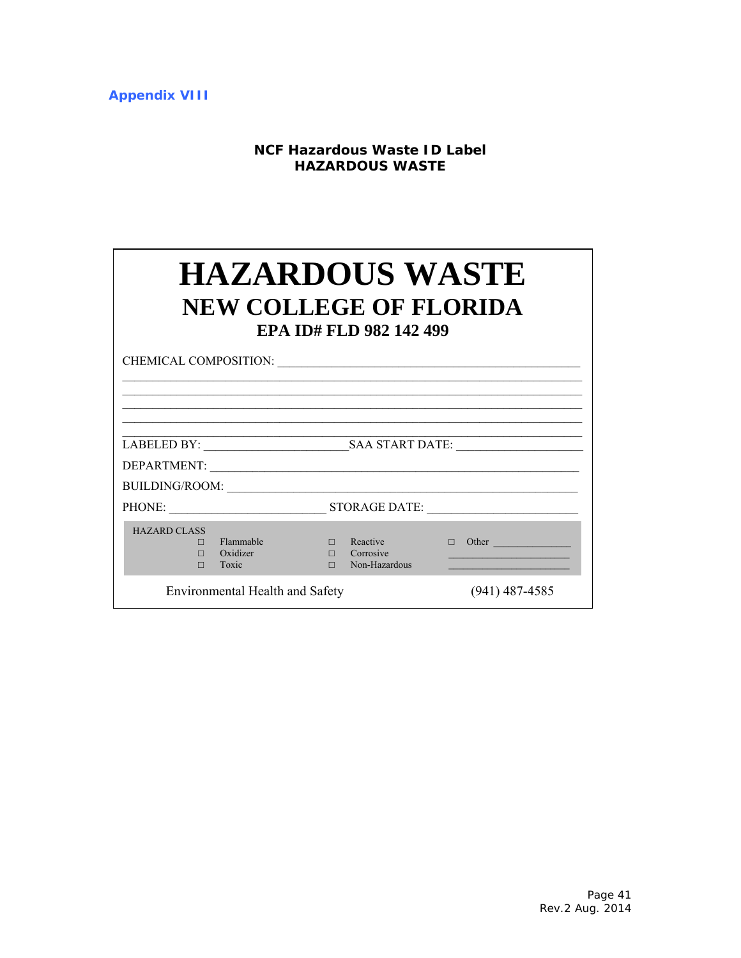**Appendix VIII** 

## **NCF Hazardous Waste ID Label HAZARDOUS WASTE**

# **HAZARDOUS WASTE** NEW COLLEGE OF FLORIDA EPA ID# FLD 982 142 499

| BUILDING/ROOM: WELL AND THE CONTROL OF THE CONTROL OF THE CONTROL OF THE CONTROL OF THE CONTROL OF THE CONTROL OF THE CONTROL OF THE CONTROL OF THE CONTROL OF THE CONTROL OF THE CONTROL OF THE CONTROL OF THE CONTROL OF THE |                                                                      |                                                                                                                                                                                                                               |  |
|--------------------------------------------------------------------------------------------------------------------------------------------------------------------------------------------------------------------------------|----------------------------------------------------------------------|-------------------------------------------------------------------------------------------------------------------------------------------------------------------------------------------------------------------------------|--|
| PHONE: STORAGE DATE:                                                                                                                                                                                                           |                                                                      |                                                                                                                                                                                                                               |  |
| <b>HAZARD CLASS</b><br>Flammable<br>п<br>Oxidizer<br>П<br>Toxic<br>П                                                                                                                                                           | Reactive<br>$\Box$<br>Corrosive<br>$\Box$<br>Non-Hazardous<br>$\Box$ | Other and the contract of the contract of the contract of the contract of the contract of the contract of the contract of the contract of the contract of the contract of the contract of the contract of the contract of the |  |
| <b>Environmental Health and Safety</b>                                                                                                                                                                                         | (941) 487-4585                                                       |                                                                                                                                                                                                                               |  |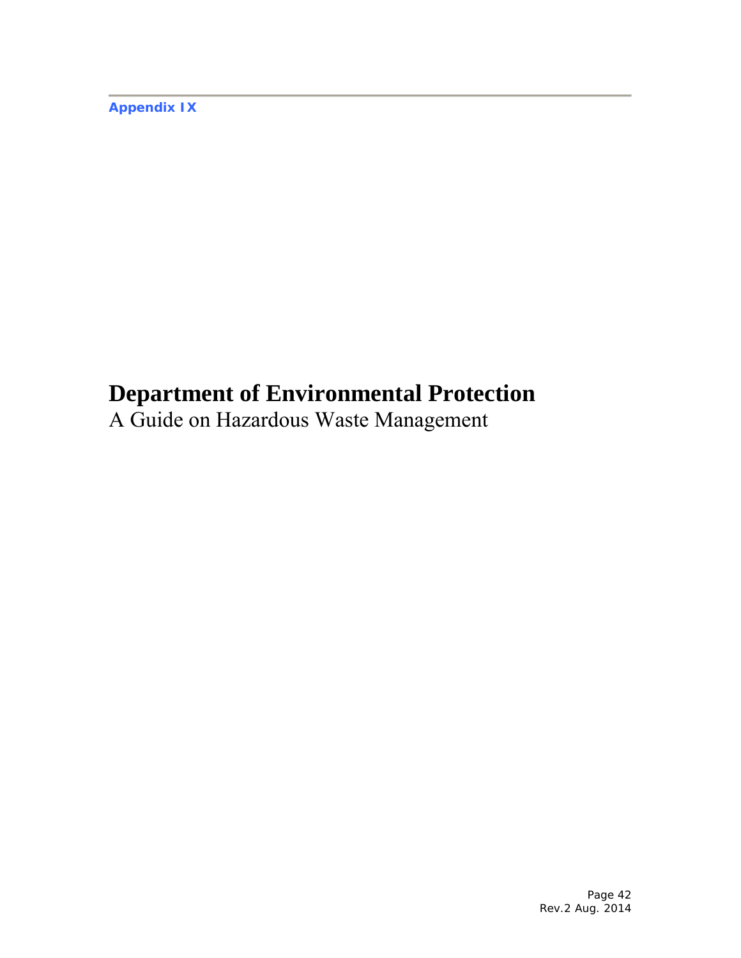**Appendix IX** 

# **Department of Environmental Protection**

A Guide on Hazardous Waste Management

 Page 42 Rev.2 Aug. 2014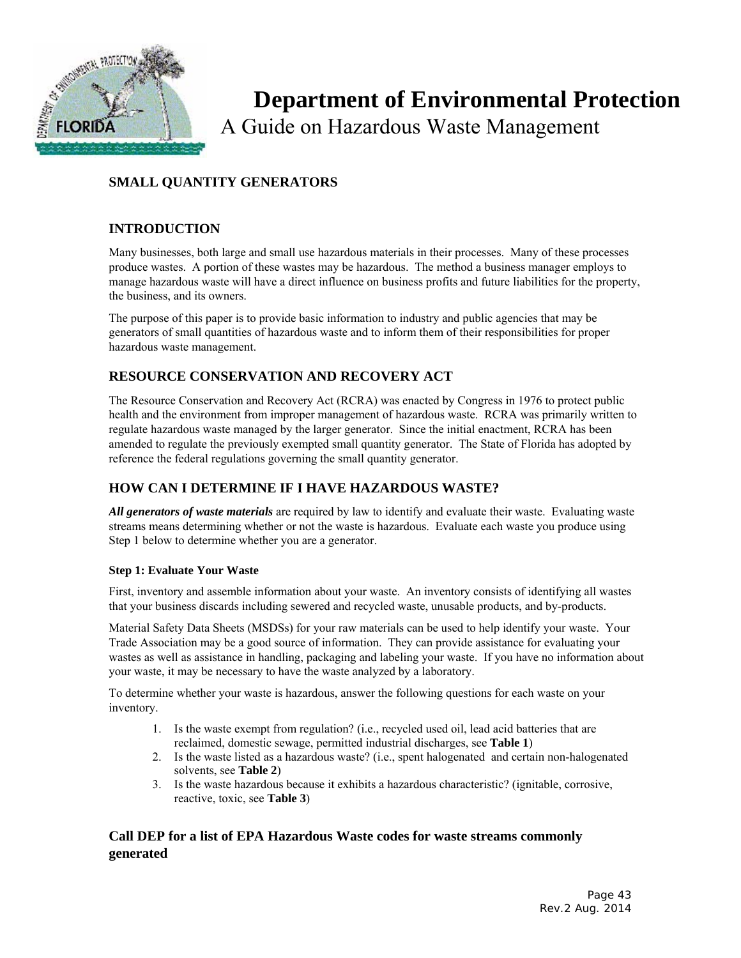

# **Department of Environmental Protection**  A Guide on Hazardous Waste Management

# **SMALL QUANTITY GENERATORS**

## **INTRODUCTION**

Many businesses, both large and small use hazardous materials in their processes. Many of these processes produce wastes. A portion of these wastes may be hazardous. The method a business manager employs to manage hazardous waste will have a direct influence on business profits and future liabilities for the property, the business, and its owners.

The purpose of this paper is to provide basic information to industry and public agencies that may be generators of small quantities of hazardous waste and to inform them of their responsibilities for proper hazardous waste management.

## **RESOURCE CONSERVATION AND RECOVERY ACT**

The Resource Conservation and Recovery Act (RCRA) was enacted by Congress in 1976 to protect public health and the environment from improper management of hazardous waste. RCRA was primarily written to regulate hazardous waste managed by the larger generator. Since the initial enactment, RCRA has been amended to regulate the previously exempted small quantity generator. The State of Florida has adopted by reference the federal regulations governing the small quantity generator.

## **HOW CAN I DETERMINE IF I HAVE HAZARDOUS WASTE?**

*All generators of waste materials* are required by law to identify and evaluate their waste. Evaluating waste streams means determining whether or not the waste is hazardous. Evaluate each waste you produce using Step 1 below to determine whether you are a generator.

### **Step 1: Evaluate Your Waste**

First, inventory and assemble information about your waste. An inventory consists of identifying all wastes that your business discards including sewered and recycled waste, unusable products, and by-products.

Material Safety Data Sheets (MSDSs) for your raw materials can be used to help identify your waste. Your Trade Association may be a good source of information. They can provide assistance for evaluating your wastes as well as assistance in handling, packaging and labeling your waste. If you have no information about your waste, it may be necessary to have the waste analyzed by a laboratory.

To determine whether your waste is hazardous, answer the following questions for each waste on your inventory.

- 1. Is the waste exempt from regulation? (i.e., recycled used oil, lead acid batteries that are reclaimed, domestic sewage, permitted industrial discharges, see **Table 1**)
- 2. Is the waste listed as a hazardous waste? (i.e., spent halogenated and certain non-halogenated solvents, see **Table 2**)
- 3. Is the waste hazardous because it exhibits a hazardous characteristic? (ignitable, corrosive, reactive, toxic, see **Table 3**)

### **Call DEP for a list of EPA Hazardous Waste codes for waste streams commonly generated**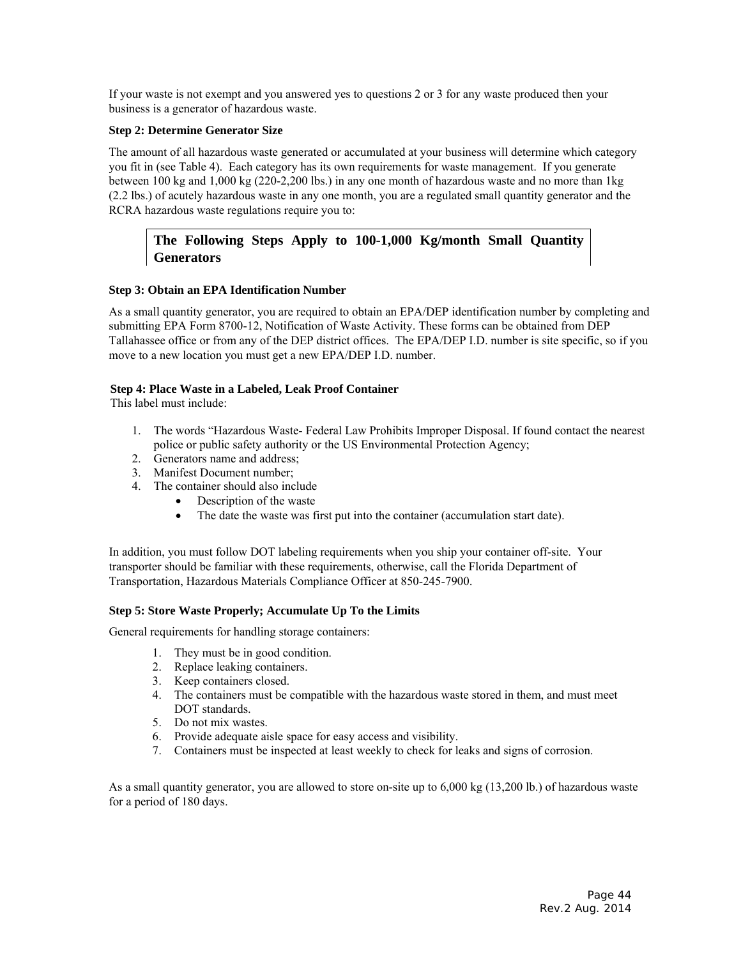If your waste is not exempt and you answered yes to questions 2 or 3 for any waste produced then your business is a generator of hazardous waste.

### **Step 2: Determine Generator Size**

The amount of all hazardous waste generated or accumulated at your business will determine which category you fit in (see Table 4). Each category has its own requirements for waste management. If you generate between 100 kg and 1,000 kg (220-2,200 lbs.) in any one month of hazardous waste and no more than 1kg (2.2 lbs.) of acutely hazardous waste in any one month, you are a regulated small quantity generator and the RCRA hazardous waste regulations require you to:

## **The Following Steps Apply to 100-1,000 Kg/month Small Quantity Generators**

### **Step 3: Obtain an EPA Identification Number**

As a small quantity generator, you are required to obtain an EPA/DEP identification number by completing and submitting EPA Form 8700-12, Notification of Waste Activity. These forms can be obtained from DEP Tallahassee office or from any of the DEP district offices. The EPA/DEP I.D. number is site specific, so if you move to a new location you must get a new EPA/DEP I.D. number.

### **Step 4: Place Waste in a Labeled, Leak Proof Container**

This label must include:

- 1. The words "Hazardous Waste- Federal Law Prohibits Improper Disposal. If found contact the nearest police or public safety authority or the US Environmental Protection Agency;
- 2. Generators name and address;
- 3. Manifest Document number;
- 4. The container should also include
	- Description of the waste
	- The date the waste was first put into the container (accumulation start date).

In addition, you must follow DOT labeling requirements when you ship your container off-site. Your transporter should be familiar with these requirements, otherwise, call the Florida Department of Transportation, Hazardous Materials Compliance Officer at 850-245-7900.

### **Step 5: Store Waste Properly; Accumulate Up To the Limits**

General requirements for handling storage containers:

- 1. They must be in good condition.
- 2. Replace leaking containers.
- 3. Keep containers closed.
- 4. The containers must be compatible with the hazardous waste stored in them, and must meet DOT standards.
- 5. Do not mix wastes.
- 6. Provide adequate aisle space for easy access and visibility.
- 7. Containers must be inspected at least weekly to check for leaks and signs of corrosion.

As a small quantity generator, you are allowed to store on-site up to 6,000 kg (13,200 lb.) of hazardous waste for a period of 180 days.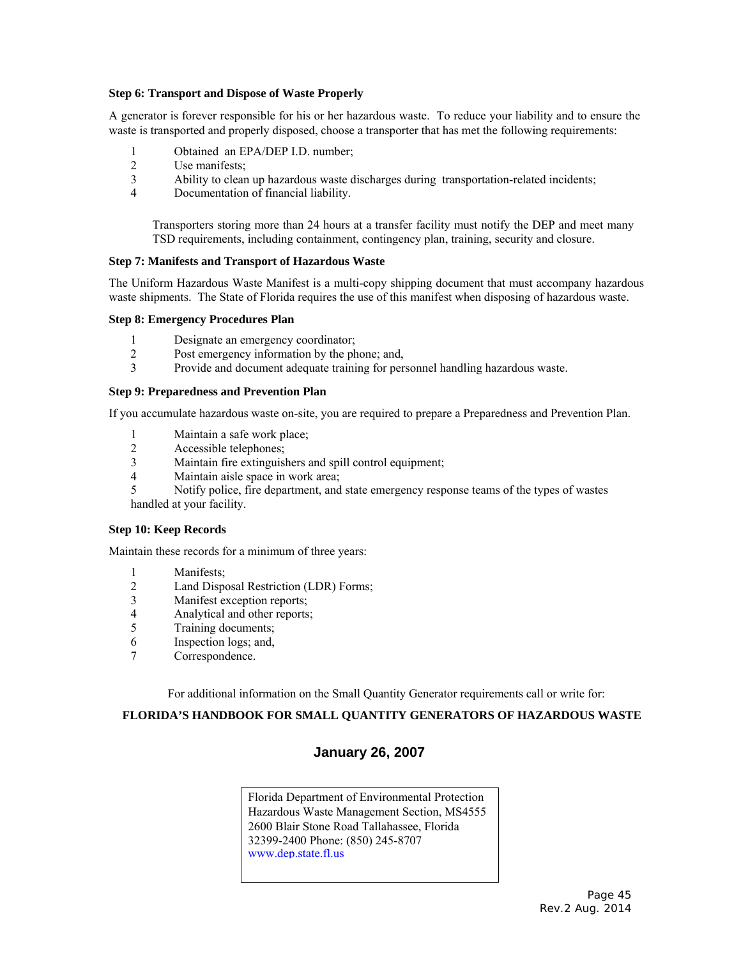### **Step 6: Transport and Dispose of Waste Properly**

A generator is forever responsible for his or her hazardous waste. To reduce your liability and to ensure the waste is transported and properly disposed, choose a transporter that has met the following requirements:

- 1 Obtained an EPA/DEP I.D. number;
- 2 Use manifests;
- 3 Ability to clean up hazardous waste discharges during transportation-related incidents;
- 4 Documentation of financial liability.

Transporters storing more than 24 hours at a transfer facility must notify the DEP and meet many TSD requirements, including containment, contingency plan, training, security and closure.

### **Step 7: Manifests and Transport of Hazardous Waste**

The Uniform Hazardous Waste Manifest is a multi-copy shipping document that must accompany hazardous waste shipments. The State of Florida requires the use of this manifest when disposing of hazardous waste.

### **Step 8: Emergency Procedures Plan**

- 1 Designate an emergency coordinator;
- 2 Post emergency information by the phone; and,
- 3 Provide and document adequate training for personnel handling hazardous waste.

### **Step 9: Preparedness and Prevention Plan**

If you accumulate hazardous waste on-site, you are required to prepare a Preparedness and Prevention Plan.

- 1 Maintain a safe work place;
- 2 Accessible telephones;
- 3 Maintain fire extinguishers and spill control equipment;
- 4 Maintain aisle space in work area;
- 5 Notify police, fire department, and state emergency response teams of the types of wastes handled at your facility.

### **Step 10: Keep Records**

Maintain these records for a minimum of three years:

- 1 Manifests;<br>2 Land Dispo
- Land Disposal Restriction (LDR) Forms;
- 3 Manifest exception reports;
- 4 Analytical and other reports;
- 5 Training documents;
- 6 Inspection logs; and,
- 7 Correspondence.

For additional information on the Small Quantity Generator requirements call or write for:

### **FLORIDA'S HANDBOOK FOR SMALL QUANTITY GENERATORS OF HAZARDOUS WASTE**

### **January 26, 2007**

Florida Department of Environmental Protection Hazardous Waste Management Section, MS4555 2600 Blair Stone Road Tallahassee, Florida 32399-2400 Phone: (850) 245-8707 www.dep.state.fl.us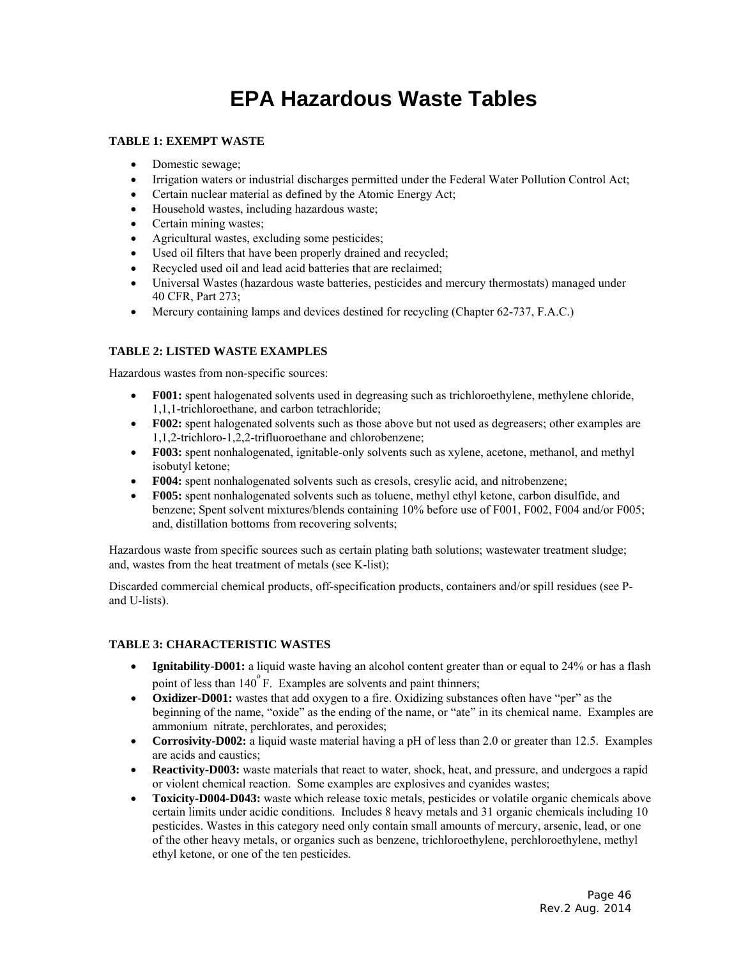# **EPA Hazardous Waste Tables**

### **TABLE 1: EXEMPT WASTE**

- Domestic sewage;
- Irrigation waters or industrial discharges permitted under the Federal Water Pollution Control Act;
- Certain nuclear material as defined by the Atomic Energy Act;
- Household wastes, including hazardous waste;
- Certain mining wastes:
- Agricultural wastes, excluding some pesticides;
- Used oil filters that have been properly drained and recycled;
- Recycled used oil and lead acid batteries that are reclaimed;
- Universal Wastes (hazardous waste batteries, pesticides and mercury thermostats) managed under 40 CFR, Part 273;
- Mercury containing lamps and devices destined for recycling (Chapter 62-737, F.A.C.)

### **TABLE 2: LISTED WASTE EXAMPLES**

Hazardous wastes from non-specific sources:

- **F001:** spent halogenated solvents used in degreasing such as trichloroethylene, methylene chloride, 1,1,1-trichloroethane, and carbon tetrachloride;
- **F002:** spent halogenated solvents such as those above but not used as degreasers; other examples are 1,1,2-trichloro-1,2,2-trifluoroethane and chlorobenzene;
- **F003:** spent nonhalogenated, ignitable-only solvents such as xylene, acetone, methanol, and methyl isobutyl ketone;
- **F004:** spent nonhalogenated solvents such as cresols, cresylic acid, and nitrobenzene;
- **F005:** spent nonhalogenated solvents such as toluene, methyl ethyl ketone, carbon disulfide, and benzene; Spent solvent mixtures/blends containing 10% before use of F001, F002, F004 and/or F005; and, distillation bottoms from recovering solvents;

Hazardous waste from specific sources such as certain plating bath solutions; wastewater treatment sludge; and, wastes from the heat treatment of metals (see K-list);

Discarded commercial chemical products, off-specification products, containers and/or spill residues (see Pand U-lists).

### **TABLE 3: CHARACTERISTIC WASTES**

- Ignitability-D001: a liquid waste having an alcohol content greater than or equal to 24% or has a flash point of less than  $140^\circ$  F. Examples are solvents and paint thinners;
- **Oxidizer-D001:** wastes that add oxygen to a fire. Oxidizing substances often have "per" as the beginning of the name, "oxide" as the ending of the name, or "ate" in its chemical name. Examples are ammonium nitrate, perchlorates, and peroxides;
- **Corrosivity-D002:** a liquid waste material having a pH of less than 2.0 or greater than 12.5. Examples are acids and caustics;
- **Reactivity-D003:** waste materials that react to water, shock, heat, and pressure, and undergoes a rapid or violent chemical reaction. Some examples are explosives and cyanides wastes;
- **Toxicity-D004-D043:** waste which release toxic metals, pesticides or volatile organic chemicals above certain limits under acidic conditions. Includes 8 heavy metals and 31 organic chemicals including 10 pesticides. Wastes in this category need only contain small amounts of mercury, arsenic, lead, or one of the other heavy metals, or organics such as benzene, trichloroethylene, perchloroethylene, methyl ethyl ketone, or one of the ten pesticides.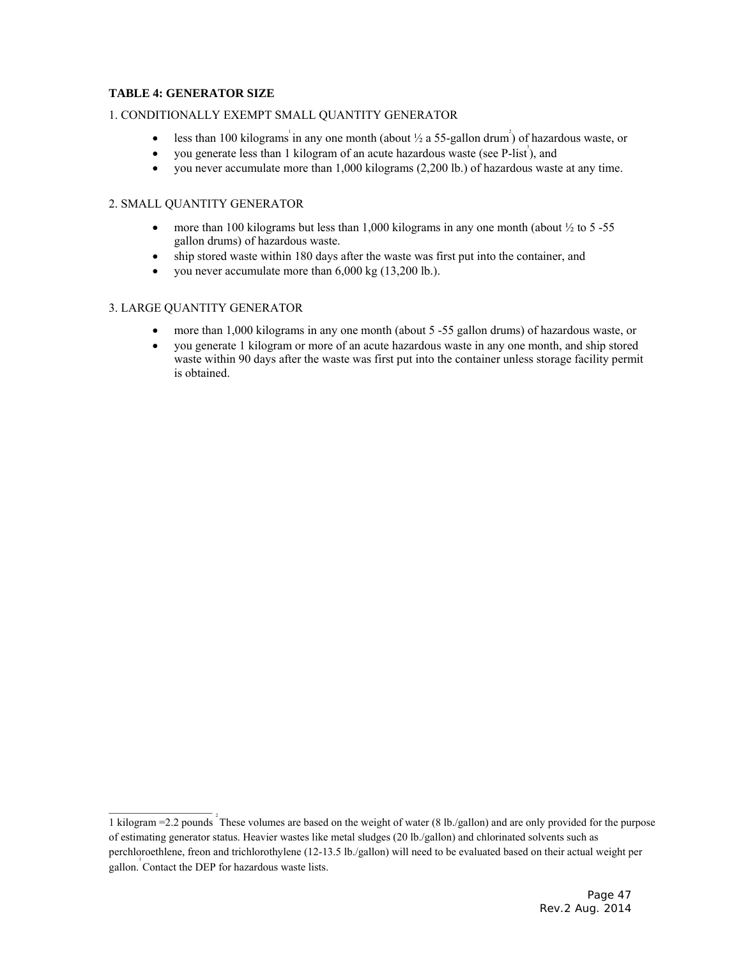### **TABLE 4: GENERATOR SIZE**

### 1. CONDITIONALLY EXEMPT SMALL QUANTITY GENERATOR

- e less than 100 kilograms in any one month (about  $\frac{1}{2}$  a 55-gallon drum<sup>2</sup>) of hazardous waste, or
- you generate less than 1 kilogram of an acute hazardous waste (see P-list), and
- you never accumulate more than 1,000 kilograms (2,200 lb.) of hazardous waste at any time.

### 2. SMALL QUANTITY GENERATOR

- more than 100 kilograms but less than 1,000 kilograms in any one month (about  $\frac{1}{2}$  to 5 -55 gallon drums) of hazardous waste.
- ship stored waste within 180 days after the waste was first put into the container, and
- vou never accumulate more than  $6,000 \text{ kg}$  (13,200 lb.).

### 3. LARGE QUANTITY GENERATOR

 $\mathcal{L}_\text{max}$ 

- more than 1,000 kilograms in any one month (about 5 -55 gallon drums) of hazardous waste, or
- you generate 1 kilogram or more of an acute hazardous waste in any one month, and ship stored waste within 90 days after the waste was first put into the container unless storage facility permit is obtained.

 $\frac{1}{1}$  kilogram = 2.2 pounds  $\frac{1}{1}$  These volumes are based on the weight of water (8 lb./gallon) and are only provided for the purpose of estimating generator status. Heavier wastes like metal sludges (20 lb./gallon) and chlorinated solvents such as perchloroethlene, freon and trichlorothylene (12-13.5 lb./gallon) will need to be evaluated based on their actual weight per gallon.<sup>3</sup> Contact the DEP for hazardous waste lists.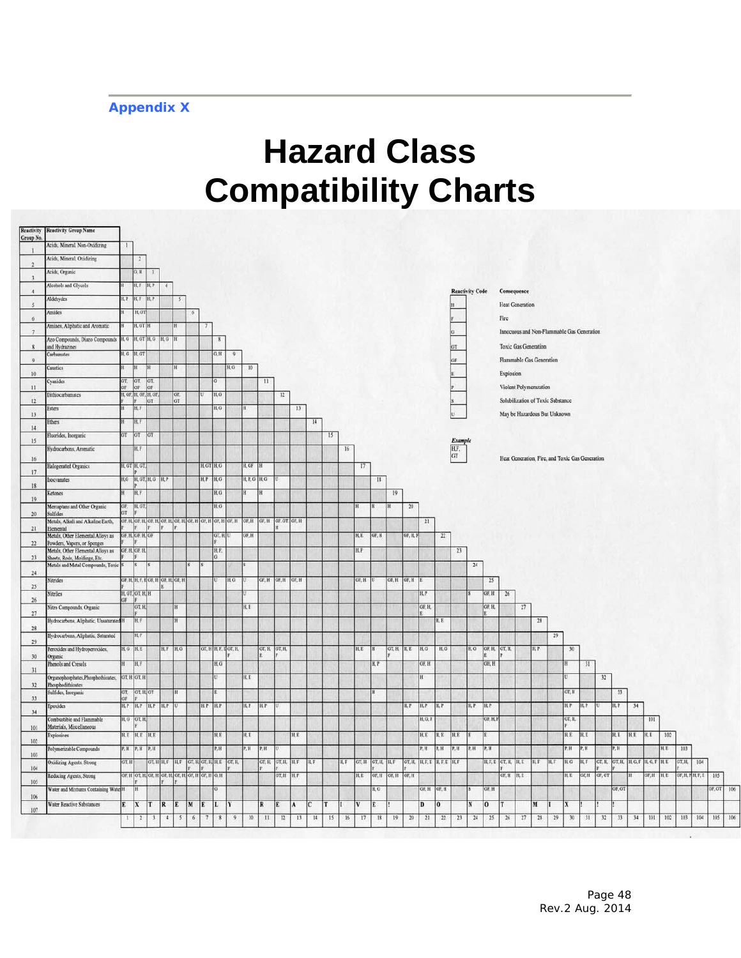### **Appendix X**

# **Hazard Class Compatibility Charts**

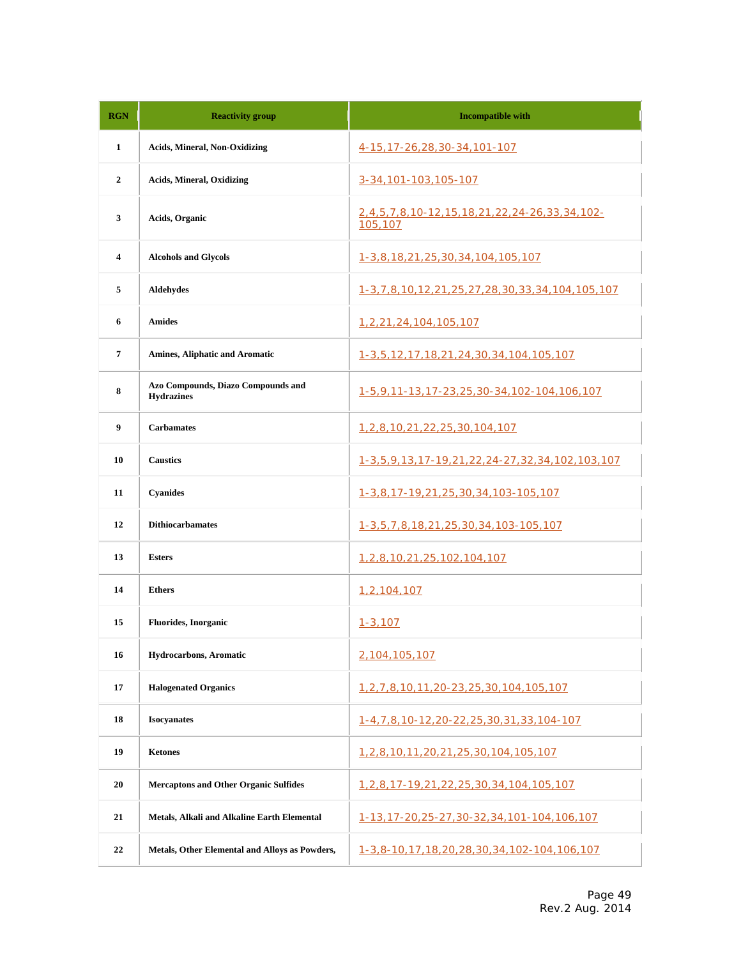| <b>RGN</b>     | <b>Reactivity group</b>                                 | <b>Incompatible with</b>                                     |
|----------------|---------------------------------------------------------|--------------------------------------------------------------|
| 1              | Acids, Mineral, Non-Oxidizing                           | 4-15, 17-26, 28, 30-34, 101-107                              |
| $\overline{2}$ | Acids, Mineral, Oxidizing                               | 3-34, 101-103, 105-107                                       |
| 3              | Acids, Organic                                          | 2,4,5,7,8,10-12,15,18,21,22,24-26,33,34,102-<br>105,107      |
| 4              | <b>Alcohols and Glycols</b>                             | 1-3,8,18,21,25,30,34,104,105,107                             |
| 5              | Aldehydes                                               | 1-3, 7, 8, 10, 12, 21, 25, 27, 28, 30, 33, 34, 104, 105, 107 |
| 6              | <b>Amides</b>                                           | 1, 2, 21, 24, 104, 105, 107                                  |
| $\overline{7}$ | Amines, Aliphatic and Aromatic                          | 1-3,5,12,17,18,21,24,30,34,104,105,107                       |
| 8              | Azo Compounds, Diazo Compounds and<br><b>Hydrazines</b> | 1-5, 9, 11-13, 17-23, 25, 30-34, 102-104, 106, 107           |
| 9              | <b>Carbamates</b>                                       | 1, 2, 8, 10, 21, 22, 25, 30, 104, 107                        |
| 10             | <b>Caustics</b>                                         | 1-3,5,9,13,17-19,21,22,24-27,32,34,102,103,107               |
| 11             | <b>Cyanides</b>                                         | 1-3,8,17-19,21,25,30,34,103-105,107                          |
| 12             | <b>Dithiocarbamates</b>                                 | 1-3, 5, 7, 8, 18, 21, 25, 30, 34, 103-105, 107               |
| 13             | <b>Esters</b>                                           | 1, 2, 8, 10, 21, 25, 102, 104, 107                           |
| 14             | <b>Ethers</b>                                           | 1, 2, 104, 107                                               |
| 15             | <b>Fluorides, Inorganic</b>                             | $1 - 3,107$                                                  |
| 16             | Hydrocarbons, Aromatic                                  | 2,104,105,107                                                |
| 17             | <b>Halogenated Organics</b>                             | 1, 2, 7, 8, 10, 11, 20-23, 25, 30, 104, 105, 107             |
| 18             | Isocyanates                                             | <u>1-4, 7, 8, 10-12, 20-22, 25, 30, 31, 33, 104-107</u>      |
| 19             | <b>Ketones</b>                                          | 1, 2, 8, 10, 11, 20, 21, 25, 30, 104, 105, 107               |
| 20             | <b>Mercaptons and Other Organic Sulfides</b>            | 1, 2, 8, 17 - 19, 21, 22, 25, 30, 34, 104, 105, 107          |
| 21             | Metals, Alkali and Alkaline Earth Elemental             | 1-13, 17-20, 25-27, 30-32, 34, 101-104, 106, 107             |
| 22             | Metals, Other Elemental and Alloys as Powders,          | 1-3,8-10,17,18,20,28,30,34,102-104,106,107                   |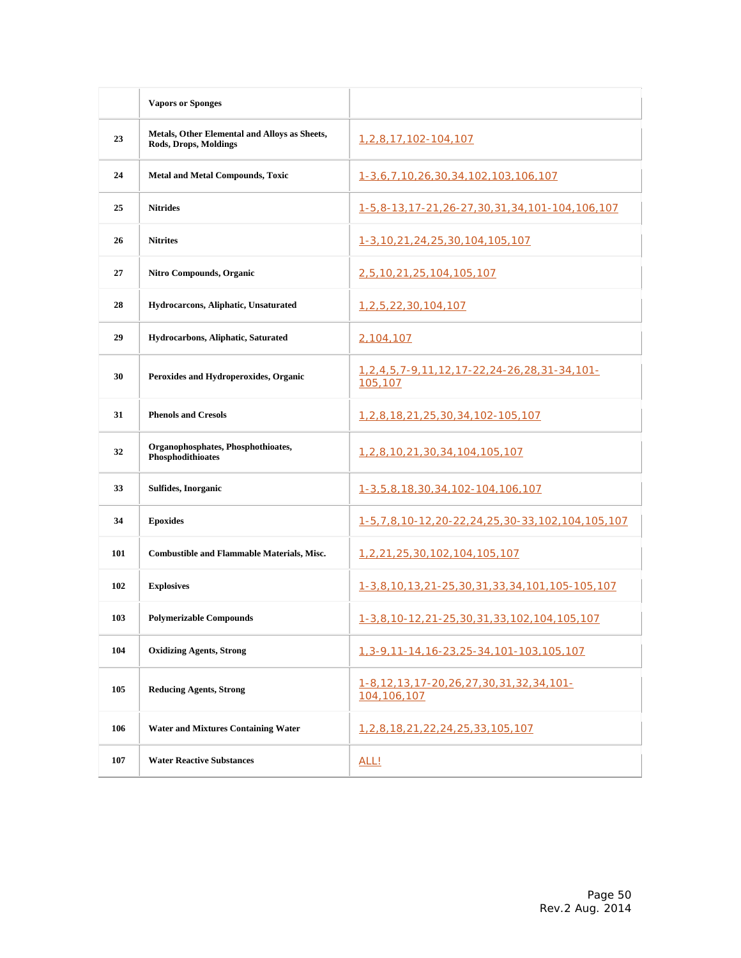|     | <b>Vapors or Sponges</b>                                                      |                                                                            |
|-----|-------------------------------------------------------------------------------|----------------------------------------------------------------------------|
| 23  | Metals, Other Elemental and Alloys as Sheets,<br><b>Rods, Drops, Moldings</b> | 1, 2, 8, 17, 102 - 104, 107                                                |
| 24  | <b>Metal and Metal Compounds, Toxic</b>                                       | 1-3,6,7,10,26,30,34,102,103,106,107                                        |
| 25  | <b>Nitrides</b>                                                               | 1-5,8-13,17-21,26-27,30,31,34,101-104,106,107                              |
| 26  | <b>Nitrites</b>                                                               | 1-3, 10, 21, 24, 25, 30, 104, 105, 107                                     |
| 27  | Nitro Compounds, Organic                                                      | 2,5,10,21,25,104,105,107                                                   |
| 28  | Hydrocarcons, Aliphatic, Unsaturated                                          | 1, 2, 5, 22, 30, 104, 107                                                  |
| 29  | Hydrocarbons, Aliphatic, Saturated                                            | 2,104,107                                                                  |
| 30  | Peroxides and Hydroperoxides, Organic                                         | 1, 2, 4, 5, 7 - 9, 11, 12, 17 - 22, 24 - 26, 28, 31 - 34, 101 -<br>105,107 |
| 31  | <b>Phenols and Cresols</b>                                                    | 1, 2, 8, 18, 21, 25, 30, 34, 102-105, 107                                  |
| 32  | Organophosphates, Phosphothioates,<br>Phosphodithioates                       | 1, 2, 8, 10, 21, 30, 34, 104, 105, 107                                     |
| 33  | Sulfides, Inorganic                                                           | <u>1-3,5,8,18,30,34,102-104,106,107</u>                                    |
| 34  | <b>Epoxides</b>                                                               | 1-5, 7, 8, 10-12, 20-22, 24, 25, 30-33, 102, 104, 105, 107                 |
| 101 | <b>Combustible and Flammable Materials, Misc.</b>                             | 1, 2, 21, 25, 30, 102, 104, 105, 107                                       |
| 102 | <b>Explosives</b>                                                             | 1-3,8,10,13,21-25,30,31,33,34,101,105-105,107                              |
| 103 | <b>Polymerizable Compounds</b>                                                | 1-3,8,10-12,21-25,30,31,33,102,104,105,107                                 |
| 104 | <b>Oxidizing Agents, Strong</b>                                               | 1, 3-9, 11-14, 16-23, 25-34, 101-103, 105, 107                             |
| 105 | <b>Reducing Agents, Strong</b>                                                | 1-8, 12, 13, 17-20, 26, 27, 30, 31, 32, 34, 101-<br>104, 106, 107          |
| 106 | <b>Water and Mixtures Containing Water</b>                                    | 1, 2, 8, 18, 21, 22, 24, 25, 33, 105, 107                                  |
| 107 | <b>Water Reactive Substances</b>                                              | ALL!                                                                       |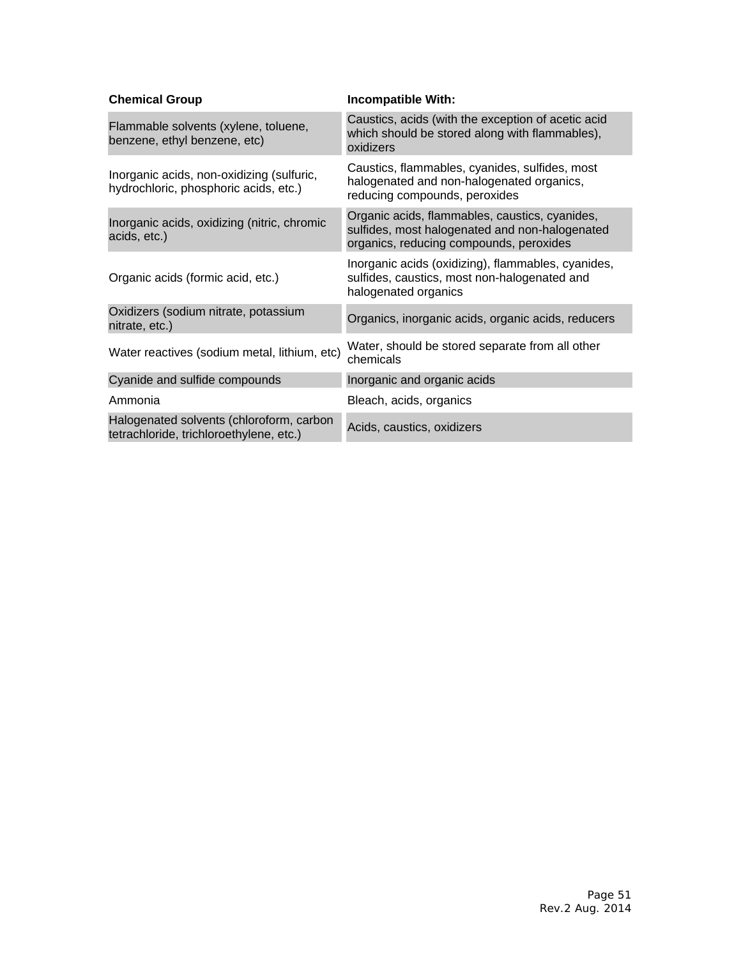| <b>Chemical Group</b>                                                               | <b>Incompatible With:</b>                                                                                                                   |
|-------------------------------------------------------------------------------------|---------------------------------------------------------------------------------------------------------------------------------------------|
| Flammable solvents (xylene, toluene,<br>benzene, ethyl benzene, etc)                | Caustics, acids (with the exception of acetic acid<br>which should be stored along with flammables),<br>oxidizers                           |
| Inorganic acids, non-oxidizing (sulfuric,<br>hydrochloric, phosphoric acids, etc.)  | Caustics, flammables, cyanides, sulfides, most<br>halogenated and non-halogenated organics,<br>reducing compounds, peroxides                |
| Inorganic acids, oxidizing (nitric, chromic<br>acids, etc.)                         | Organic acids, flammables, caustics, cyanides,<br>sulfides, most halogenated and non-halogenated<br>organics, reducing compounds, peroxides |
| Organic acids (formic acid, etc.)                                                   | Inorganic acids (oxidizing), flammables, cyanides,<br>sulfides, caustics, most non-halogenated and<br>halogenated organics                  |
| Oxidizers (sodium nitrate, potassium<br>nitrate, etc.)                              | Organics, inorganic acids, organic acids, reducers                                                                                          |
| Water reactives (sodium metal, lithium, etc)                                        | Water, should be stored separate from all other<br>chemicals                                                                                |
| Cyanide and sulfide compounds                                                       | Inorganic and organic acids                                                                                                                 |
| Ammonia                                                                             | Bleach, acids, organics                                                                                                                     |
| Halogenated solvents (chloroform, carbon<br>tetrachloride, trichloroethylene, etc.) | Acids, caustics, oxidizers                                                                                                                  |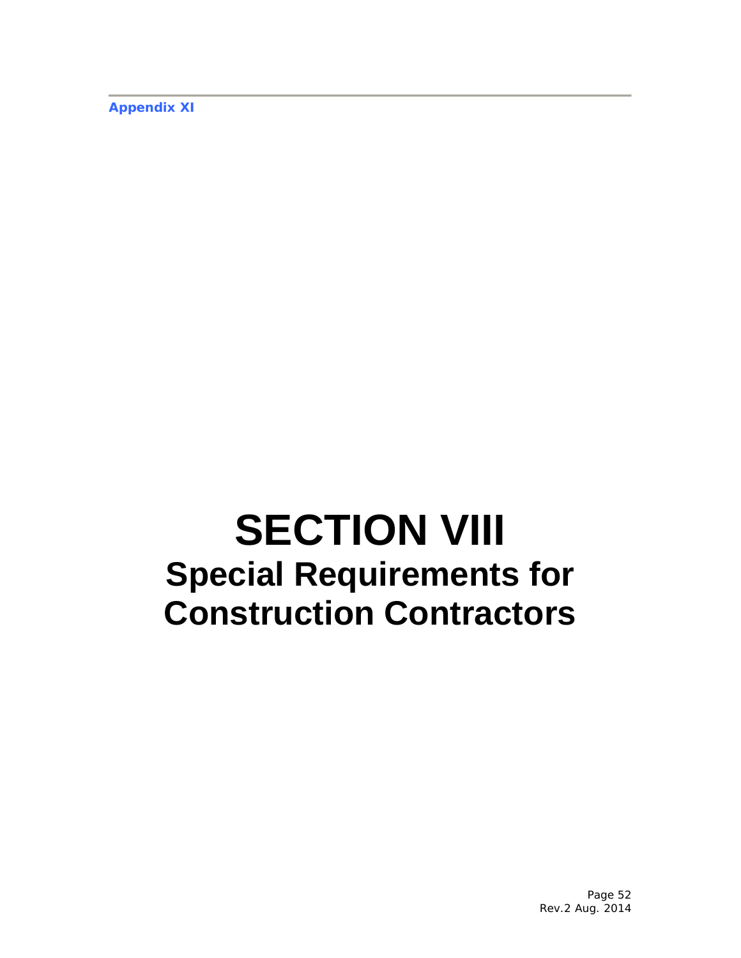**Appendix XI** 

# **SECTION VIII Special Requirements for Construction Contractors**

 Page 52 Rev.2 Aug. 2014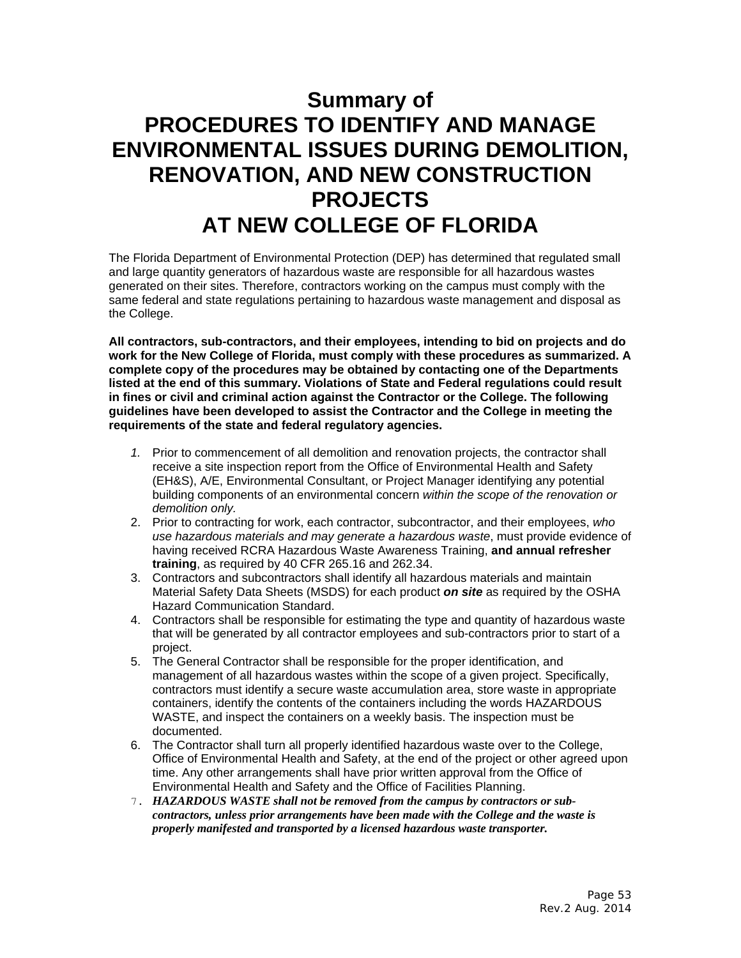# **Summary of PROCEDURES TO IDENTIFY AND MANAGE ENVIRONMENTAL ISSUES DURING DEMOLITION, RENOVATION, AND NEW CONSTRUCTION PROJECTS AT NEW COLLEGE OF FLORIDA**

The Florida Department of Environmental Protection (DEP) has determined that regulated small and large quantity generators of hazardous waste are responsible for all hazardous wastes generated on their sites. Therefore, contractors working on the campus must comply with the same federal and state regulations pertaining to hazardous waste management and disposal as the College.

**All contractors, sub-contractors, and their employees, intending to bid on projects and do work for the New College of Florida, must comply with these procedures as summarized. A complete copy of the procedures may be obtained by contacting one of the Departments listed at the end of this summary. Violations of State and Federal regulations could result in fines or civil and criminal action against the Contractor or the College. The following guidelines have been developed to assist the Contractor and the College in meeting the requirements of the state and federal regulatory agencies.** 

- *1.* Prior to commencement of all demolition and renovation projects, the contractor shall receive a site inspection report from the Office of Environmental Health and Safety (EH&S), A/E, Environmental Consultant, or Project Manager identifying any potential building components of an environmental concern *within the scope of the renovation or demolition only.*
- 2. Prior to contracting for work, each contractor, subcontractor, and their employees, *who use hazardous materials and may generate a hazardous waste*, must provide evidence of having received RCRA Hazardous Waste Awareness Training, **and annual refresher training**, as required by 40 CFR 265.16 and 262.34.
- 3. Contractors and subcontractors shall identify all hazardous materials and maintain Material Safety Data Sheets (MSDS) for each product *on site* as required by the OSHA Hazard Communication Standard.
- 4. Contractors shall be responsible for estimating the type and quantity of hazardous waste that will be generated by all contractor employees and sub-contractors prior to start of a project.
- 5. The General Contractor shall be responsible for the proper identification, and management of all hazardous wastes within the scope of a given project. Specifically, contractors must identify a secure waste accumulation area, store waste in appropriate containers, identify the contents of the containers including the words HAZARDOUS WASTE, and inspect the containers on a weekly basis. The inspection must be documented.
- 6. The Contractor shall turn all properly identified hazardous waste over to the College, Office of Environmental Health and Safety, at the end of the project or other agreed upon time. Any other arrangements shall have prior written approval from the Office of Environmental Health and Safety and the Office of Facilities Planning.
- 7. *HAZARDOUS WASTE shall not be removed from the campus by contractors or subcontractors, unless prior arrangements have been made with the College and the waste is properly manifested and transported by a licensed hazardous waste transporter.*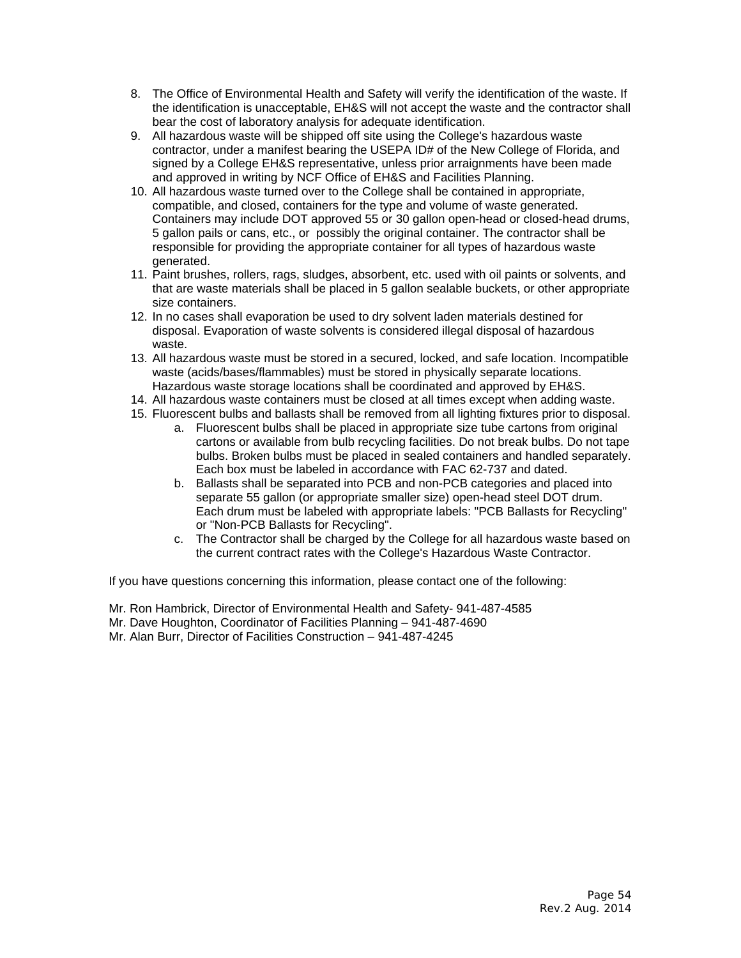- 8. The Office of Environmental Health and Safety will verify the identification of the waste. If the identification is unacceptable, EH&S will not accept the waste and the contractor shall bear the cost of laboratory analysis for adequate identification.
- 9. All hazardous waste will be shipped off site using the College's hazardous waste contractor, under a manifest bearing the USEPA ID# of the New College of Florida, and signed by a College EH&S representative, unless prior arraignments have been made and approved in writing by NCF Office of EH&S and Facilities Planning.
- 10. All hazardous waste turned over to the College shall be contained in appropriate, compatible, and closed, containers for the type and volume of waste generated. Containers may include DOT approved 55 or 30 gallon open-head or closed-head drums, 5 gallon pails or cans, etc., or possibly the original container. The contractor shall be responsible for providing the appropriate container for all types of hazardous waste generated.
- 11. Paint brushes, rollers, rags, sludges, absorbent, etc. used with oil paints or solvents, and that are waste materials shall be placed in 5 gallon sealable buckets, or other appropriate size containers.
- 12. In no cases shall evaporation be used to dry solvent laden materials destined for disposal. Evaporation of waste solvents is considered illegal disposal of hazardous waste.
- 13. All hazardous waste must be stored in a secured, locked, and safe location. Incompatible waste (acids/bases/flammables) must be stored in physically separate locations. Hazardous waste storage locations shall be coordinated and approved by EH&S.
- 14. All hazardous waste containers must be closed at all times except when adding waste.
- 15. Fluorescent bulbs and ballasts shall be removed from all lighting fixtures prior to disposal.
	- a. Fluorescent bulbs shall be placed in appropriate size tube cartons from original cartons or available from bulb recycling facilities. Do not break bulbs. Do not tape bulbs. Broken bulbs must be placed in sealed containers and handled separately. Each box must be labeled in accordance with FAC 62-737 and dated.
	- b. Ballasts shall be separated into PCB and non-PCB categories and placed into separate 55 gallon (or appropriate smaller size) open-head steel DOT drum. Each drum must be labeled with appropriate labels: "PCB Ballasts for Recycling" or "Non-PCB Ballasts for Recycling".
	- c. The Contractor shall be charged by the College for all hazardous waste based on the current contract rates with the College's Hazardous Waste Contractor.

If you have questions concerning this information, please contact one of the following:

Mr. Ron Hambrick, Director of Environmental Health and Safety- 941-487-4585 Mr. Dave Houghton, Coordinator of Facilities Planning – 941-487-4690 Mr. Alan Burr, Director of Facilities Construction – 941-487-4245